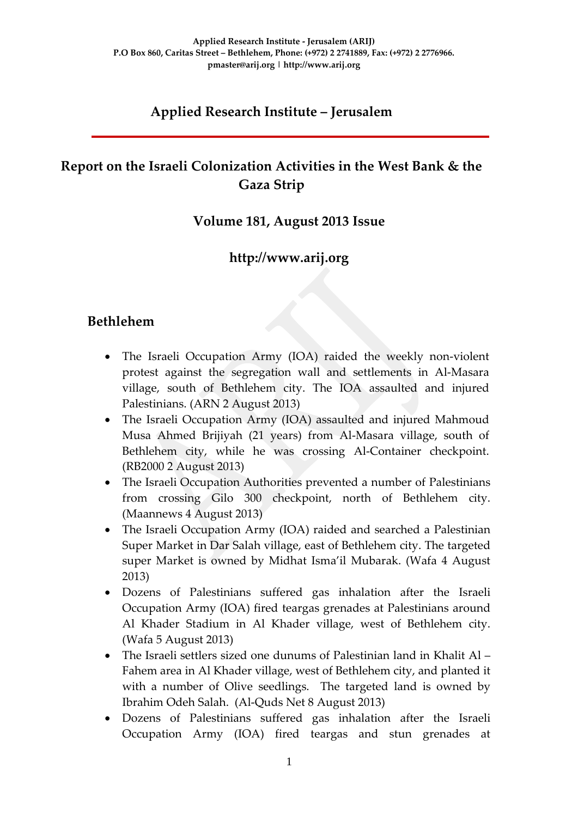## **Applied Research Institute – Jerusalem**

## **Report on the Israeli Colonization Activities in the West Bank & the Gaza Strip**

### **Volume 181, August 2013 Issue**

## **http://www.arij.org**

### **Bethlehem**

- The Israeli Occupation Army (IOA) raided the weekly non-violent protest against the segregation wall and settlements in Al-Masara village, south of Bethlehem city. The IOA assaulted and injured Palestinians. (ARN 2 August 2013)
- The Israeli Occupation Army (IOA) assaulted and injured Mahmoud Musa Ahmed Brijiyah (21 years) from Al-Masara village, south of Bethlehem city, while he was crossing Al-Container checkpoint. (RB2000 2 August 2013)
- The Israeli Occupation Authorities prevented a number of Palestinians from crossing Gilo 300 checkpoint, north of Bethlehem city. (Maannews 4 August 2013)
- The Israeli Occupation Army (IOA) raided and searched a Palestinian Super Market in Dar Salah village, east of Bethlehem city. The targeted super Market is owned by Midhat Isma'il Mubarak. (Wafa 4 August 2013)
- Dozens of Palestinians suffered gas inhalation after the Israeli Occupation Army (IOA) fired teargas grenades at Palestinians around Al Khader Stadium in Al Khader village, west of Bethlehem city. (Wafa 5 August 2013)
- The Israeli settlers sized one dunums of Palestinian land in Khalit Al Fahem area in Al Khader village, west of Bethlehem city, and planted it with a number of Olive seedlings. The targeted land is owned by Ibrahim Odeh Salah. (Al-Quds Net 8 August 2013)
- Dozens of Palestinians suffered gas inhalation after the Israeli Occupation Army (IOA) fired teargas and stun grenades at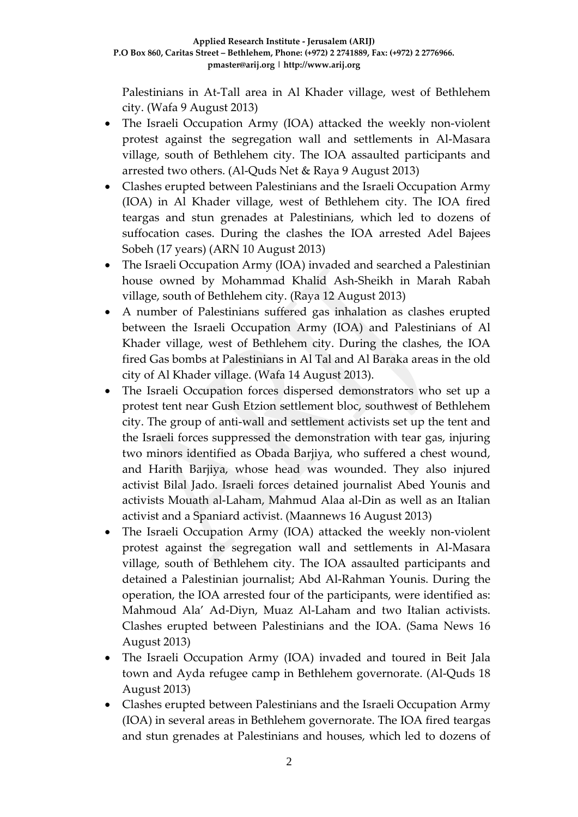Palestinians in At-Tall area in Al Khader village, west of Bethlehem city. (Wafa 9 August 2013)

- The Israeli Occupation Army (IOA) attacked the weekly non-violent protest against the segregation wall and settlements in Al-Masara village, south of Bethlehem city. The IOA assaulted participants and arrested two others. (Al-Quds Net & Raya 9 August 2013)
- Clashes erupted between Palestinians and the Israeli Occupation Army (IOA) in Al Khader village, west of Bethlehem city. The IOA fired teargas and stun grenades at Palestinians, which led to dozens of suffocation cases. During the clashes the IOA arrested Adel Bajees Sobeh (17 years) (ARN 10 August 2013)
- The Israeli Occupation Army (IOA) invaded and searched a Palestinian house owned by Mohammad Khalid Ash-Sheikh in Marah Rabah village, south of Bethlehem city. (Raya 12 August 2013)
- A number of Palestinians suffered gas inhalation as clashes erupted between the Israeli Occupation Army (IOA) and Palestinians of Al Khader village, west of Bethlehem city. During the clashes, the IOA fired Gas bombs at Palestinians in Al Tal and Al Baraka areas in the old city of Al Khader village. (Wafa 14 August 2013).
- The Israeli Occupation forces dispersed demonstrators who set up a protest tent near Gush Etzion settlement bloc, southwest of Bethlehem city. The group of anti-wall and settlement activists set up the tent and the Israeli forces suppressed the demonstration with tear gas, injuring two minors identified as Obada Barjiya, who suffered a chest wound, and Harith Barjiya, whose head was wounded. They also injured activist Bilal Jado. Israeli forces detained journalist Abed Younis and activists Mouath al-Laham, Mahmud Alaa al-Din as well as an Italian activist and a Spaniard activist. (Maannews 16 August 2013)
- The Israeli Occupation Army (IOA) attacked the weekly non-violent protest against the segregation wall and settlements in Al-Masara village, south of Bethlehem city. The IOA assaulted participants and detained a Palestinian journalist; Abd Al-Rahman Younis. During the operation, the IOA arrested four of the participants, were identified as: Mahmoud Ala' Ad-Diyn, Muaz Al-Laham and two Italian activists. Clashes erupted between Palestinians and the IOA. (Sama News 16 August 2013)
- The Israeli Occupation Army (IOA) invaded and toured in Beit Jala town and Ayda refugee camp in Bethlehem governorate. (Al-Quds 18 August 2013)
- Clashes erupted between Palestinians and the Israeli Occupation Army (IOA) in several areas in Bethlehem governorate. The IOA fired teargas and stun grenades at Palestinians and houses, which led to dozens of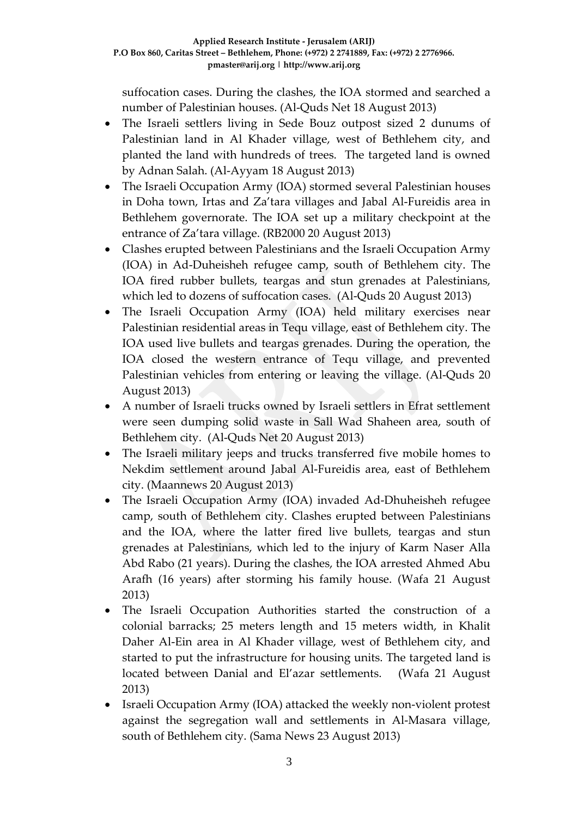suffocation cases. During the clashes, the IOA stormed and searched a number of Palestinian houses. (Al-Quds Net 18 August 2013)

- The Israeli settlers living in Sede Bouz outpost sized 2 dunums of Palestinian land in Al Khader village, west of Bethlehem city, and planted the land with hundreds of trees. The targeted land is owned by Adnan Salah. (Al-Ayyam 18 August 2013)
- The Israeli Occupation Army (IOA) stormed several Palestinian houses in Doha town, Irtas and Za'tara villages and Jabal Al-Fureidis area in Bethlehem governorate. The IOA set up a military checkpoint at the entrance of Za'tara village. (RB2000 20 August 2013)
- Clashes erupted between Palestinians and the Israeli Occupation Army (IOA) in Ad-Duheisheh refugee camp, south of Bethlehem city. The IOA fired rubber bullets, teargas and stun grenades at Palestinians, which led to dozens of suffocation cases. (Al-Quds 20 August 2013)
- The Israeli Occupation Army (IOA) held military exercises near Palestinian residential areas in Tequ village, east of Bethlehem city. The IOA used live bullets and teargas grenades. During the operation, the IOA closed the western entrance of Tequ village, and prevented Palestinian vehicles from entering or leaving the village. (Al-Quds 20 August 2013)
- A number of Israeli trucks owned by Israeli settlers in Efrat settlement were seen dumping solid waste in Sall Wad Shaheen area, south of Bethlehem city. (Al-Quds Net 20 August 2013)
- The Israeli military jeeps and trucks transferred five mobile homes to Nekdim settlement around Jabal Al-Fureidis area, east of Bethlehem city. (Maannews 20 August 2013)
- The Israeli Occupation Army (IOA) invaded Ad-Dhuheisheh refugee camp, south of Bethlehem city. Clashes erupted between Palestinians and the IOA, where the latter fired live bullets, teargas and stun grenades at Palestinians, which led to the injury of Karm Naser Alla Abd Rabo (21 years). During the clashes, the IOA arrested Ahmed Abu Arafh (16 years) after storming his family house. (Wafa 21 August 2013)
- The Israeli Occupation Authorities started the construction of a colonial barracks; 25 meters length and 15 meters width, in Khalit Daher Al-Ein area in Al Khader village, west of Bethlehem city, and started to put the infrastructure for housing units. The targeted land is located between Danial and El'azar settlements. (Wafa 21 August 2013)
- Israeli Occupation Army (IOA) attacked the weekly non-violent protest against the segregation wall and settlements in Al-Masara village, south of Bethlehem city. (Sama News 23 August 2013)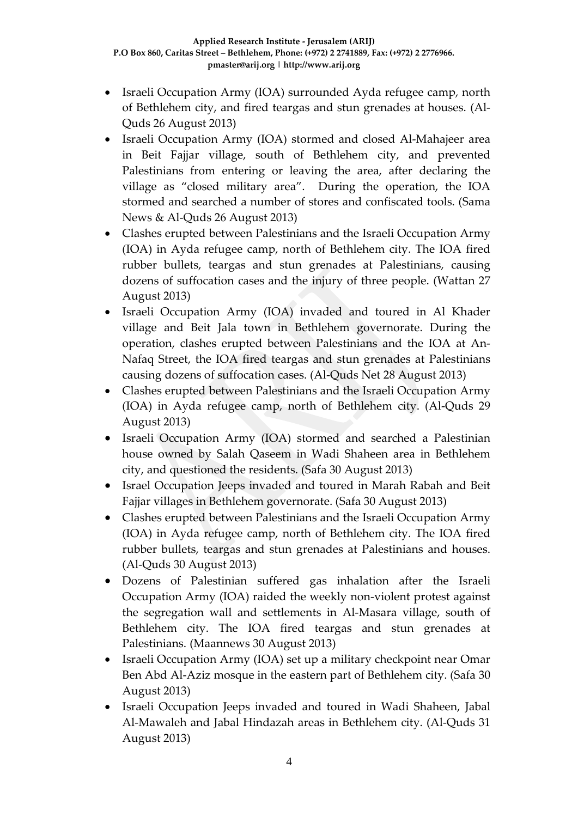- Israeli Occupation Army (IOA) surrounded Ayda refugee camp, north of Bethlehem city, and fired teargas and stun grenades at houses. (Al-Quds 26 August 2013)
- Israeli Occupation Army (IOA) stormed and closed Al-Mahajeer area in Beit Fajjar village, south of Bethlehem city, and prevented Palestinians from entering or leaving the area, after declaring the village as "closed military area". During the operation, the IOA stormed and searched a number of stores and confiscated tools. (Sama News & Al-Quds 26 August 2013)
- Clashes erupted between Palestinians and the Israeli Occupation Army (IOA) in Ayda refugee camp, north of Bethlehem city. The IOA fired rubber bullets, teargas and stun grenades at Palestinians, causing dozens of suffocation cases and the injury of three people. (Wattan 27 August 2013)
- Israeli Occupation Army (IOA) invaded and toured in Al Khader village and Beit Jala town in Bethlehem governorate. During the operation, clashes erupted between Palestinians and the IOA at An-Nafaq Street, the IOA fired teargas and stun grenades at Palestinians causing dozens of suffocation cases. (Al-Quds Net 28 August 2013)
- Clashes erupted between Palestinians and the Israeli Occupation Army (IOA) in Ayda refugee camp, north of Bethlehem city. (Al-Quds 29 August 2013)
- Israeli Occupation Army (IOA) stormed and searched a Palestinian house owned by Salah Qaseem in Wadi Shaheen area in Bethlehem city, and questioned the residents. (Safa 30 August 2013)
- Israel Occupation Jeeps invaded and toured in Marah Rabah and Beit Fajjar villages in Bethlehem governorate. (Safa 30 August 2013)
- Clashes erupted between Palestinians and the Israeli Occupation Army (IOA) in Ayda refugee camp, north of Bethlehem city. The IOA fired rubber bullets, teargas and stun grenades at Palestinians and houses. (Al-Quds 30 August 2013)
- Dozens of Palestinian suffered gas inhalation after the Israeli Occupation Army (IOA) raided the weekly non-violent protest against the segregation wall and settlements in Al-Masara village, south of Bethlehem city. The IOA fired teargas and stun grenades at Palestinians. (Maannews 30 August 2013)
- Israeli Occupation Army (IOA) set up a military checkpoint near Omar Ben Abd Al-Aziz mosque in the eastern part of Bethlehem city. (Safa 30 August 2013)
- Israeli Occupation Jeeps invaded and toured in Wadi Shaheen, Jabal Al-Mawaleh and Jabal Hindazah areas in Bethlehem city. (Al-Quds 31 August 2013)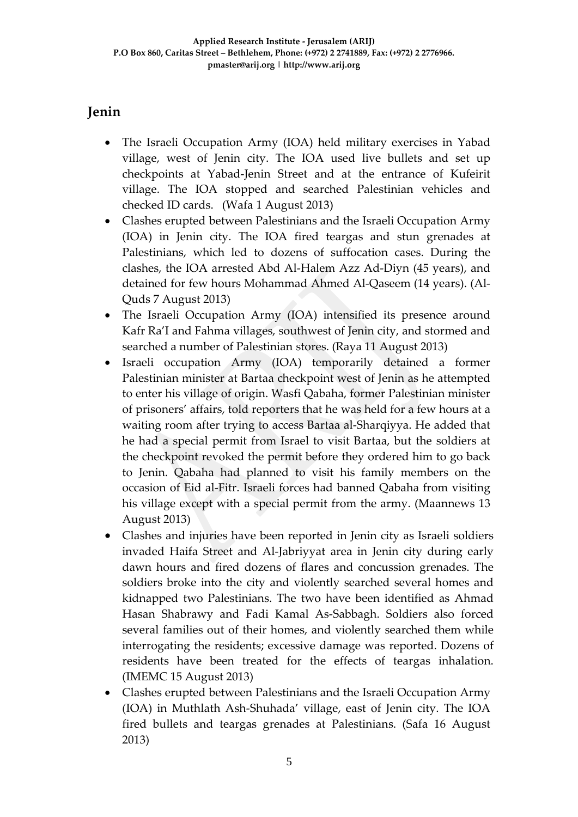## **Jenin**

- The Israeli Occupation Army (IOA) held military exercises in Yabad village, west of Jenin city. The IOA used live bullets and set up checkpoints at Yabad-Jenin Street and at the entrance of Kufeirit village. The IOA stopped and searched Palestinian vehicles and checked ID cards. (Wafa 1 August 2013)
- Clashes erupted between Palestinians and the Israeli Occupation Army (IOA) in Jenin city. The IOA fired teargas and stun grenades at Palestinians, which led to dozens of suffocation cases. During the clashes, the IOA arrested Abd Al-Halem Azz Ad-Diyn (45 years), and detained for few hours Mohammad Ahmed Al-Qaseem (14 years). (Al-Quds 7 August 2013)
- The Israeli Occupation Army (IOA) intensified its presence around Kafr Ra'I and Fahma villages, southwest of Jenin city, and stormed and searched a number of Palestinian stores. (Raya 11 August 2013)
- Israeli occupation Army (IOA) temporarily detained a former Palestinian minister at Bartaa checkpoint west of Jenin as he attempted to enter his village of origin. Wasfi Qabaha, former Palestinian minister of prisoners' affairs, told reporters that he was held for a few hours at a waiting room after trying to access Bartaa al-Sharqiyya. He added that he had a special permit from Israel to visit Bartaa, but the soldiers at the checkpoint revoked the permit before they ordered him to go back to Jenin. Qabaha had planned to visit his family members on the occasion of Eid al-Fitr. Israeli forces had banned Qabaha from visiting his village except with a special permit from the army. (Maannews 13 August 2013)
- Clashes and injuries have been reported in Jenin city as Israeli soldiers invaded Haifa Street and Al-Jabriyyat area in Jenin city during early dawn hours and fired dozens of flares and concussion grenades. The soldiers broke into the city and violently searched several homes and kidnapped two Palestinians. The two have been identified as Ahmad Hasan Shabrawy and Fadi Kamal As-Sabbagh. Soldiers also forced several families out of their homes, and violently searched them while interrogating the residents; excessive damage was reported. Dozens of residents have been treated for the effects of teargas inhalation. (IMEMC 15 August 2013)
- Clashes erupted between Palestinians and the Israeli Occupation Army (IOA) in Muthlath Ash-Shuhada' village, east of Jenin city. The IOA fired bullets and teargas grenades at Palestinians. (Safa 16 August 2013)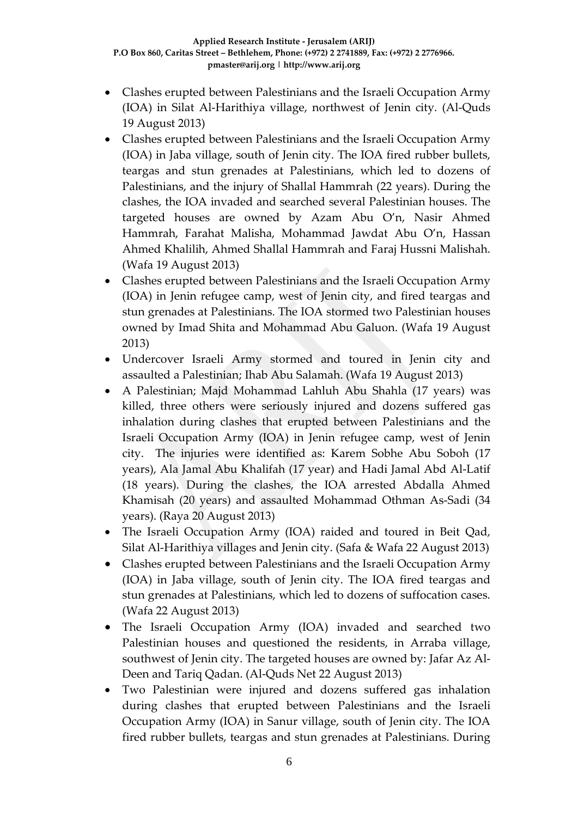- Clashes erupted between Palestinians and the Israeli Occupation Army (IOA) in Silat Al-Harithiya village, northwest of Jenin city. (Al-Quds 19 August 2013)
- Clashes erupted between Palestinians and the Israeli Occupation Army (IOA) in Jaba village, south of Jenin city. The IOA fired rubber bullets, teargas and stun grenades at Palestinians, which led to dozens of Palestinians, and the injury of Shallal Hammrah (22 years). During the clashes, the IOA invaded and searched several Palestinian houses. The targeted houses are owned by Azam Abu O'n, Nasir Ahmed Hammrah, Farahat Malisha, Mohammad Jawdat Abu O'n, Hassan Ahmed Khalilih, Ahmed Shallal Hammrah and Faraj Hussni Malishah. (Wafa 19 August 2013)
- Clashes erupted between Palestinians and the Israeli Occupation Army (IOA) in Jenin refugee camp, west of Jenin city, and fired teargas and stun grenades at Palestinians. The IOA stormed two Palestinian houses owned by Imad Shita and Mohammad Abu Galuon. (Wafa 19 August 2013)
- Undercover Israeli Army stormed and toured in Jenin city and assaulted a Palestinian; Ihab Abu Salamah. (Wafa 19 August 2013)
- A Palestinian; Majd Mohammad Lahluh Abu Shahla (17 years) was killed, three others were seriously injured and dozens suffered gas inhalation during clashes that erupted between Palestinians and the Israeli Occupation Army (IOA) in Jenin refugee camp, west of Jenin city. The injuries were identified as: Karem Sobhe Abu Soboh (17 years), Ala Jamal Abu Khalifah (17 year) and Hadi Jamal Abd Al-Latif (18 years). During the clashes, the IOA arrested Abdalla Ahmed Khamisah (20 years) and assaulted Mohammad Othman As-Sadi (34 years). (Raya 20 August 2013)
- The Israeli Occupation Army (IOA) raided and toured in Beit Qad, Silat Al-Harithiya villages and Jenin city. (Safa & Wafa 22 August 2013)
- Clashes erupted between Palestinians and the Israeli Occupation Army (IOA) in Jaba village, south of Jenin city. The IOA fired teargas and stun grenades at Palestinians, which led to dozens of suffocation cases. (Wafa 22 August 2013)
- The Israeli Occupation Army (IOA) invaded and searched two Palestinian houses and questioned the residents, in Arraba village, southwest of Jenin city. The targeted houses are owned by: Jafar Az Al-Deen and Tariq Qadan. (Al-Quds Net 22 August 2013)
- Two Palestinian were injured and dozens suffered gas inhalation during clashes that erupted between Palestinians and the Israeli Occupation Army (IOA) in Sanur village, south of Jenin city. The IOA fired rubber bullets, teargas and stun grenades at Palestinians. During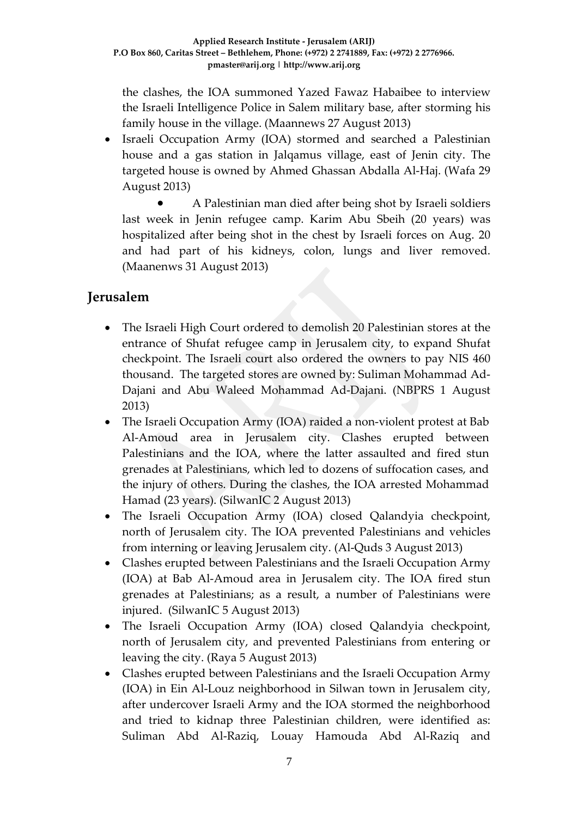the clashes, the IOA summoned Yazed Fawaz Habaibee to interview the Israeli Intelligence Police in Salem military base, after storming his family house in the village. (Maannews 27 August 2013)

• Israeli Occupation Army (IOA) stormed and searched a Palestinian house and a gas station in Jalqamus village, east of Jenin city. The targeted house is owned by Ahmed Ghassan Abdalla Al-Haj. (Wafa 29 August 2013)

• A Palestinian man died after being shot by Israeli soldiers last week in Jenin refugee camp. Karim Abu Sbeih (20 years) was hospitalized after being shot in the chest by Israeli forces on Aug. 20 and had part of his kidneys, colon, lungs and liver removed. (Maanenws 31 August 2013)

## **Jerusalem**

- The Israeli High Court ordered to demolish 20 Palestinian stores at the entrance of Shufat refugee camp in Jerusalem city, to expand Shufat checkpoint. The Israeli court also ordered the owners to pay NIS 460 thousand. The targeted stores are owned by: Suliman Mohammad Ad-Dajani and Abu Waleed Mohammad Ad-Dajani. (NBPRS 1 August 2013)
- The Israeli Occupation Army (IOA) raided a non-violent protest at Bab Al-Amoud area in Jerusalem city. Clashes erupted between Palestinians and the IOA, where the latter assaulted and fired stun grenades at Palestinians, which led to dozens of suffocation cases, and the injury of others. During the clashes, the IOA arrested Mohammad Hamad (23 years). (SilwanIC 2 August 2013)
- The Israeli Occupation Army (IOA) closed Qalandyia checkpoint, north of Jerusalem city. The IOA prevented Palestinians and vehicles from interning or leaving Jerusalem city. (Al-Quds 3 August 2013)
- Clashes erupted between Palestinians and the Israeli Occupation Army (IOA) at Bab Al-Amoud area in Jerusalem city. The IOA fired stun grenades at Palestinians; as a result, a number of Palestinians were injured. (SilwanIC 5 August 2013)
- The Israeli Occupation Army (IOA) closed Qalandyia checkpoint, north of Jerusalem city, and prevented Palestinians from entering or leaving the city. (Raya 5 August 2013)
- Clashes erupted between Palestinians and the Israeli Occupation Army (IOA) in Ein Al-Louz neighborhood in Silwan town in Jerusalem city, after undercover Israeli Army and the IOA stormed the neighborhood and tried to kidnap three Palestinian children, were identified as: Suliman Abd Al-Raziq, Louay Hamouda Abd Al-Raziq and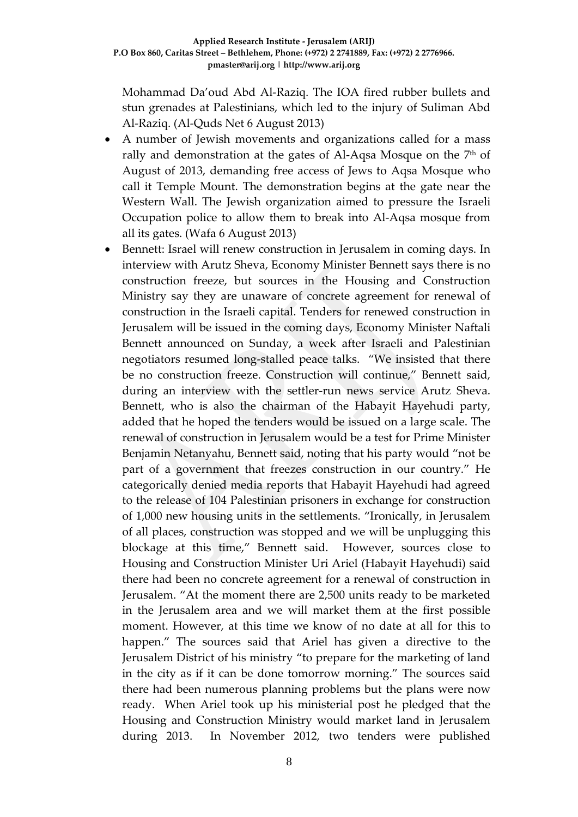Mohammad Da'oud Abd Al-Raziq. The IOA fired rubber bullets and stun grenades at Palestinians, which led to the injury of Suliman Abd Al-Raziq. (Al-Quds Net 6 August 2013)

- A number of Jewish movements and organizations called for a mass rally and demonstration at the gates of Al-Aqsa Mosque on the 7<sup>th</sup> of August of 2013, demanding free access of Jews to Aqsa Mosque who call it Temple Mount. The demonstration begins at the gate near the Western Wall. The Jewish organization aimed to pressure the Israeli Occupation police to allow them to break into Al-Aqsa mosque from all its gates. (Wafa 6 August 2013)
- Bennett: Israel will renew construction in Jerusalem in coming days. In interview with Arutz Sheva, Economy Minister Bennett says there is no construction freeze, but sources in the Housing and Construction Ministry say they are unaware of concrete agreement for renewal of construction in the Israeli capital. Tenders for renewed construction in Jerusalem will be issued in the coming days, Economy Minister Naftali Bennett announced on Sunday, a week after Israeli and Palestinian negotiators resumed long-stalled peace talks. "We insisted that there be no construction freeze. Construction will continue," Bennett said, during an interview with the settler-run news service Arutz Sheva. Bennett, who is also the chairman of the Habayit Hayehudi party, added that he hoped the tenders would be issued on a large scale. The renewal of construction in Jerusalem would be a test for Prime Minister Benjamin Netanyahu, Bennett said, noting that his party would "not be part of a government that freezes construction in our country." He categorically denied media reports that Habayit Hayehudi had agreed to the release of 104 Palestinian prisoners in exchange for construction of 1,000 new housing units in the settlements. "Ironically, in Jerusalem of all places, construction was stopped and we will be unplugging this blockage at this time," Bennett said. However, sources close to Housing and Construction Minister Uri Ariel (Habayit Hayehudi) said there had been no concrete agreement for a renewal of construction in Jerusalem. "At the moment there are 2,500 units ready to be marketed in the Jerusalem area and we will market them at the first possible moment. However, at this time we know of no date at all for this to happen." The sources said that Ariel has given a directive to the Jerusalem District of his ministry "to prepare for the marketing of land in the city as if it can be done tomorrow morning." The sources said there had been numerous planning problems but the plans were now ready. When Ariel took up his ministerial post he pledged that the Housing and Construction Ministry would market land in Jerusalem during 2013. In November 2012, two tenders were published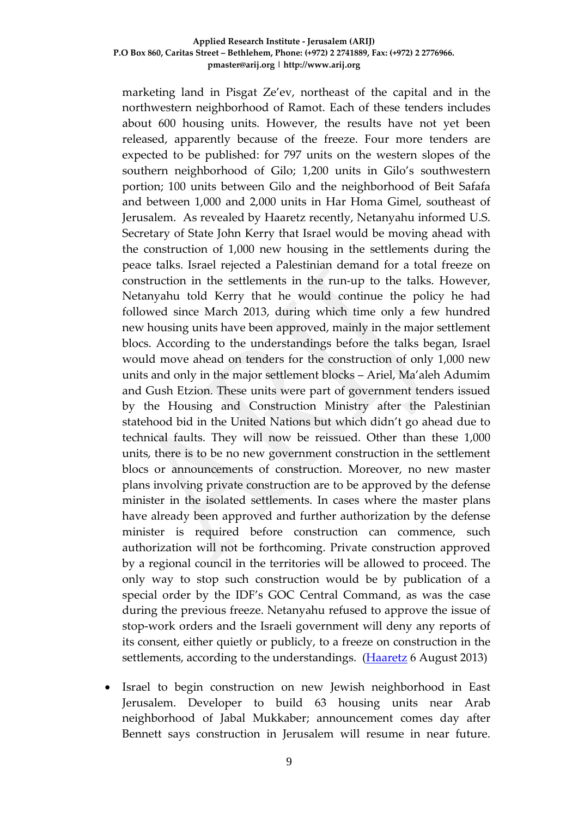marketing land in Pisgat Ze'ev, northeast of the capital and in the northwestern neighborhood of Ramot. Each of these tenders includes about 600 housing units. However, the results have not yet been released, apparently because of the freeze. Four more tenders are expected to be published: for 797 units on the western slopes of the southern neighborhood of Gilo; 1,200 units in Gilo's southwestern portion; 100 units between Gilo and the neighborhood of Beit Safafa and between 1,000 and 2,000 units in Har Homa Gimel, southeast of Jerusalem. As [revealed by Haaretz](http://www.haaretz.com/news/diplomacy-defense/.premium-1.538067) recently, Netanyahu informed U.S. Secretary of State John Kerry that Israel would be moving ahead with the construction of 1,000 new housing in the settlements during the peace talks. Israel rejected a Palestinian demand for a total freeze on construction in the settlements in the run-up to the talks. However, Netanyahu told Kerry that he would continue the policy he had followed since March 2013, during which time only a few hundred new housing units have been approved, mainly in the major settlement blocs. According to the understandings before the talks began, Israel would move ahead on tenders for the construction of only 1,000 new units and only in the major settlement blocks – Ariel, Ma'aleh Adumim and Gush Etzion. These units were part of government tenders issued by the Housing and Construction Ministry after the Palestinian statehood bid in the United Nations but which didn't go ahead due to technical faults. They will now be reissued. Other than these 1,000 units, there is to be no new government construction in the settlement blocs or announcements of construction. Moreover, no new master plans involving private construction are to be approved by the defense minister in the isolated settlements. In cases where the master plans have already been approved and further authorization by the defense minister is required before construction can commence, such authorization will not be forthcoming. Private construction approved by a regional council in the territories will be allowed to proceed. The only way to stop such construction would be by publication of a special order by the IDF's GOC Central Command, as was the case during the previous freeze. Netanyahu refused to approve the issue of stop-work orders and the Israeli government will deny any reports of its consent, either quietly or publicly, to a freeze on construction in the settlements, according to the understandings. [\(Haaretz](http://www.haaretz.com/news/national/.premium-1.539943) 6 August 2013)

Israel to begin construction on new Jewish neighborhood in East Jerusalem. Developer to build 63 housing units near Arab neighborhood of Jabal Mukkaber; announcement comes day after Bennett says construction in Jerusalem will resume in near future.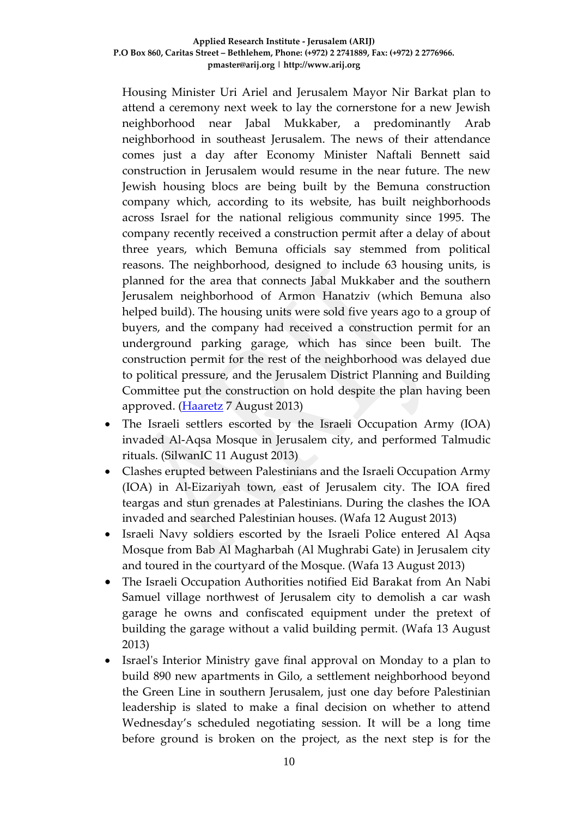Housing Minister Uri Ariel and Jerusalem Mayor Nir Barkat plan to attend a ceremony next week to lay the cornerstone for a new Jewish neighborhood near Jabal Mukkaber, a predominantly Arab neighborhood in southeast Jerusalem. The news of their attendance comes just a day after Economy Minister Naftali Bennett said construction in Jerusalem would resume in the near future. The new Jewish housing blocs are being built by the Bemuna construction company which, according to its website, has built neighborhoods across Israel for the national religious community since 1995. The company recently received a construction permit after a delay of about three years, which Bemuna officials say stemmed from political reasons. The neighborhood, designed to include 63 housing units, is planned for the area that connects Jabal Mukkaber and the southern Jerusalem neighborhood of Armon Hanatziv (which Bemuna also helped build). The housing units were sold five years ago to a group of buyers, and the company had received a construction permit for an underground parking garage, which has since been built. The construction permit for the rest of the neighborhood was delayed due to political pressure, and the Jerusalem District Planning and Building Committee put the construction on hold despite the plan having been approved. [\(Haaretz](http://www.haaretz.com/news/national/.premium-1.540080) 7 August 2013)

- The Israeli settlers escorted by the Israeli Occupation Army (IOA) invaded Al-Aqsa Mosque in Jerusalem city, and performed Talmudic rituals. (SilwanIC 11 August 2013)
- Clashes erupted between Palestinians and the Israeli Occupation Army (IOA) in Al-Eizariyah town, east of Jerusalem city. The IOA fired teargas and stun grenades at Palestinians. During the clashes the IOA invaded and searched Palestinian houses. (Wafa 12 August 2013)
- Israeli Navy soldiers escorted by the Israeli Police entered Al Aqsa Mosque from Bab Al Magharbah (Al Mughrabi Gate) in Jerusalem city and toured in the courtyard of the Mosque. (Wafa 13 August 2013)
- The Israeli Occupation Authorities notified Eid Barakat from An Nabi Samuel village northwest of Jerusalem city to demolish a car wash garage he owns and confiscated equipment under the pretext of building the garage without a valid building permit. (Wafa 13 August 2013)
- Israel's Interior Ministry gave final approval on Monday to a plan to build 890 new apartments in Gilo, a settlement neighborhood beyond the Green Line in southern Jerusalem, just one day before Palestinian leadership is slated to make a final decision on whether to attend Wednesday's scheduled negotiating session. It will be a long time before ground is broken on the project, as the next step is for the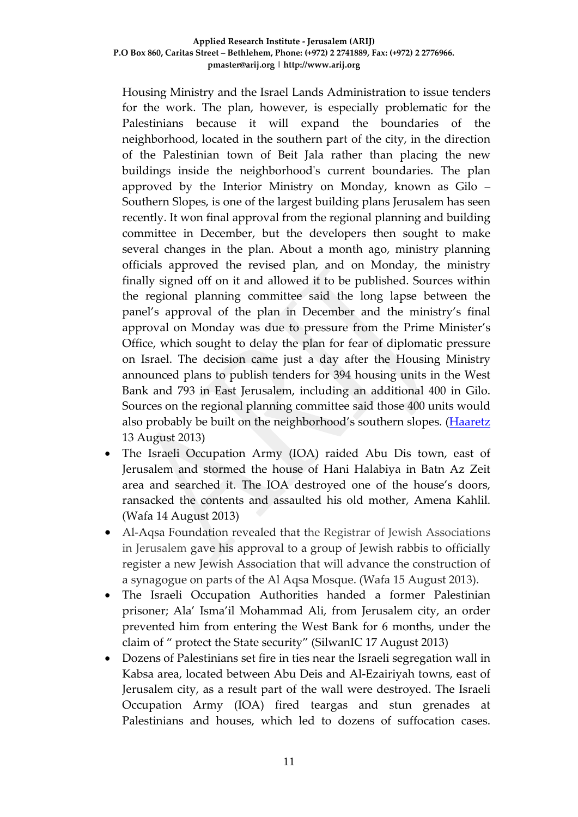Housing Ministry and the Israel Lands Administration to issue tenders for the work. The plan, however, is especially problematic for the Palestinians because it will expand the boundaries of the neighborhood, located in the southern part of the city, in the direction of the Palestinian town of Beit Jala rather than placing the new buildings inside the neighborhood's current boundaries. The plan approved by the Interior Ministry on Monday, known as Gilo – Southern Slopes, is one of the largest building plans Jerusalem has seen recently. It won final approval from the regional planning and building committee in December, but the developers then sought to make several changes in the plan. About a month ago, ministry planning officials approved the revised plan, and on Monday, the ministry finally signed off on it and allowed it to be published. Sources within the regional planning committee said the long lapse between the panel's approval of the plan in December and the ministry's final approval on Monday was due to pressure from the Prime Minister's Office, which sought to delay the plan for fear of diplomatic pressure on Israel. The decision came just a day after the Housing Ministry announced plans to publish tenders for 394 housing units in the West Bank and 793 in East Jerusalem, including an additional 400 in Gilo. Sources on the regional planning committee said those 400 units would also probably be built on the neighborhood's southern slopes. [\(Haaretz](http://www.haaretz.com/news/diplomacy-defense/.premium-1.541149) 13 August 2013)

- The Israeli Occupation Army (IOA) raided Abu Dis town, east of Jerusalem and stormed the house of Hani Halabiya in Batn Az Zeit area and searched it. The IOA destroyed one of the house's doors, ransacked the contents and assaulted his old mother, Amena Kahlil. (Wafa 14 August 2013)
- Al-Aqsa Foundation revealed that the Registrar of Jewish Associations in Jerusalem gave his approval to a group of Jewish rabbis to officially register a new Jewish Association that will advance the construction of a synagogue on parts of the Al Aqsa Mosque. (Wafa 15 August 2013).
- The Israeli Occupation Authorities handed a former Palestinian prisoner; Ala' Isma'il Mohammad Ali, from Jerusalem city, an order prevented him from entering the West Bank for 6 months, under the claim of " protect the State security" (SilwanIC 17 August 2013)
- Dozens of Palestinians set fire in ties near the Israeli segregation wall in Kabsa area, located between Abu Deis and Al-Ezairiyah towns, east of Jerusalem city, as a result part of the wall were destroyed. The Israeli Occupation Army (IOA) fired teargas and stun grenades at Palestinians and houses, which led to dozens of suffocation cases.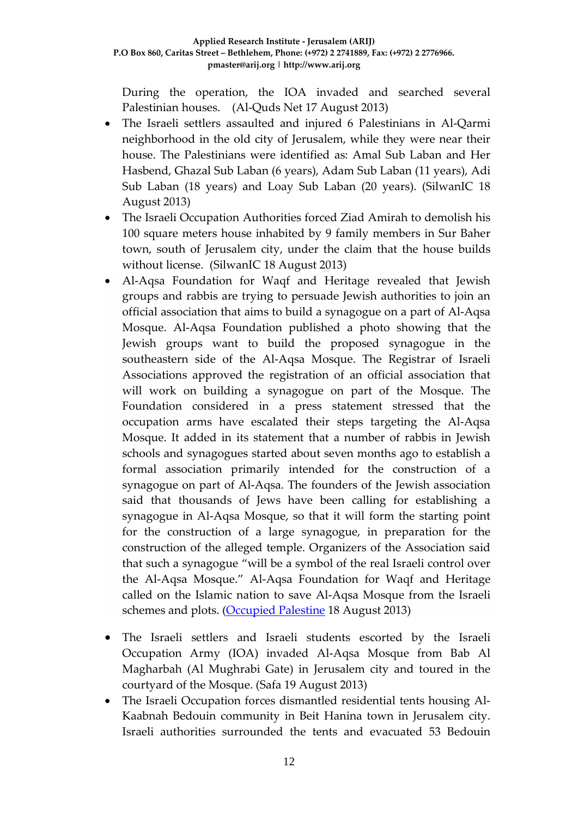During the operation, the IOA invaded and searched several Palestinian houses. (Al-Quds Net 17 August 2013)

- The Israeli settlers assaulted and injured 6 Palestinians in Al-Qarmi neighborhood in the old city of Jerusalem, while they were near their house. The Palestinians were identified as: Amal Sub Laban and Her Hasbend, Ghazal Sub Laban (6 years), Adam Sub Laban (11 years), Adi Sub Laban (18 years) and Loay Sub Laban (20 years). (SilwanIC 18 August 2013)
- The Israeli Occupation Authorities forced Ziad Amirah to demolish his 100 square meters house inhabited by 9 family members in Sur Baher town, south of Jerusalem city, under the claim that the house builds without license. (SilwanIC 18 August 2013)
- Al-Aqsa Foundation for Waqf and Heritage revealed that Jewish groups and rabbis are trying to persuade Jewish authorities to join an official association that aims to build a synagogue on a part of Al-Aqsa Mosque. Al-Aqsa Foundation published a photo showing that the Jewish groups want to build the proposed synagogue in the southeastern side of the Al-Aqsa Mosque. The Registrar of Israeli Associations approved the registration of an official association that will work on building a synagogue on part of the Mosque. The Foundation considered in a press statement stressed that the occupation arms have escalated their steps targeting the Al-Aqsa Mosque. It added in its statement that a number of rabbis in Jewish schools and synagogues started about seven months ago to establish a formal association primarily intended for the construction of a synagogue on part of Al-Aqsa. The founders of the Jewish association said that thousands of Jews have been calling for establishing a synagogue in Al-Aqsa Mosque, so that it will form the starting point for the construction of a large synagogue, in preparation for the construction of the alleged temple. Organizers of the Association said that such a synagogue "will be a symbol of the real Israeli control over the Al-Aqsa Mosque." Al-Aqsa Foundation for Waqf and Heritage called on the Islamic nation to save Al-Aqsa Mosque from the Israeli schemes and plots. [\(Occupied Palestine](http://occupiedpalestine.wordpress.com/2013/08/19/occupation-forms-an-association-that-aims-to-build-a-synagogue-in-al-aqsa/) 18 August 2013)
- The Israeli settlers and Israeli students escorted by the Israeli Occupation Army (IOA) invaded Al-Aqsa Mosque from Bab Al Magharbah (Al Mughrabi Gate) in Jerusalem city and toured in the courtyard of the Mosque. (Safa 19 August 2013)
- The Israeli Occupation forces dismantled residential tents housing Al-Kaabnah Bedouin community in Beit Hanina town in Jerusalem city. Israeli authorities surrounded the tents and evacuated 53 Bedouin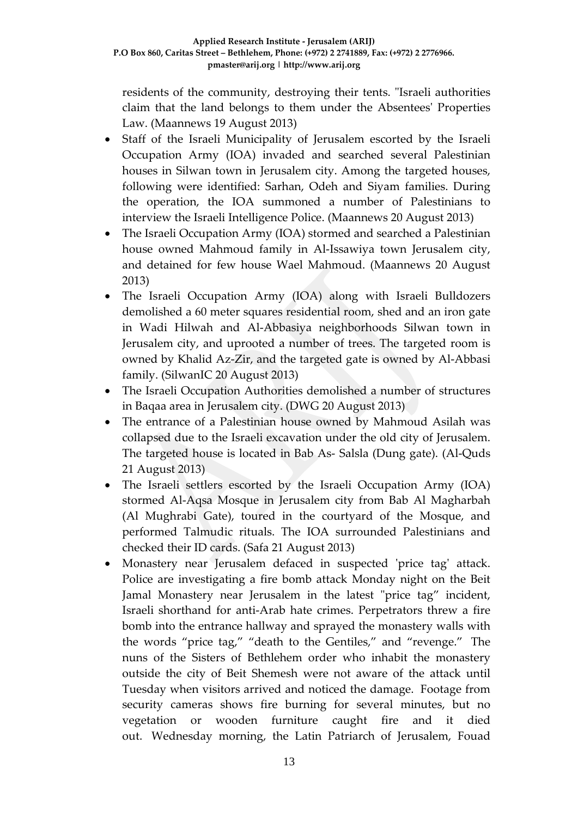residents of the community, destroying their tents. "Israeli authorities claim that the land belongs to them under the Absentees' Properties Law. (Maannews 19 August 2013)

- Staff of the Israeli Municipality of Jerusalem escorted by the Israeli Occupation Army (IOA) invaded and searched several Palestinian houses in Silwan town in Jerusalem city. Among the targeted houses, following were identified: Sarhan, Odeh and Siyam families. During the operation, the IOA summoned a number of Palestinians to interview the Israeli Intelligence Police. (Maannews 20 August 2013)
- The Israeli Occupation Army (IOA) stormed and searched a Palestinian house owned Mahmoud family in Al-Issawiya town Jerusalem city, and detained for few house Wael Mahmoud. (Maannews 20 August 2013)
- The Israeli Occupation Army (IOA) along with Israeli Bulldozers demolished a 60 meter squares residential room, shed and an iron gate in Wadi Hilwah and Al-Abbasiya neighborhoods Silwan town in Jerusalem city, and uprooted a number of trees. The targeted room is owned by Khalid Az-Zir, and the targeted gate is owned by Al-Abbasi family. (SilwanIC 20 August 2013)
- The Israeli Occupation Authorities demolished a number of structures in Baqaa area in Jerusalem city. (DWG 20 August 2013)
- The entrance of a Palestinian house owned by Mahmoud Asilah was collapsed due to the Israeli excavation under the old city of Jerusalem. The targeted house is located in Bab As- Salsla (Dung gate). (Al-Quds 21 August 2013)
- The Israeli settlers escorted by the Israeli Occupation Army (IOA) stormed Al-Aqsa Mosque in Jerusalem city from Bab Al Magharbah (Al Mughrabi Gate), toured in the courtyard of the Mosque, and performed Talmudic rituals. The IOA surrounded Palestinians and checked their ID cards. (Safa 21 August 2013)
- Monastery near Jerusalem defaced in suspected 'price tag' attack. Police are investigating a fire bomb attack Monday night on the Beit Jamal Monastery near Jerusalem in the latest "price tag" incident, Israeli shorthand for anti-Arab hate crimes. Perpetrators threw a fire bomb into the entrance hallway and sprayed the monastery walls with the words "price tag," "death to the Gentiles," and "revenge." The nuns of the Sisters of Bethlehem order who inhabit the monastery outside the city of Beit Shemesh were not aware of the attack until Tuesday when visitors arrived and noticed the damage. Footage from security cameras shows fire burning for several minutes, but no vegetation or wooden furniture caught fire and it died out. Wednesday morning, the Latin Patriarch of Jerusalem, Fouad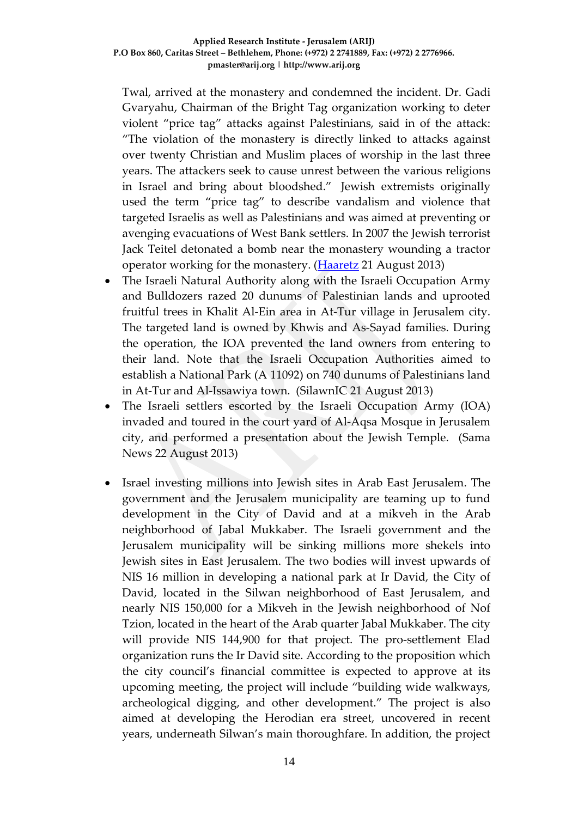Twal, arrived at the monastery and condemned the incident. Dr. Gadi Gvaryahu, Chairman of the Bright Tag organization working to deter violent "price tag" attacks against Palestinians, said in of the attack: "The violation of the monastery is directly linked to attacks against over twenty Christian and Muslim places of worship in the last three years. The attackers seek to cause unrest between the various religions in Israel and bring about bloodshed." Jewish extremists originally used the term "price tag" to describe vandalism and violence that targeted Israelis as well as Palestinians and was aimed at preventing or avenging evacuations of West Bank settlers. In 2007 the Jewish terrorist Jack Teitel detonated a bomb near the monastery wounding a tractor operator working for the monastery. [\(Haaretz](http://www.haaretz.com/news/national/1.542771) 21 August 2013)

- The Israeli Natural Authority along with the Israeli Occupation Army and Bulldozers razed 20 dunums of Palestinian lands and uprooted fruitful trees in Khalit Al-Ein area in At-Tur village in Jerusalem city. The targeted land is owned by Khwis and As-Sayad families. During the operation, the IOA prevented the land owners from entering to their land. Note that the Israeli Occupation Authorities aimed to establish a National Park (A 11092) on 740 dunums of Palestinians land in At-Tur and Al-Issawiya town. (SilawnIC 21 August 2013)
- The Israeli settlers escorted by the Israeli Occupation Army (IOA) invaded and toured in the court yard of Al-Aqsa Mosque in Jerusalem city, and performed a presentation about the Jewish Temple. (Sama News 22 August 2013)
- Israel investing millions into Jewish sites in Arab East Jerusalem. The government and the Jerusalem municipality are teaming up to fund development in the City of David and at a mikveh in the Arab neighborhood of Jabal Mukkaber. The Israeli government and the Jerusalem municipality will be sinking millions more shekels into Jewish sites in East Jerusalem. The two bodies will invest upwards of NIS 16 million in developing a national park at Ir David, the City of David, located in the Silwan neighborhood of East Jerusalem, and nearly NIS 150,000 for a Mikveh in the Jewish neighborhood of Nof Tzion, located in the heart of the Arab quarter Jabal Mukkaber. The city will provide NIS 144,900 for that project. The pro-settlement Elad organization runs the Ir David site. According to the proposition which the city council's financial committee is expected to approve at its upcoming meeting, the project will include "building wide walkways, archeological digging, and other development." The project is also aimed at developing the Herodian era street, uncovered in recent years, underneath Silwan's main thoroughfare. In addition, the project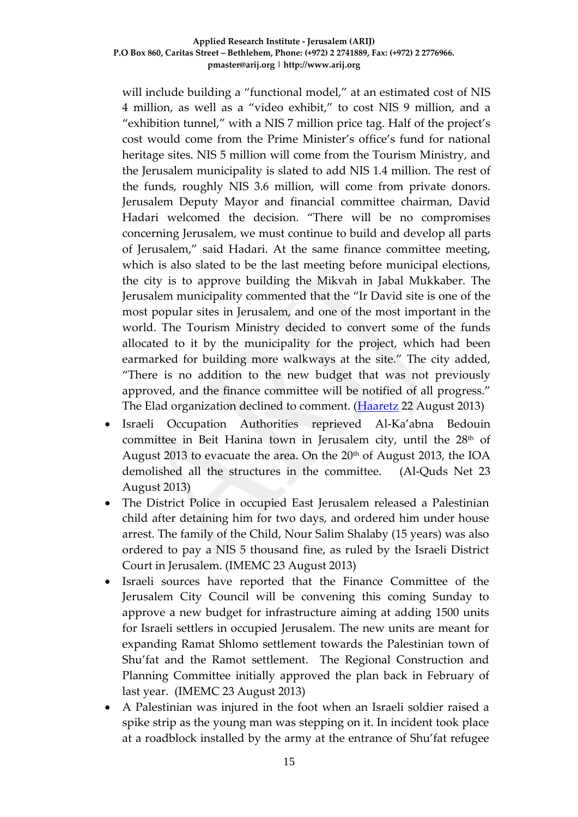will include building a "functional model," at an estimated cost of NIS 4 million, as well as a "video exhibit," to cost NIS 9 million, and a "exhibition tunnel," with a NIS 7 million price tag. Half of the project's cost would come from the Prime Minister's office's fund for national heritage sites. NIS 5 million will come from the Tourism Ministry, and the Jerusalem municipality is slated to add NIS 1.4 million. The rest of the funds, roughly NIS 3.6 million, will come from private donors. Jerusalem Deputy Mayor and financial committee chairman, David Hadari welcomed the decision. "There will be no compromises concerning Jerusalem, we must continue to build and develop all parts of Jerusalem," said Hadari. At the same finance committee meeting, which is also slated to be the last meeting before municipal elections, the city is to approve building the Mikvah in Jabal Mukkaber. The Jerusalem municipality commented that the "Ir David site is one of the most popular sites in Jerusalem, and one of the most important in the world. The Tourism Ministry decided to convert some of the funds allocated to it by the municipality for the project, which had been earmarked for building more walkways at the site." The city added, "There is no addition to the new budget that was not previously approved, and the finance committee will be notified of all progress." The Elad organization declined to comment. [\(Haaretz](http://www.haaretz.com/news/national/.premium-1.542985) 22 August 2013)

- Israeli Occupation Authorities reprieved Al-Ka'abna Bedouin committee in Beit Hanina town in Jerusalem city, until the 28<sup>th</sup> of August 2013 to evacuate the area. On the 20<sup>th</sup> of August 2013, the IOA demolished all the structures in the committee. (Al-Quds Net 23 August 2013)
- The District Police in occupied East Jerusalem released a Palestinian child after detaining him for two days, and ordered him under house arrest. The family of the Child, Nour Salim Shalaby (15 years) was also ordered to pay a NIS 5 thousand fine, as ruled by the Israeli District Court in Jerusalem. (IMEMC 23 August 2013)
- Israeli sources have reported that the Finance Committee of the Jerusalem City Council will be convening this coming Sunday to approve a new budget for infrastructure aiming at adding 1500 units for Israeli settlers in occupied Jerusalem. The new units are meant for expanding Ramat Shlomo settlement towards the Palestinian town of Shu'fat and the Ramot settlement. The Regional Construction and Planning Committee initially approved the plan back in February of last year. (IMEMC 23 August 2013)
- A Palestinian was injured in the foot when an Israeli soldier raised a spike strip as the young man was stepping on it. In incident took place at a roadblock installed by the army at the entrance of Shu'fat refugee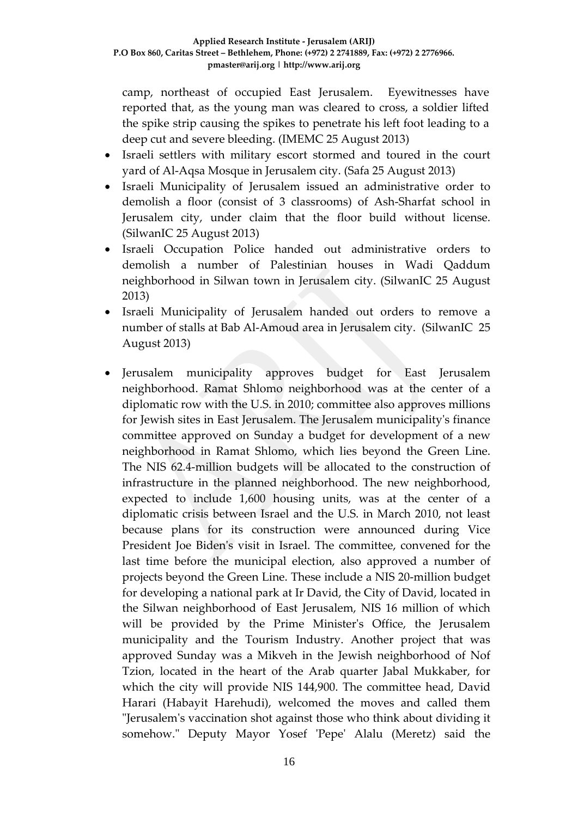camp, northeast of occupied East Jerusalem. Eyewitnesses have reported that, as the young man was cleared to cross, a soldier lifted the spike strip causing the spikes to penetrate his left foot leading to a deep cut and severe bleeding. (IMEMC 25 August 2013)

- Israeli settlers with military escort stormed and toured in the court yard of Al-Aqsa Mosque in Jerusalem city. (Safa 25 August 2013)
- Israeli Municipality of Jerusalem issued an administrative order to demolish a floor (consist of 3 classrooms) of Ash-Sharfat school in Jerusalem city, under claim that the floor build without license. (SilwanIC 25 August 2013)
- Israeli Occupation Police handed out administrative orders to demolish a number of Palestinian houses in Wadi Qaddum neighborhood in Silwan town in Jerusalem city. (SilwanIC 25 August 2013)
- Israeli Municipality of Jerusalem handed out orders to remove a number of stalls at Bab Al-Amoud area in Jerusalem city. (SilwanIC 25 August 2013)
- Jerusalem municipality approves budget for East Jerusalem neighborhood. Ramat Shlomo neighborhood was at the center of a diplomatic row with the U.S. in 2010; committee also approves millions for Jewish sites in East Jerusalem. The Jerusalem municipality's finance committee approved on Sunday a budget for development of a new neighborhood in Ramat Shlomo, which lies beyond the Green Line. The NIS 62.4-million budgets will be allocated to the construction of infrastructure in the planned neighborhood. The new neighborhood, expected to include 1,600 housing units, was at the center of a diplomatic crisis between Israel and the U.S. in March 2010, not least because plans for its construction were announced during Vice President Joe Biden's visit in Israel. The committee, convened for the last time before the municipal election, also approved a number of projects beyond the Green Line. These include a NIS 20-million budget for developing a national park at Ir David, the City of David, located in the Silwan neighborhood of East Jerusalem, NIS 16 million of which will be provided by the Prime Minister's Office, the Jerusalem municipality and the Tourism Industry. Another project that was approved Sunday was a Mikveh in the Jewish neighborhood of Nof Tzion, located in the heart of the Arab quarter Jabal Mukkaber, for which the city will provide NIS 144,900. The committee head, David Harari (Habayit Harehudi), welcomed the moves and called them "Jerusalem's vaccination shot against those who think about dividing it somehow." Deputy Mayor Yosef 'Pepe' Alalu (Meretz) said the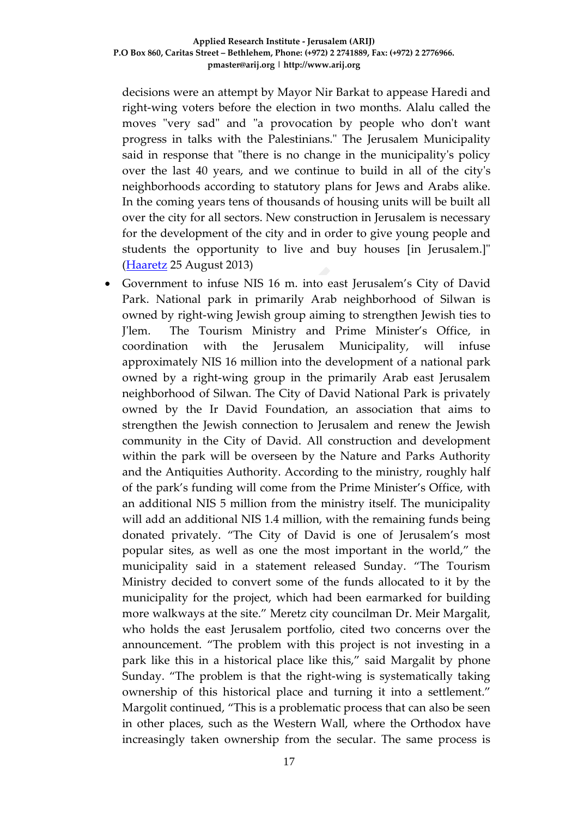decisions were an attempt by Mayor Nir Barkat to appease Haredi and right-wing voters before the election in two months. Alalu called the moves "very sad" and "a provocation by people who don't want progress in talks with the Palestinians." The Jerusalem Municipality said in response that "there is no change in the municipality's policy over the last 40 years, and we continue to build in all of the city's neighborhoods according to statutory plans for Jews and Arabs alike. In the coming years tens of thousands of housing units will be built all over the city for all sectors. New construction in Jerusalem is necessary for the development of the city and in order to give young people and students the opportunity to live and buy houses [in Jerusalem.]" [\(Haaretz](http://www.haaretz.com/news/diplomacy-defense/.premium-1.543520) 25 August 2013)

• Government to infuse NIS 16 m. into east Jerusalem's City of David Park. National park in primarily Arab neighborhood of Silwan is owned by right-wing Jewish group aiming to strengthen Jewish ties to J'lem. The Tourism Ministry and Prime Minister's Office, in coordination with the Jerusalem Municipality, will infuse approximately NIS 16 million into the development of a national park owned by a right-wing group in the primarily Arab east Jerusalem neighborhood of Silwan. The City of David National Park is privately owned by the Ir David Foundation, an association that aims to strengthen the Jewish connection to Jerusalem and renew the Jewish community in the City of David. All construction and development within the park will be overseen by the Nature and Parks Authority and the Antiquities Authority. According to the ministry, roughly half of the park's funding will come from the Prime Minister's Office, with an additional NIS 5 million from the ministry itself. The municipality will add an additional NIS 1.4 million, with the remaining funds being donated privately. "The City of David is one of Jerusalem's most popular sites, as well as one the most important in the world," the municipality said in a statement released Sunday. "The Tourism Ministry decided to convert some of the funds allocated to it by the municipality for the project, which had been earmarked for building more walkways at the site." Meretz city councilman Dr. Meir Margalit, who holds the east Jerusalem portfolio, cited two concerns over the announcement. "The problem with this project is not investing in a park like this in a historical place like this," said Margalit by phone Sunday. "The problem is that the right-wing is systematically taking ownership of this historical place and turning it into a settlement." Margolit continued, "This is a problematic process that can also be seen in other places, such as the Western Wall, where the Orthodox have increasingly taken ownership from the secular. The same process is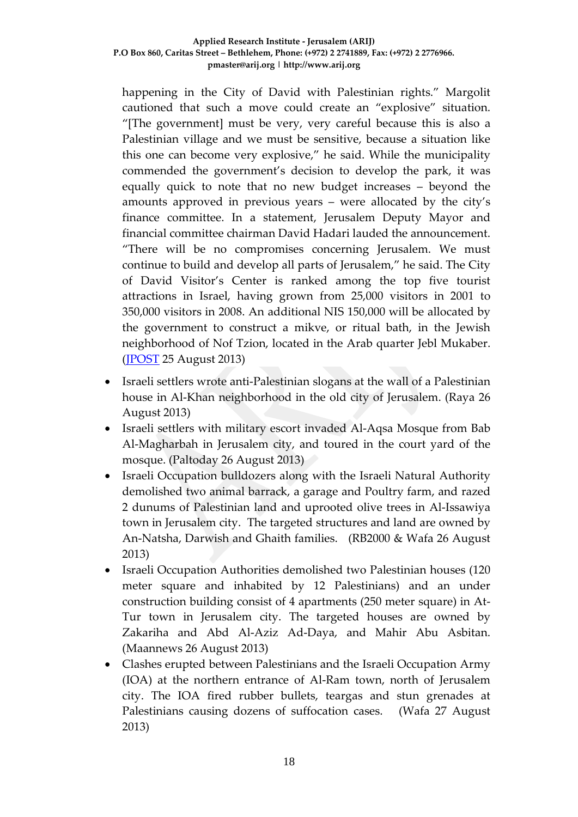happening in the City of David with Palestinian rights." Margolit cautioned that such a move could create an "explosive" situation. "[The government] must be very, very careful because this is also a Palestinian village and we must be sensitive, because a situation like this one can become very explosive," he said. While the municipality commended the government's decision to develop the park, it was equally quick to note that no new budget increases – beyond the amounts approved in previous years – were allocated by the city's finance committee. In a statement, Jerusalem Deputy Mayor and financial committee chairman David Hadari lauded the announcement. "There will be no compromises concerning Jerusalem. We must continue to build and develop all parts of Jerusalem," he said. The City of David Visitor's Center is ranked among the top five tourist attractions in Israel, having grown from 25,000 visitors in 2001 to 350,000 visitors in 2008. An additional NIS 150,000 will be allocated by the government to construct a mikve, or ritual bath, in the Jewish neighborhood of Nof Tzion, located in the Arab quarter Jebl Mukaber. [\(JPOST](http://www.jpost.com/National-News/Government-to-infuse-NIS-16-m-into-east-Jerusalems-City-of-David-park-324236) 25 August 2013)

- Israeli settlers wrote anti-Palestinian slogans at the wall of a Palestinian house in Al-Khan neighborhood in the old city of Jerusalem. (Raya 26 August 2013)
- Israeli settlers with military escort invaded Al-Aqsa Mosque from Bab Al-Magharbah in Jerusalem city, and toured in the court yard of the mosque. (Paltoday 26 August 2013)
- Israeli Occupation bulldozers along with the Israeli Natural Authority demolished two animal barrack, a garage and Poultry farm, and razed 2 dunums of Palestinian land and uprooted olive trees in Al-Issawiya town in Jerusalem city. The targeted structures and land are owned by An-Natsha, Darwish and Ghaith families. (RB2000 & Wafa 26 August 2013)
- Israeli Occupation Authorities demolished two Palestinian houses (120) meter square and inhabited by 12 Palestinians) and an under construction building consist of 4 apartments (250 meter square) in At-Tur town in Jerusalem city. The targeted houses are owned by Zakariha and Abd Al-Aziz Ad-Daya, and Mahir Abu Asbitan. (Maannews 26 August 2013)
- Clashes erupted between Palestinians and the Israeli Occupation Army (IOA) at the northern entrance of Al-Ram town, north of Jerusalem city. The IOA fired rubber bullets, teargas and stun grenades at Palestinians causing dozens of suffocation cases. (Wafa 27 August 2013)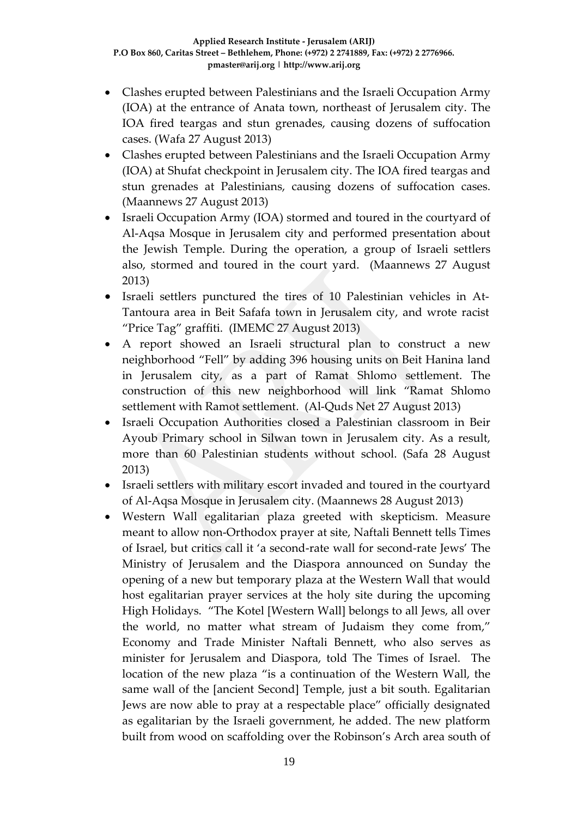- Clashes erupted between Palestinians and the Israeli Occupation Army (IOA) at the entrance of Anata town, northeast of Jerusalem city. The IOA fired teargas and stun grenades, causing dozens of suffocation cases. (Wafa 27 August 2013)
- Clashes erupted between Palestinians and the Israeli Occupation Army (IOA) at Shufat checkpoint in Jerusalem city. The IOA fired teargas and stun grenades at Palestinians, causing dozens of suffocation cases. (Maannews 27 August 2013)
- Israeli Occupation Army (IOA) stormed and toured in the courtyard of Al-Aqsa Mosque in Jerusalem city and performed presentation about the Jewish Temple. During the operation, a group of Israeli settlers also, stormed and toured in the court yard. (Maannews 27 August 2013)
- Israeli settlers punctured the tires of 10 Palestinian vehicles in At-Tantoura area in Beit Safafa town in Jerusalem city, and wrote racist "Price Tag" graffiti. (IMEMC 27 August 2013)
- A report showed an Israeli structural plan to construct a new neighborhood "Fell" by adding 396 housing units on Beit Hanina land in Jerusalem city, as a part of Ramat Shlomo settlement. The construction of this new neighborhood will link "Ramat Shlomo settlement with Ramot settlement. (Al-Quds Net 27 August 2013)
- Israeli Occupation Authorities closed a Palestinian classroom in Beir Ayoub Primary school in Silwan town in Jerusalem city. As a result, more than 60 Palestinian students without school. (Safa 28 August 2013)
- Israeli settlers with military escort invaded and toured in the courtyard of Al-Aqsa Mosque in Jerusalem city. (Maannews 28 August 2013)
- Western Wall egalitarian plaza greeted with skepticism. Measure meant to allow non-Orthodox prayer at site, Naftali Bennett tells Times of Israel, but critics call it 'a second-rate wall for second-rate Jews' The Ministry of Jerusalem and the Diaspora announced on Sunday the opening of a new but temporary plaza at the Western Wall that would host egalitarian prayer services at the holy site during the upcoming High Holidays. "The Kotel [Western Wall] belongs to all Jews, all over the world, no matter what stream of Judaism they come from," Economy and Trade Minister Naftali Bennett, who also serves as minister for Jerusalem and Diaspora, told The Times of Israel. The location of the new plaza "is a continuation of the Western Wall, the same wall of the [ancient Second] Temple, just a bit south. Egalitarian Jews are now able to pray at a respectable place" officially designated as egalitarian by the Israeli government, he added. The new platform built from wood on scaffolding over the Robinson's Arch area south of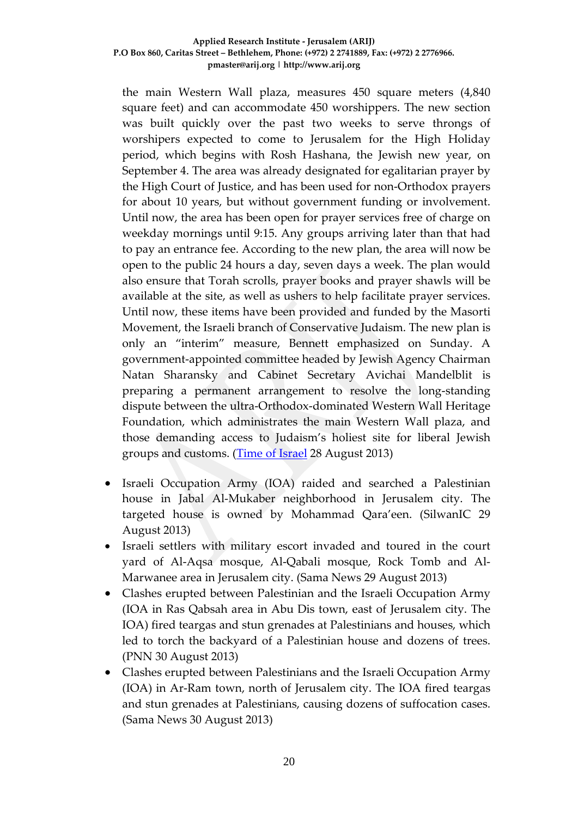the main Western Wall plaza, measures 450 square meters (4,840 square feet) and can accommodate 450 worshippers. The new section was built quickly over the past two weeks to serve throngs of worshipers expected to come to Jerusalem for the High Holiday period, which begins with Rosh Hashana, the Jewish new year, on September 4. The area was already designated for egalitarian prayer by the High Court of Justice, and has been used for non-Orthodox prayers for about 10 years, but without government funding or involvement. Until now, the area has been open for prayer services free of charge on weekday mornings until 9:15. Any groups arriving later than that had to pay an entrance fee. According to the new plan, the area will now be open to the public 24 hours a day, seven days a week. The plan would also ensure that Torah scrolls, prayer books and prayer shawls will be available at the site, as well as ushers to help facilitate prayer services. Until now, these items have been provided and funded by the Masorti Movement, the Israeli branch of Conservative Judaism. The new plan is only an "interim" measure, Bennett emphasized on Sunday. A government-appointed committee headed by Jewish Agency Chairman Natan Sharansky and Cabinet Secretary Avichai Mandelblit is preparing a permanent arrangement to resolve the long-standing dispute between the ultra-Orthodox-dominated Western Wall Heritage Foundation, which administrates the main Western Wall plaza, and those demanding access to Judaism's holiest site for liberal Jewish groups and customs. [\(Time of Israel](http://www.timesofisrael.com/western-wall-egalitarian-plaza-greeted-with-skepticism/) 28 August 2013)

- Israeli Occupation Army (IOA) raided and searched a Palestinian house in Jabal Al-Mukaber neighborhood in Jerusalem city. The targeted house is owned by Mohammad Qara'een. (SilwanIC 29 August 2013)
- Israeli settlers with military escort invaded and toured in the court yard of Al-Aqsa mosque, Al-Qabali mosque, Rock Tomb and Al-Marwanee area in Jerusalem city. (Sama News 29 August 2013)
- Clashes erupted between Palestinian and the Israeli Occupation Army (IOA in Ras Qabsah area in Abu Dis town, east of Jerusalem city. The IOA) fired teargas and stun grenades at Palestinians and houses, which led to torch the backyard of a Palestinian house and dozens of trees. (PNN 30 August 2013)
- Clashes erupted between Palestinians and the Israeli Occupation Army (IOA) in Ar-Ram town, north of Jerusalem city. The IOA fired teargas and stun grenades at Palestinians, causing dozens of suffocation cases. (Sama News 30 August 2013)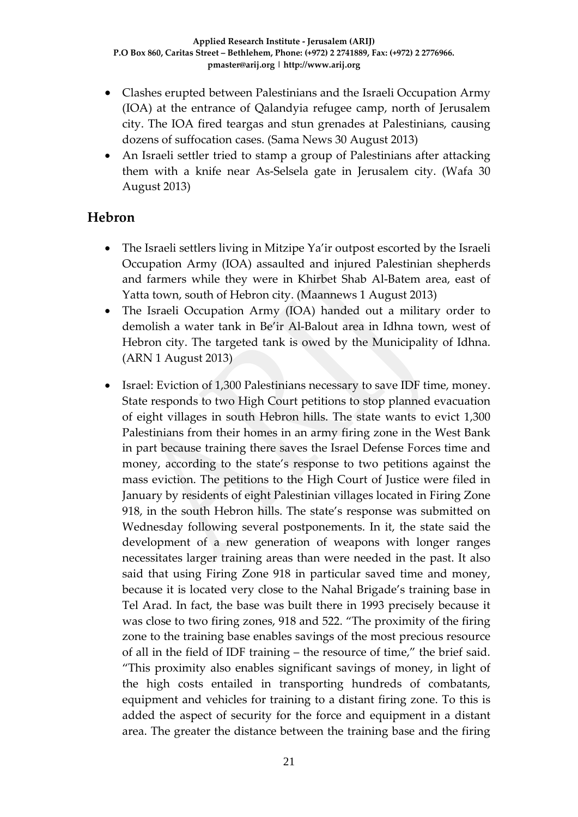- Clashes erupted between Palestinians and the Israeli Occupation Army (IOA) at the entrance of Qalandyia refugee camp, north of Jerusalem city. The IOA fired teargas and stun grenades at Palestinians, causing dozens of suffocation cases. (Sama News 30 August 2013)
- An Israeli settler tried to stamp a group of Palestinians after attacking them with a knife near As-Selsela gate in Jerusalem city. (Wafa 30 August 2013)

### **Hebron**

- The Israeli settlers living in Mitzipe Ya'ir outpost escorted by the Israeli Occupation Army (IOA) assaulted and injured Palestinian shepherds and farmers while they were in Khirbet Shab Al-Batem area, east of Yatta town, south of Hebron city. (Maannews 1 August 2013)
- The Israeli Occupation Army (IOA) handed out a military order to demolish a water tank in Be'ir Al-Balout area in Idhna town, west of Hebron city. The targeted tank is owed by the Municipality of Idhna. (ARN 1 August 2013)
- Israel: Eviction of 1,300 Palestinians necessary to save IDF time, money. State responds to two High Court petitions to stop planned evacuation of eight villages in south Hebron hills. The state wants to evict 1,300 [Palestinians](http://www.haaretz.com/misc/tags/Palestinians-1.477125) from their homes in an army firing zone in the West Bank in part because training there saves the [Israel Defense Forces](http://www.haaretz.com/misc/tags/IDF-1.476775) time and money, according to the state's response to two petitions against the mass eviction. The petitions to the High Court of Justice were filed in January by residents of eight Palestinian villages located in Firing Zone 918, in the south Hebron hills. The state's response was submitted on Wednesday following several postponements. In it, the state said the development of a new generation of weapons with longer ranges necessitates larger training areas than were needed in the past. It also said that using Firing Zone 918 in particular saved time and money, because it is located very close to the Nahal Brigade's training base in Tel Arad. In fact, the base was built there in 1993 precisely because it was close to two firing zones, 918 and 522. "The proximity of the firing zone to the training base enables savings of the most precious resource of all in the field of IDF training – the resource of time," the brief said. "This proximity also enables significant savings of money, in light of the high costs entailed in transporting hundreds of combatants, equipment and vehicles for training to a distant firing zone. To this is added the aspect of security for the force and equipment in a distant area. The greater the distance between the training base and the firing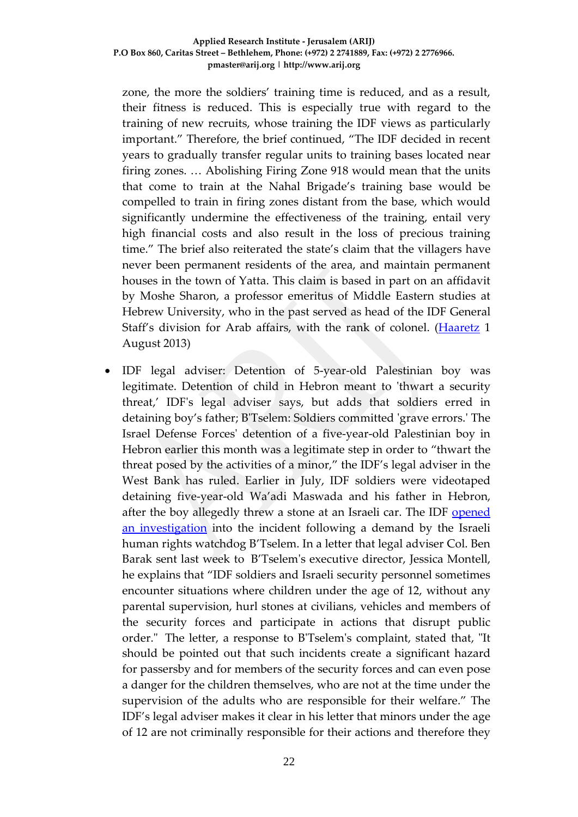zone, the more the soldiers' training time is reduced, and as a result, their fitness is reduced. This is especially true with regard to the training of new recruits, whose training the IDF views as particularly important." Therefore, the brief continued, "The IDF decided in recent years to gradually transfer regular units to training bases located near firing zones. … Abolishing Firing Zone 918 would mean that the units that come to train at the Nahal Brigade's training base would be compelled to train in firing zones distant from the base, which would significantly undermine the effectiveness of the training, entail very high financial costs and also result in the loss of precious training time." The brief also reiterated the state's claim that the villagers have never been permanent residents of the area, and maintain permanent houses in the town of Yatta. This claim is based in part on an affidavit by Moshe Sharon, a professor emeritus of Middle Eastern studies at Hebrew University, who in the past served as head of the IDF General Staff's division for Arab affairs, with the rank of colonel. [\(Haaretz](http://www.haaretz.com/news/diplomacy-defense/.premium-1.539057) 1 August 2013)

• IDF legal adviser: Detention of 5-year-old Palestinian boy was legitimate. Detention of child in Hebron meant to 'thwart a security threat,' IDF's legal adviser says, but adds that soldiers erred in detaining boy's father; B'Tselem: Soldiers committed 'grave errors.' The Israel Defense Forces' detention of a five-year-old Palestinian boy in Hebron earlier this month was a legitimate step in order to "thwart the threat posed by the activities of a minor," the IDF's legal adviser in the West Bank has ruled. Earlier in July, IDF soldiers were videotaped detaining five-year-old Wa'adi Maswada and his father in Hebron, after the boy allegedly threw a stone at an Israeli car. The IDF [opened](http://www.haaretz.com/news/diplomacy-defense/.premium-1.536150)  [an investigation](http://www.haaretz.com/news/diplomacy-defense/.premium-1.536150) into the incident following a demand by the Israeli human rights watchdog B'Tselem. In a letter that legal adviser Col. Ben Barak sent last week to B'Tselem's executive director, Jessica Montell, he explains that "IDF soldiers and Israeli security personnel sometimes encounter situations where children under the age of 12, without any parental supervision, hurl stones at civilians, vehicles and members of the security forces and participate in actions that disrupt public order." The letter, a response to B'Tselem's complaint, stated that, "It should be pointed out that such incidents create a significant hazard for passersby and for members of the security forces and can even pose a danger for the children themselves, who are not at the time under the supervision of the adults who are responsible for their welfare." The IDF's legal adviser makes it clear in his letter that minors under the age of 12 are not criminally responsible for their actions and therefore they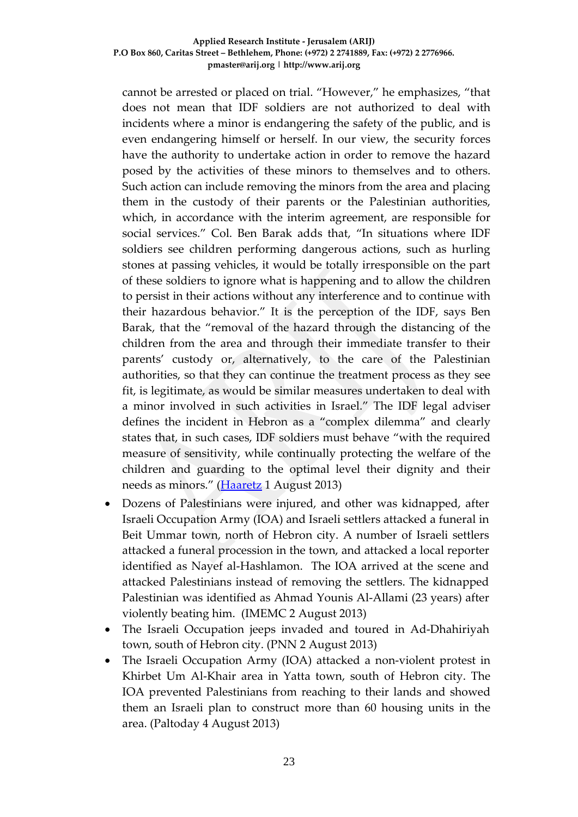cannot be arrested or placed on trial. "However," he emphasizes, "that does not mean that IDF soldiers are not authorized to deal with incidents where a minor is endangering the safety of the public, and is even endangering himself or herself. In our view, the security forces have the authority to undertake action in order to remove the hazard posed by the activities of these minors to themselves and to others. Such action can include removing the minors from the area and placing them in the custody of their parents or the Palestinian authorities, which, in accordance with the interim agreement, are responsible for social services." Col. Ben Barak adds that, "In situations where IDF soldiers see children performing dangerous actions, such as hurling stones at passing vehicles, it would be totally irresponsible on the part of these soldiers to ignore what is happening and to allow the children to persist in their actions without any interference and to continue with their hazardous behavior." It is the perception of the IDF, says Ben Barak, that the "removal of the hazard through the distancing of the children from the area and through their immediate transfer to their parents' custody or, alternatively, to the care of the Palestinian authorities, so that they can continue the treatment process as they see fit, is legitimate, as would be similar measures undertaken to deal with a minor involved in such activities in Israel." The IDF legal adviser defines the incident in Hebron as a "complex dilemma" and clearly states that, in such cases, IDF soldiers must behave "with the required measure of sensitivity, while continually protecting the welfare of the children and guarding to the optimal level their dignity and their needs as minors." [\(Haaretz](http://www.haaretz.com/news/diplomacy-defense/.premium-1.538995) 1 August 2013)

- Dozens of Palestinians were injured, and other was kidnapped, after Israeli Occupation Army (IOA) and Israeli settlers attacked a funeral in Beit Ummar town, north of Hebron city. A number of Israeli settlers attacked a funeral procession in the town, and attacked a local reporter identified as Nayef al-Hashlamon. The IOA arrived at the scene and attacked Palestinians instead of removing the settlers. The kidnapped Palestinian was identified as Ahmad Younis Al-Allami (23 years) after violently beating him. (IMEMC 2 August 2013)
- The Israeli Occupation jeeps invaded and toured in Ad-Dhahiriyah town, south of Hebron city. (PNN 2 August 2013)
- The Israeli Occupation Army (IOA) attacked a non-violent protest in Khirbet Um Al-Khair area in Yatta town, south of Hebron city. The IOA prevented Palestinians from reaching to their lands and showed them an Israeli plan to construct more than 60 housing units in the area. (Paltoday 4 August 2013)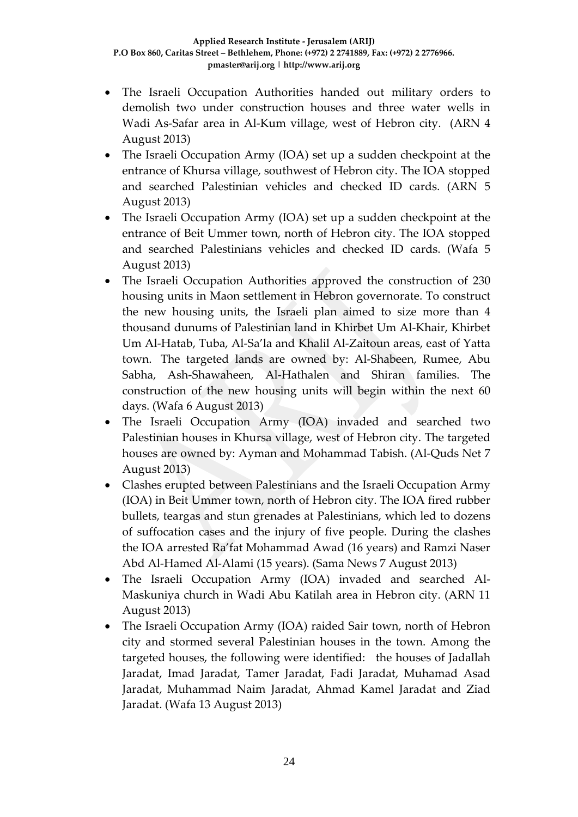- The Israeli Occupation Authorities handed out military orders to demolish two under construction houses and three water wells in Wadi As-Safar area in Al-Kum village, west of Hebron city. (ARN 4 August 2013)
- The Israeli Occupation Army (IOA) set up a sudden checkpoint at the entrance of Khursa village, southwest of Hebron city. The IOA stopped and searched Palestinian vehicles and checked ID cards. (ARN 5 August 2013)
- The Israeli Occupation Army (IOA) set up a sudden checkpoint at the entrance of Beit Ummer town, north of Hebron city. The IOA stopped and searched Palestinians vehicles and checked ID cards. (Wafa 5 August 2013)
- The Israeli Occupation Authorities approved the construction of 230 housing units in Maon settlement in Hebron governorate. To construct the new housing units, the Israeli plan aimed to size more than 4 thousand dunums of Palestinian land in Khirbet Um Al-Khair, Khirbet Um Al-Hatab, Tuba, Al-Sa'la and Khalil Al-Zaitoun areas, east of Yatta town. The targeted lands are owned by: Al-Shabeen, Rumee, Abu Sabha, Ash-Shawaheen, Al-Hathalen and Shiran families. The construction of the new housing units will begin within the next 60 days. (Wafa 6 August 2013)
- The Israeli Occupation Army (IOA) invaded and searched two Palestinian houses in Khursa village, west of Hebron city. The targeted houses are owned by: Ayman and Mohammad Tabish. (Al-Quds Net 7 August 2013)
- Clashes erupted between Palestinians and the Israeli Occupation Army (IOA) in Beit Ummer town, north of Hebron city. The IOA fired rubber bullets, teargas and stun grenades at Palestinians, which led to dozens of suffocation cases and the injury of five people. During the clashes the IOA arrested Ra'fat Mohammad Awad (16 years) and Ramzi Naser Abd Al-Hamed Al-Alami (15 years). (Sama News 7 August 2013)
- The Israeli Occupation Army (IOA) invaded and searched Al-Maskuniya church in Wadi Abu Katilah area in Hebron city. (ARN 11 August 2013)
- The Israeli Occupation Army (IOA) raided Sair town, north of Hebron city and stormed several Palestinian houses in the town. Among the targeted houses, the following were identified: the houses of Jadallah Jaradat, Imad Jaradat, Tamer Jaradat, Fadi Jaradat, Muhamad Asad Jaradat, Muhammad Naim Jaradat, Ahmad Kamel Jaradat and Ziad Jaradat. (Wafa 13 August 2013)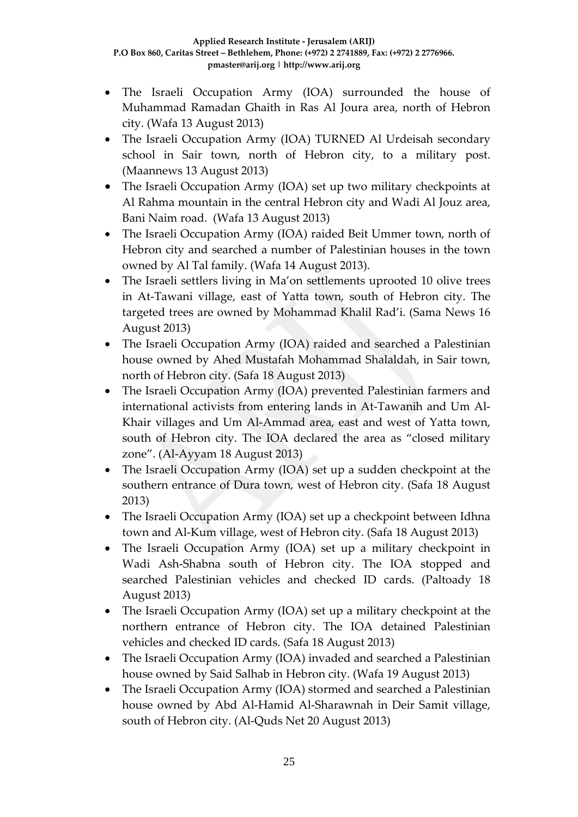- The Israeli Occupation Army (IOA) surrounded the house of Muhammad Ramadan Ghaith in Ras Al Joura area, north of Hebron city. (Wafa 13 August 2013)
- The Israeli Occupation Army (IOA) TURNED Al Urdeisah secondary school in Sair town, north of Hebron city, to a military post. (Maannews 13 August 2013)
- The Israeli Occupation Army (IOA) set up two military checkpoints at Al Rahma mountain in the central Hebron city and Wadi Al Jouz area, Bani Naim road. (Wafa 13 August 2013)
- The Israeli Occupation Army (IOA) raided Beit Ummer town, north of Hebron city and searched a number of Palestinian houses in the town owned by Al Tal family. (Wafa 14 August 2013).
- The Israeli settlers living in Ma'on settlements uprooted 10 olive trees in At-Tawani village, east of Yatta town, south of Hebron city. The targeted trees are owned by Mohammad Khalil Rad'i. (Sama News 16 August 2013)
- The Israeli Occupation Army (IOA) raided and searched a Palestinian house owned by Ahed Mustafah Mohammad Shalaldah, in Sair town, north of Hebron city. (Safa 18 August 2013)
- The Israeli Occupation Army (IOA) prevented Palestinian farmers and international activists from entering lands in At-Tawanih and Um Al-Khair villages and Um Al-Ammad area, east and west of Yatta town, south of Hebron city. The IOA declared the area as "closed military zone". (Al-Ayyam 18 August 2013)
- The Israeli Occupation Army (IOA) set up a sudden checkpoint at the southern entrance of Dura town, west of Hebron city. (Safa 18 August 2013)
- The Israeli Occupation Army (IOA) set up a checkpoint between Idhna town and Al-Kum village, west of Hebron city. (Safa 18 August 2013)
- The Israeli Occupation Army (IOA) set up a military checkpoint in Wadi Ash-Shabna south of Hebron city. The IOA stopped and searched Palestinian vehicles and checked ID cards. (Paltoady 18 August 2013)
- The Israeli Occupation Army (IOA) set up a military checkpoint at the northern entrance of Hebron city. The IOA detained Palestinian vehicles and checked ID cards. (Safa 18 August 2013)
- The Israeli Occupation Army (IOA) invaded and searched a Palestinian house owned by Said Salhab in Hebron city. (Wafa 19 August 2013)
- The Israeli Occupation Army (IOA) stormed and searched a Palestinian house owned by Abd Al-Hamid Al-Sharawnah in Deir Samit village, south of Hebron city. (Al-Quds Net 20 August 2013)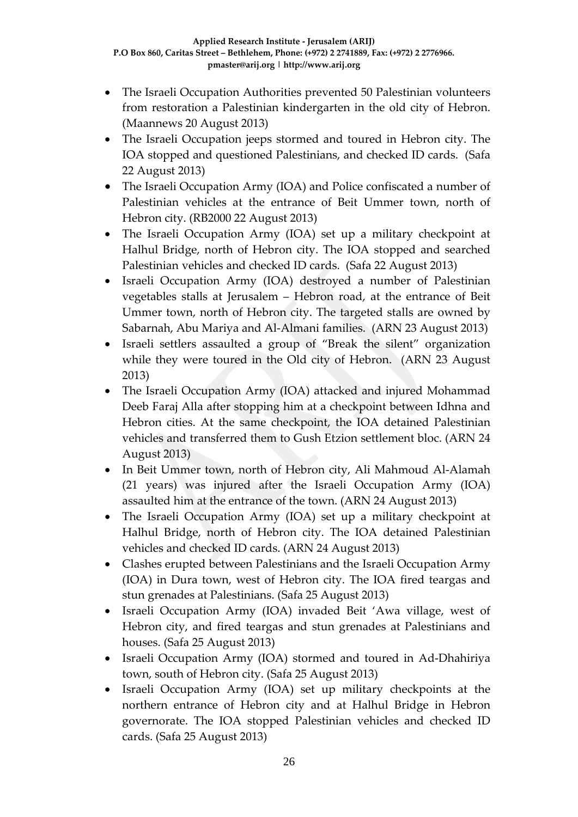- The Israeli Occupation Authorities prevented 50 Palestinian volunteers from restoration a Palestinian kindergarten in the old city of Hebron. (Maannews 20 August 2013)
- The Israeli Occupation jeeps stormed and toured in Hebron city. The IOA stopped and questioned Palestinians, and checked ID cards. (Safa 22 August 2013)
- The Israeli Occupation Army (IOA) and Police confiscated a number of Palestinian vehicles at the entrance of Beit Ummer town, north of Hebron city. (RB2000 22 August 2013)
- The Israeli Occupation Army (IOA) set up a military checkpoint at Halhul Bridge, north of Hebron city. The IOA stopped and searched Palestinian vehicles and checked ID cards. (Safa 22 August 2013)
- Israeli Occupation Army (IOA) destroyed a number of Palestinian vegetables stalls at Jerusalem – Hebron road, at the entrance of Beit Ummer town, north of Hebron city. The targeted stalls are owned by Sabarnah, Abu Mariya and Al-Almani families. (ARN 23 August 2013)
- Israeli settlers assaulted a group of "Break the silent" organization while they were toured in the Old city of Hebron. (ARN 23 August 2013)
- The Israeli Occupation Army (IOA) attacked and injured Mohammad Deeb Faraj Alla after stopping him at a checkpoint between Idhna and Hebron cities. At the same checkpoint, the IOA detained Palestinian vehicles and transferred them to Gush Etzion settlement bloc. (ARN 24 August 2013)
- In Beit Ummer town, north of Hebron city, Ali Mahmoud Al-Alamah (21 years) was injured after the Israeli Occupation Army (IOA) assaulted him at the entrance of the town. (ARN 24 August 2013)
- The Israeli Occupation Army (IOA) set up a military checkpoint at Halhul Bridge, north of Hebron city. The IOA detained Palestinian vehicles and checked ID cards. (ARN 24 August 2013)
- Clashes erupted between Palestinians and the Israeli Occupation Army (IOA) in Dura town, west of Hebron city. The IOA fired teargas and stun grenades at Palestinians. (Safa 25 August 2013)
- Israeli Occupation Army (IOA) invaded Beit 'Awa village, west of Hebron city, and fired teargas and stun grenades at Palestinians and houses. (Safa 25 August 2013)
- Israeli Occupation Army (IOA) stormed and toured in Ad-Dhahiriya town, south of Hebron city. (Safa 25 August 2013)
- Israeli Occupation Army (IOA) set up military checkpoints at the northern entrance of Hebron city and at Halhul Bridge in Hebron governorate. The IOA stopped Palestinian vehicles and checked ID cards. (Safa 25 August 2013)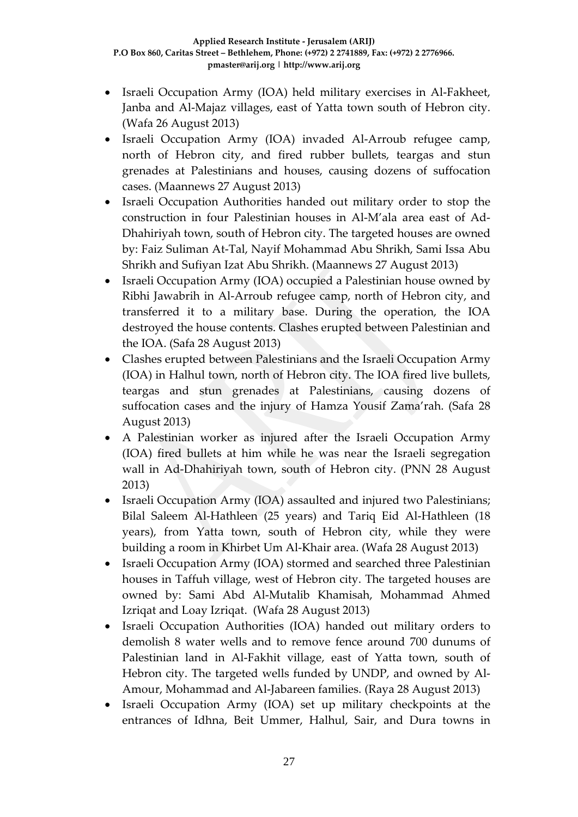- Israeli Occupation Army (IOA) held military exercises in Al-Fakheet, Janba and Al-Majaz villages, east of Yatta town south of Hebron city. (Wafa 26 August 2013)
- Israeli Occupation Army (IOA) invaded Al-Arroub refugee camp, north of Hebron city, and fired rubber bullets, teargas and stun grenades at Palestinians and houses, causing dozens of suffocation cases. (Maannews 27 August 2013)
- Israeli Occupation Authorities handed out military order to stop the construction in four Palestinian houses in Al-M'ala area east of Ad-Dhahiriyah town, south of Hebron city. The targeted houses are owned by: Faiz Suliman At-Tal, Nayif Mohammad Abu Shrikh, Sami Issa Abu Shrikh and Sufiyan Izat Abu Shrikh. (Maannews 27 August 2013)
- Israeli Occupation Army (IOA) occupied a Palestinian house owned by Ribhi Jawabrih in Al-Arroub refugee camp, north of Hebron city, and transferred it to a military base. During the operation, the IOA destroyed the house contents. Clashes erupted between Palestinian and the IOA. (Safa 28 August 2013)
- Clashes erupted between Palestinians and the Israeli Occupation Army (IOA) in Halhul town, north of Hebron city. The IOA fired live bullets, teargas and stun grenades at Palestinians, causing dozens of suffocation cases and the injury of Hamza Yousif Zama'rah. (Safa 28 August 2013)
- A Palestinian worker as injured after the Israeli Occupation Army (IOA) fired bullets at him while he was near the Israeli segregation wall in Ad-Dhahiriyah town, south of Hebron city. (PNN 28 August 2013)
- Israeli Occupation Army (IOA) assaulted and injured two Palestinians; Bilal Saleem Al-Hathleen (25 years) and Tariq Eid Al-Hathleen (18 years), from Yatta town, south of Hebron city, while they were building a room in Khirbet Um Al-Khair area. (Wafa 28 August 2013)
- Israeli Occupation Army (IOA) stormed and searched three Palestinian houses in Taffuh village, west of Hebron city. The targeted houses are owned by: Sami Abd Al-Mutalib Khamisah, Mohammad Ahmed Izriqat and Loay Izriqat. (Wafa 28 August 2013)
- Israeli Occupation Authorities (IOA) handed out military orders to demolish 8 water wells and to remove fence around 700 dunums of Palestinian land in Al-Fakhit village, east of Yatta town, south of Hebron city. The targeted wells funded by UNDP, and owned by Al-Amour, Mohammad and Al-Jabareen families. (Raya 28 August 2013)
- Israeli Occupation Army (IOA) set up military checkpoints at the entrances of Idhna, Beit Ummer, Halhul, Sair, and Dura towns in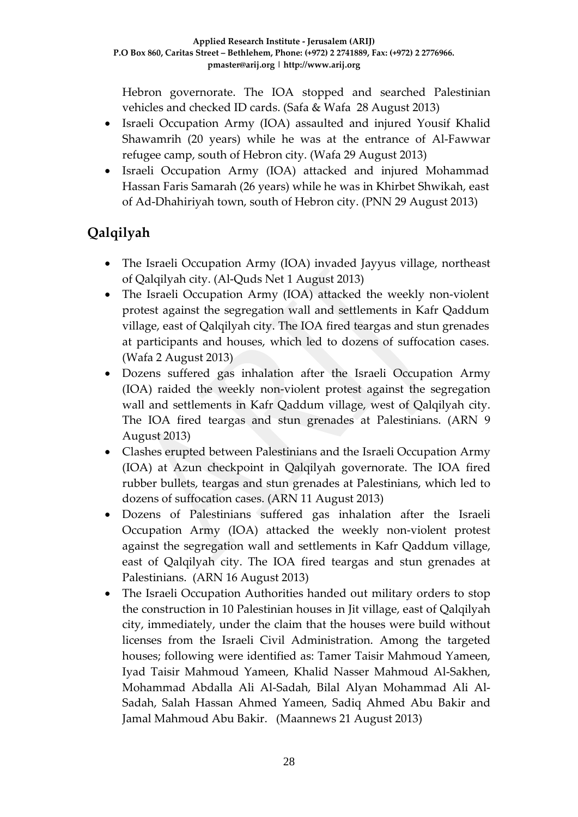Hebron governorate. The IOA stopped and searched Palestinian vehicles and checked ID cards. (Safa & Wafa 28 August 2013)

- Israeli Occupation Army (IOA) assaulted and injured Yousif Khalid Shawamrih (20 years) while he was at the entrance of Al-Fawwar refugee camp, south of Hebron city. (Wafa 29 August 2013)
- Israeli Occupation Army (IOA) attacked and injured Mohammad Hassan Faris Samarah (26 years) while he was in Khirbet Shwikah, east of Ad-Dhahiriyah town, south of Hebron city. (PNN 29 August 2013)

# **Qalqilyah**

- The Israeli Occupation Army (IOA) invaded Jayyus village, northeast of Qalqilyah city. (Al-Quds Net 1 August 2013)
- The Israeli Occupation Army (IOA) attacked the weekly non-violent protest against the segregation wall and settlements in Kafr Qaddum village, east of Qalqilyah city. The IOA fired teargas and stun grenades at participants and houses, which led to dozens of suffocation cases. (Wafa 2 August 2013)
- Dozens suffered gas inhalation after the Israeli Occupation Army (IOA) raided the weekly non-violent protest against the segregation wall and settlements in Kafr Qaddum village, west of Qalqilyah city. The IOA fired teargas and stun grenades at Palestinians. (ARN 9 August 2013)
- Clashes erupted between Palestinians and the Israeli Occupation Army (IOA) at Azun checkpoint in Qalqilyah governorate. The IOA fired rubber bullets, teargas and stun grenades at Palestinians, which led to dozens of suffocation cases. (ARN 11 August 2013)
- Dozens of Palestinians suffered gas inhalation after the Israeli Occupation Army (IOA) attacked the weekly non-violent protest against the segregation wall and settlements in Kafr Qaddum village, east of Qalqilyah city. The IOA fired teargas and stun grenades at Palestinians. (ARN 16 August 2013)
- The Israeli Occupation Authorities handed out military orders to stop the construction in 10 Palestinian houses in Jit village, east of Qalqilyah city, immediately, under the claim that the houses were build without licenses from the Israeli Civil Administration. Among the targeted houses; following were identified as: Tamer Taisir Mahmoud Yameen, Iyad Taisir Mahmoud Yameen, Khalid Nasser Mahmoud Al-Sakhen, Mohammad Abdalla Ali Al-Sadah, Bilal Alyan Mohammad Ali Al-Sadah, Salah Hassan Ahmed Yameen, Sadiq Ahmed Abu Bakir and Jamal Mahmoud Abu Bakir. (Maannews 21 August 2013)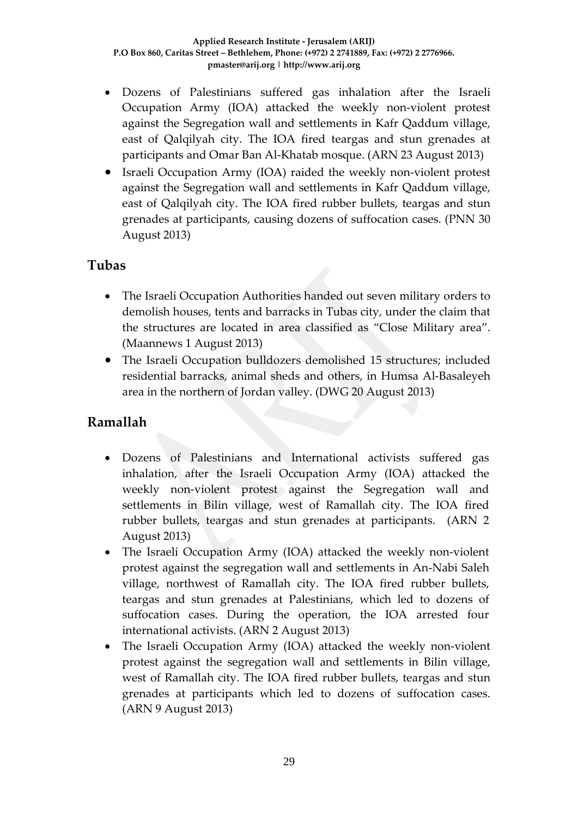- Dozens of Palestinians suffered gas inhalation after the Israeli Occupation Army (IOA) attacked the weekly non-violent protest against the Segregation wall and settlements in Kafr Qaddum village, east of Qalqilyah city. The IOA fired teargas and stun grenades at participants and Omar Ban Al-Khatab mosque. (ARN 23 August 2013)
- Israeli Occupation Army (IOA) raided the weekly non-violent protest against the Segregation wall and settlements in Kafr Qaddum village, east of Qalqilyah city. The IOA fired rubber bullets, teargas and stun grenades at participants, causing dozens of suffocation cases. (PNN 30 August 2013)

### **Tubas**

- The Israeli Occupation Authorities handed out seven military orders to demolish houses, tents and barracks in Tubas city, under the claim that the structures are located in area classified as "Close Military area". (Maannews 1 August 2013)
- The Israeli Occupation bulldozers demolished 15 structures; included residential barracks, animal sheds and others, in Humsa Al-Basaleyeh area in the northern of Jordan valley. (DWG 20 August 2013)

### **Ramallah**

- Dozens of Palestinians and International activists suffered gas inhalation, after the Israeli Occupation Army (IOA) attacked the weekly non-violent protest against the Segregation wall and settlements in Bilin village, west of Ramallah city. The IOA fired rubber bullets, teargas and stun grenades at participants. (ARN 2 August 2013)
- The Israeli Occupation Army (IOA) attacked the weekly non-violent protest against the segregation wall and settlements in An-Nabi Saleh village, northwest of Ramallah city. The IOA fired rubber bullets, teargas and stun grenades at Palestinians, which led to dozens of suffocation cases. During the operation, the IOA arrested four international activists. (ARN 2 August 2013)
- The Israeli Occupation Army (IOA) attacked the weekly non-violent protest against the segregation wall and settlements in Bilin village, west of Ramallah city. The IOA fired rubber bullets, teargas and stun grenades at participants which led to dozens of suffocation cases. (ARN 9 August 2013)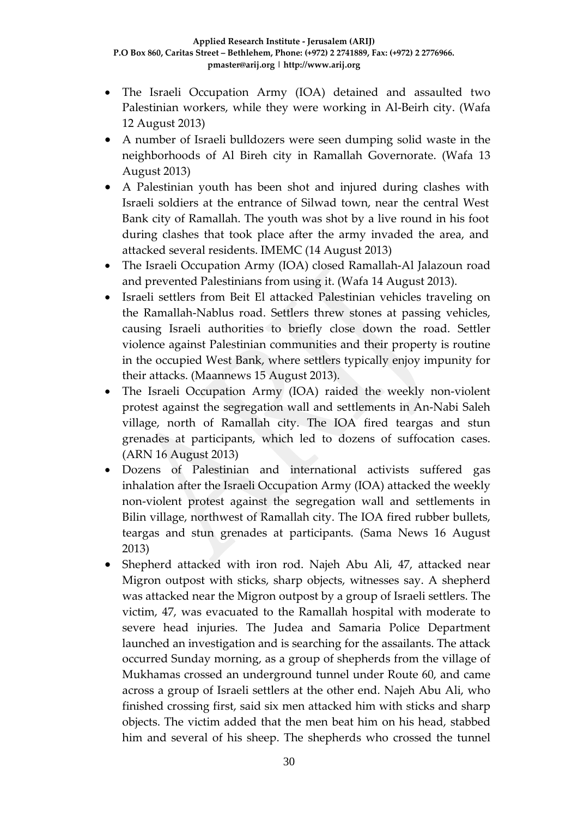- The Israeli Occupation Army (IOA) detained and assaulted two Palestinian workers, while they were working in Al-Beirh city. (Wafa 12 August 2013)
- A number of Israeli bulldozers were seen dumping solid waste in the neighborhoods of Al Bireh city in Ramallah Governorate. (Wafa 13 August 2013)
- A Palestinian youth has been shot and injured during clashes with Israeli soldiers at the entrance of Silwad town, near the central West Bank city of Ramallah. The youth was shot by a live round in his foot during clashes that took place after the army invaded the area, and attacked several residents. IMEMC (14 August 2013)
- The Israeli Occupation Army (IOA) closed Ramallah-Al Jalazoun road and prevented Palestinians from using it. (Wafa 14 August 2013).
- Israeli settlers from Beit El attacked Palestinian vehicles traveling on the Ramallah-Nablus road. Settlers threw stones at passing vehicles, causing Israeli authorities to briefly close down the road. Settler violence against Palestinian communities and their property is routine in the occupied West Bank, where settlers typically enjoy impunity for their attacks. (Maannews 15 August 2013).
- The Israeli Occupation Army (IOA) raided the weekly non-violent protest against the segregation wall and settlements in An-Nabi Saleh village, north of Ramallah city. The IOA fired teargas and stun grenades at participants, which led to dozens of suffocation cases. (ARN 16 August 2013)
- Dozens of Palestinian and international activists suffered gas inhalation after the Israeli Occupation Army (IOA) attacked the weekly non-violent protest against the segregation wall and settlements in Bilin village, northwest of Ramallah city. The IOA fired rubber bullets, teargas and stun grenades at participants. (Sama News 16 August 2013)
- Shepherd attacked with iron rod. Najeh Abu Ali, 47, attacked near Migron outpost with sticks, sharp objects, witnesses say. A shepherd was attacked near the Migron outpost by a group of Israeli settlers. The victim, 47, was evacuated to the Ramallah hospital with moderate to severe head injuries. The Judea and Samaria Police Department launched an investigation and is searching for the assailants. The attack occurred Sunday morning, as a group of shepherds from the village of Mukhamas crossed an underground tunnel under Route 60, and came across a group of Israeli settlers at the other end. Najeh Abu Ali, who finished crossing first, said six men attacked him with sticks and sharp objects. The victim added that the men beat him on his head, stabbed him and several of his sheep. The shepherds who crossed the tunnel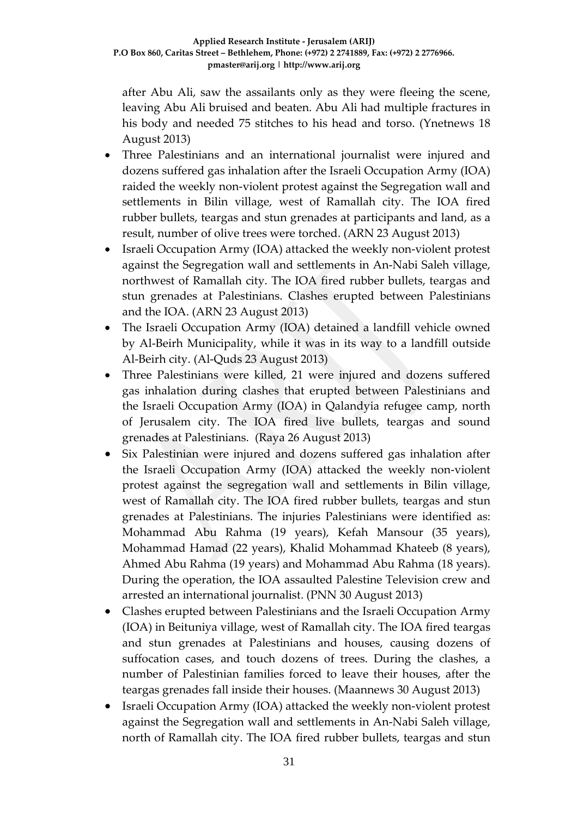after Abu Ali, saw the assailants only as they were fleeing the scene, leaving Abu Ali bruised and beaten. Abu Ali had multiple fractures in his body and needed 75 stitches to his head and torso. (Ynetnews 18 August 2013)

- Three Palestinians and an international journalist were injured and dozens suffered gas inhalation after the Israeli Occupation Army (IOA) raided the weekly non-violent protest against the Segregation wall and settlements in Bilin village, west of Ramallah city. The IOA fired rubber bullets, teargas and stun grenades at participants and land, as a result, number of olive trees were torched. (ARN 23 August 2013)
- Israeli Occupation Army (IOA) attacked the weekly non-violent protest against the Segregation wall and settlements in An-Nabi Saleh village, northwest of Ramallah city. The IOA fired rubber bullets, teargas and stun grenades at Palestinians. Clashes erupted between Palestinians and the IOA. (ARN 23 August 2013)
- The Israeli Occupation Army (IOA) detained a landfill vehicle owned by Al-Beirh Municipality, while it was in its way to a landfill outside Al-Beirh city. (Al-Quds 23 August 2013)
- Three Palestinians were killed, 21 were injured and dozens suffered gas inhalation during clashes that erupted between Palestinians and the Israeli Occupation Army (IOA) in Qalandyia refugee camp, north of Jerusalem city. The IOA fired live bullets, teargas and sound grenades at Palestinians. (Raya 26 August 2013)
- Six Palestinian were injured and dozens suffered gas inhalation after the Israeli Occupation Army (IOA) attacked the weekly non-violent protest against the segregation wall and settlements in Bilin village, west of Ramallah city. The IOA fired rubber bullets, teargas and stun grenades at Palestinians. The injuries Palestinians were identified as: Mohammad Abu Rahma (19 years), Kefah Mansour (35 years), Mohammad Hamad (22 years), Khalid Mohammad Khateeb (8 years), Ahmed Abu Rahma (19 years) and Mohammad Abu Rahma (18 years). During the operation, the IOA assaulted Palestine Television crew and arrested an international journalist. (PNN 30 August 2013)
- Clashes erupted between Palestinians and the Israeli Occupation Army (IOA) in Beituniya village, west of Ramallah city. The IOA fired teargas and stun grenades at Palestinians and houses, causing dozens of suffocation cases, and touch dozens of trees. During the clashes, a number of Palestinian families forced to leave their houses, after the teargas grenades fall inside their houses. (Maannews 30 August 2013)
- Israeli Occupation Army (IOA) attacked the weekly non-violent protest against the Segregation wall and settlements in An-Nabi Saleh village, north of Ramallah city. The IOA fired rubber bullets, teargas and stun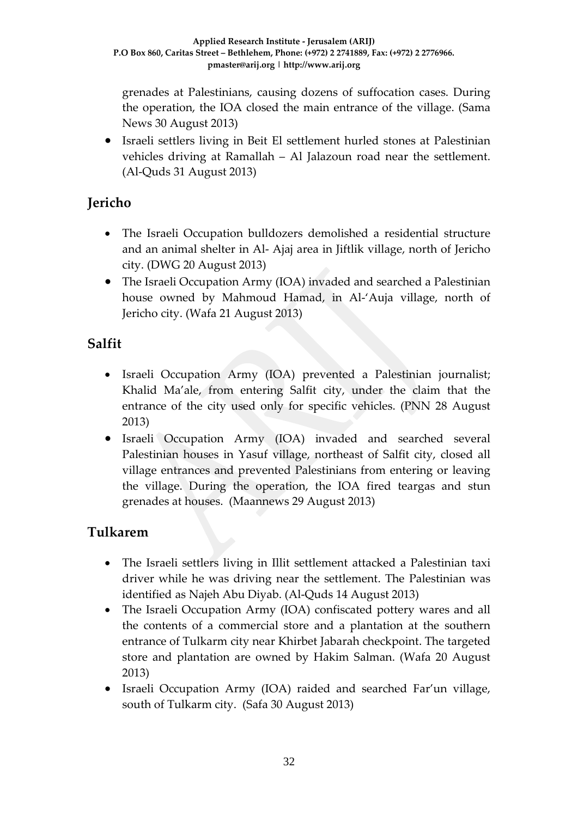grenades at Palestinians, causing dozens of suffocation cases. During the operation, the IOA closed the main entrance of the village. (Sama News 30 August 2013)

• Israeli settlers living in Beit El settlement hurled stones at Palestinian vehicles driving at Ramallah – Al Jalazoun road near the settlement. (Al-Quds 31 August 2013)

## **Jericho**

- The Israeli Occupation bulldozers demolished a residential structure and an animal shelter in Al- Ajaj area in Jiftlik village, north of Jericho city. (DWG 20 August 2013)
- The Israeli Occupation Army (IOA) invaded and searched a Palestinian house owned by Mahmoud Hamad, in Al-'Auja village, north of Jericho city. (Wafa 21 August 2013)

## **Salfit**

- Israeli Occupation Army (IOA) prevented a Palestinian journalist; Khalid Ma'ale, from entering Salfit city, under the claim that the entrance of the city used only for specific vehicles. (PNN 28 August 2013)
- Israeli Occupation Army (IOA) invaded and searched several Palestinian houses in Yasuf village, northeast of Salfit city, closed all village entrances and prevented Palestinians from entering or leaving the village. During the operation, the IOA fired teargas and stun grenades at houses. (Maannews 29 August 2013)

## **Tulkarem**

- The Israeli settlers living in Illit settlement attacked a Palestinian taxi driver while he was driving near the settlement. The Palestinian was identified as Najeh Abu Diyab. (Al-Quds 14 August 2013)
- The Israeli Occupation Army (IOA) confiscated pottery wares and all the contents of a commercial store and a plantation at the southern entrance of Tulkarm city near Khirbet Jabarah checkpoint. The targeted store and plantation are owned by Hakim Salman. (Wafa 20 August 2013)
- Israeli Occupation Army (IOA) raided and searched Far'un village, south of Tulkarm city. (Safa 30 August 2013)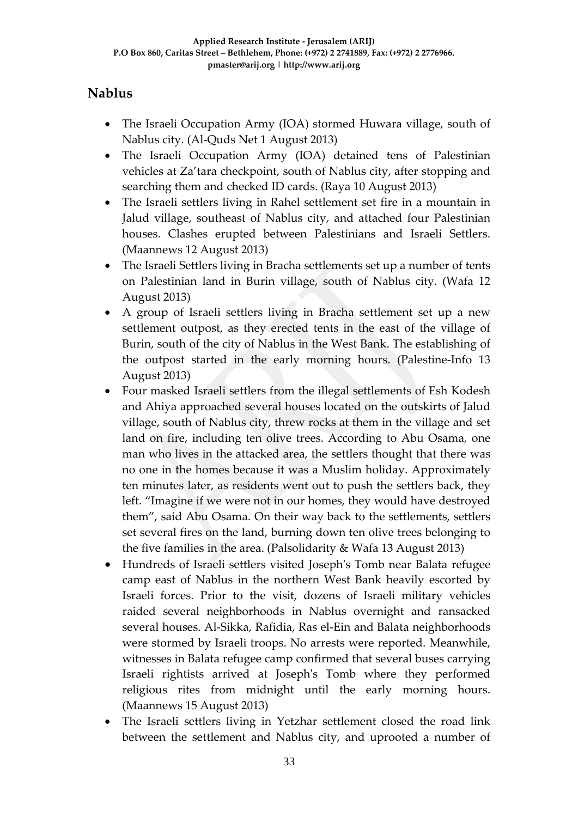## **Nablus**

- The Israeli Occupation Army (IOA) stormed Huwara village, south of Nablus city. (Al-Quds Net 1 August 2013)
- The Israeli Occupation Army (IOA) detained tens of Palestinian vehicles at Za'tara checkpoint, south of Nablus city, after stopping and searching them and checked ID cards. (Raya 10 August 2013)
- The Israeli settlers living in Rahel settlement set fire in a mountain in Jalud village, southeast of Nablus city, and attached four Palestinian houses. Clashes erupted between Palestinians and Israeli Settlers. (Maannews 12 August 2013)
- The Israeli Settlers living in Bracha settlements set up a number of tents on Palestinian land in Burin village, south of Nablus city. (Wafa 12 August 2013)
- A group of Israeli settlers living in Bracha settlement set up a new settlement outpost, as they erected tents in the east of the village of Burin, south of the city of Nablus in the West Bank. The establishing of the outpost started in the early morning hours. (Palestine-Info 13 August 2013)
- Four masked Israeli settlers from the illegal settlements of Esh Kodesh and Ahiya approached several houses located on the outskirts of Jalud village, south of Nablus city, threw rocks at them in the village and set land on fire, including ten olive trees. According to Abu Osama, one man who lives in the attacked area, the settlers thought that there was no one in the homes because it was a Muslim holiday. Approximately ten minutes later, as residents went out to push the settlers back, they left. "Imagine if we were not in our homes, they would have destroyed them", said Abu Osama. On their way back to the settlements, settlers set several fires on the land, burning down ten olive trees belonging to the five families in the area. (Palsolidarity & Wafa 13 August 2013)
- Hundreds of Israeli settlers visited Joseph's Tomb near Balata refugee camp east of Nablus in the northern West Bank heavily escorted by Israeli forces. Prior to the visit, dozens of Israeli military vehicles raided several neighborhoods in Nablus overnight and ransacked several houses. Al-Sikka, Rafidia, Ras el-Ein and Balata neighborhoods were stormed by Israeli troops. No arrests were reported. Meanwhile, witnesses in Balata refugee camp confirmed that several buses carrying Israeli rightists arrived at Joseph's Tomb where they performed religious rites from midnight until the early morning hours. (Maannews 15 August 2013)
- The Israeli settlers living in Yetzhar settlement closed the road link between the settlement and Nablus city, and uprooted a number of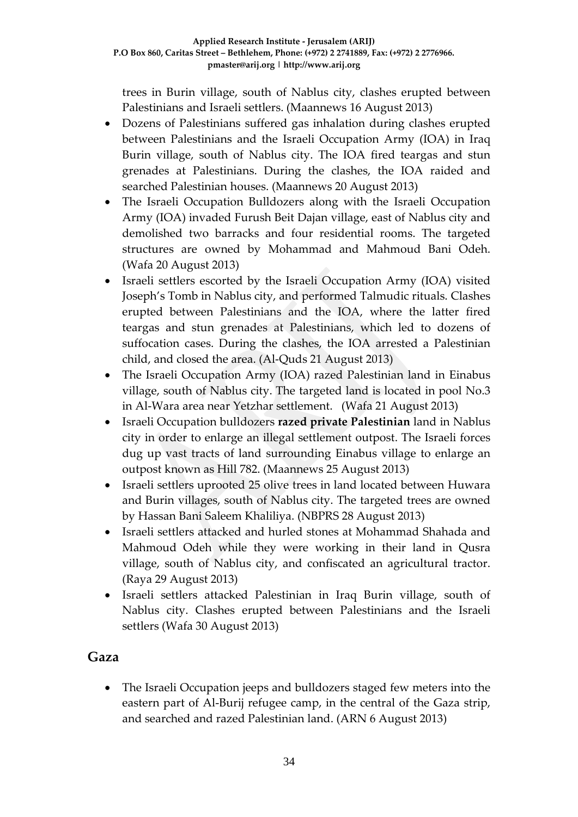trees in Burin village, south of Nablus city, clashes erupted between Palestinians and Israeli settlers. (Maannews 16 August 2013)

- Dozens of Palestinians suffered gas inhalation during clashes erupted between Palestinians and the Israeli Occupation Army (IOA) in Iraq Burin village, south of Nablus city. The IOA fired teargas and stun grenades at Palestinians. During the clashes, the IOA raided and searched Palestinian houses. (Maannews 20 August 2013)
- The Israeli Occupation Bulldozers along with the Israeli Occupation Army (IOA) invaded Furush Beit Dajan village, east of Nablus city and demolished two barracks and four residential rooms. The targeted structures are owned by Mohammad and Mahmoud Bani Odeh. (Wafa 20 August 2013)
- Israeli settlers escorted by the Israeli Occupation Army (IOA) visited Joseph's Tomb in Nablus city, and performed Talmudic rituals. Clashes erupted between Palestinians and the IOA, where the latter fired teargas and stun grenades at Palestinians, which led to dozens of suffocation cases. During the clashes, the IOA arrested a Palestinian child, and closed the area. (Al-Quds 21 August 2013)
- The Israeli Occupation Army (IOA) razed Palestinian land in Einabus village, south of Nablus city. The targeted land is located in pool No.3 in Al-Wara area near Yetzhar settlement. (Wafa 21 August 2013)
- Israeli Occupation bulldozers **razed private Palestinian** land in Nablus city in order to enlarge an illegal settlement outpost. The Israeli forces dug up vast tracts of land surrounding Einabus village to enlarge an outpost known as Hill 782. (Maannews 25 August 2013)
- Israeli settlers uprooted 25 olive trees in land located between Huwara and Burin villages, south of Nablus city. The targeted trees are owned by Hassan Bani Saleem Khaliliya. (NBPRS 28 August 2013)
- Israeli settlers attacked and hurled stones at Mohammad Shahada and Mahmoud Odeh while they were working in their land in Qusra village, south of Nablus city, and confiscated an agricultural tractor. (Raya 29 August 2013)
- Israeli settlers attacked Palestinian in Iraq Burin village, south of Nablus city. Clashes erupted between Palestinians and the Israeli settlers (Wafa 30 August 2013)

### **Gaza**

• The Israeli Occupation jeeps and bulldozers staged few meters into the eastern part of Al-Burij refugee camp, in the central of the Gaza strip, and searched and razed Palestinian land. (ARN 6 August 2013)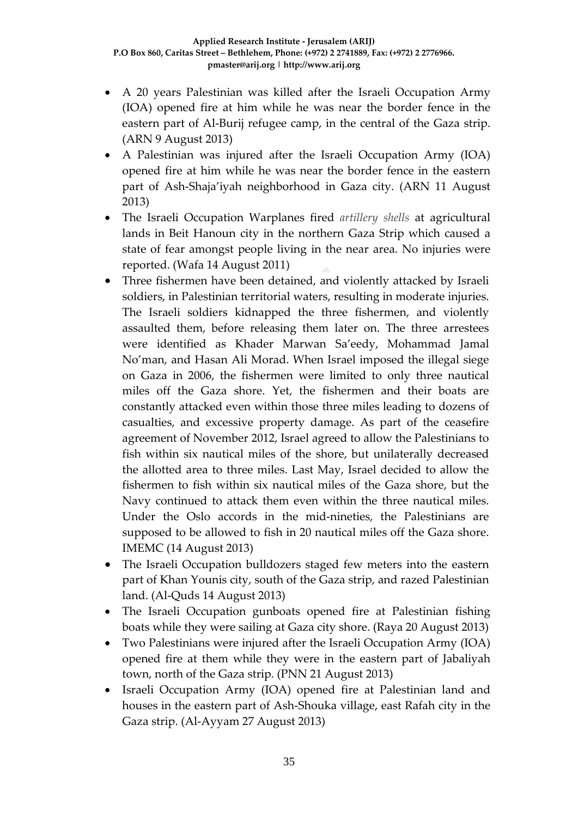- A 20 years Palestinian was killed after the Israeli Occupation Army (IOA) opened fire at him while he was near the border fence in the eastern part of Al-Burij refugee camp, in the central of the Gaza strip. (ARN 9 August 2013)
- A Palestinian was injured after the Israeli Occupation Army (IOA) opened fire at him while he was near the border fence in the eastern part of Ash-Shaja'iyah neighborhood in Gaza city. (ARN 11 August 2013)
- The Israeli Occupation Warplanes fired *artillery shells* at agricultural lands in Beit Hanoun city in the northern Gaza Strip which caused a state of fear amongst people living in the near area. No injuries were reported. (Wafa 14 August 2011)
- Three fishermen have been detained, and violently attacked by Israeli soldiers, in Palestinian territorial waters, resulting in moderate injuries. The Israeli soldiers kidnapped the three fishermen, and violently assaulted them, before releasing them later on. The three arrestees were identified as Khader Marwan Sa'eedy, Mohammad Jamal No'man, and Hasan Ali Morad. When Israel imposed the illegal siege on Gaza in 2006, the fishermen were limited to only three nautical miles off the Gaza shore. Yet, the fishermen and their boats are constantly attacked even within those three miles leading to dozens of casualties, and excessive property damage. As part of the ceasefire agreement of November 2012, Israel agreed to allow the Palestinians to fish within six nautical miles of the shore, but unilaterally decreased the allotted area to three miles. Last May, Israel decided to allow the fishermen to fish within six nautical miles of the Gaza shore, but the Navy continued to attack them even within the three nautical miles. Under the Oslo accords in the mid-nineties, the Palestinians are supposed to be allowed to fish in 20 nautical miles off the Gaza shore. IMEMC (14 August 2013)
- The Israeli Occupation bulldozers staged few meters into the eastern part of Khan Younis city, south of the Gaza strip, and razed Palestinian land. (Al-Quds 14 August 2013)
- The Israeli Occupation gunboats opened fire at Palestinian fishing boats while they were sailing at Gaza city shore. (Raya 20 August 2013)
- Two Palestinians were injured after the Israeli Occupation Army (IOA) opened fire at them while they were in the eastern part of Jabaliyah town, north of the Gaza strip. (PNN 21 August 2013)
- Israeli Occupation Army (IOA) opened fire at Palestinian land and houses in the eastern part of Ash-Shouka village, east Rafah city in the Gaza strip. (Al-Ayyam 27 August 2013)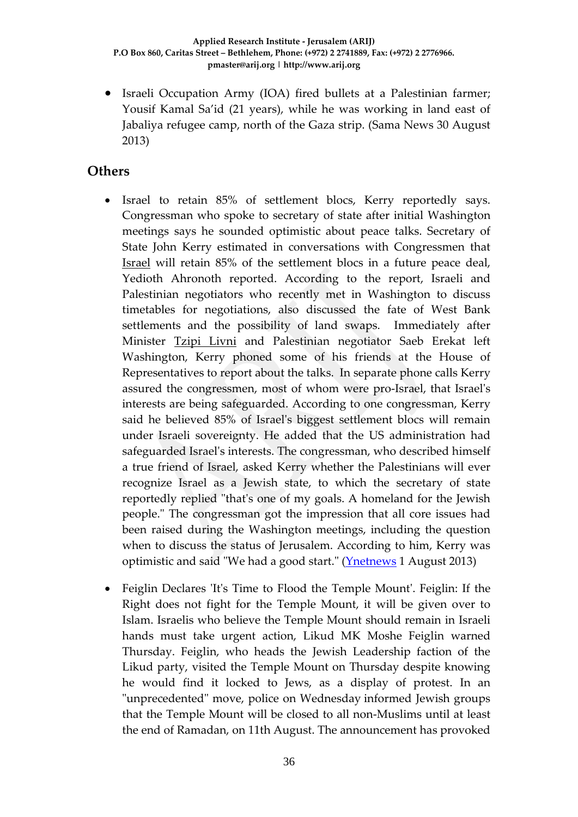• Israeli Occupation Army (IOA) fired bullets at a Palestinian farmer; Yousif Kamal Sa'id (21 years), while he was working in land east of Jabaliya refugee camp, north of the Gaza strip. (Sama News 30 August 2013)

### **Others**

- Israel to retain 85% of settlement blocs, Kerry reportedly says. Congressman who spoke to secretary of state after initial Washington meetings says he sounded optimistic about peace talks. Secretary of State John Kerry estimated in conversations with Congressmen that [Israel](http://www.ynetnews.com/articles/0,7340,L-3284752,00.html) will retain 85% of the settlement blocs in a future peace deal, Yedioth Ahronoth reported. According to the report, Israeli and Palestinian negotiators who recently met in Washington to discuss timetables for negotiations, also discussed the fate of West Bank settlements and the possibility of land swaps. Immediately after Minister [Tzipi Livni](http://www.ynetnews.com/articles/0,7340,L-3525610,00.html) and Palestinian negotiator Saeb Erekat left Washington, Kerry phoned some of his friends at the House of Representatives to report about the talks. In separate phone calls Kerry assured the congressmen, most of whom were pro-Israel, that Israel's interests are being safeguarded. According to one congressman, Kerry said he believed 85% of Israel's biggest settlement blocs will remain under Israeli sovereignty. He added that the US administration had safeguarded Israel's interests. The congressman, who described himself a true friend of Israel, asked Kerry whether the Palestinians will ever recognize Israel as a Jewish state, to which the secretary of state reportedly replied "that's one of my goals. A homeland for the Jewish people." The congressman got the impression that all core issues had been raised during the Washington meetings, including the question when to discuss the status of Jerusalem. According to him, Kerry was optimistic and said "We had a good start." [\(Ynetnews](http://www.ynetnews.com/articles/0,7340,L-4412493,00.html) 1 August 2013)
- Feiglin Declares 'It's Time to Flood the Temple Mount'. Feiglin: If the Right does not fight for the Temple Mount, it will be given over to Islam. Israelis who believe the Temple Mount should remain in Israeli hands must take urgent action, Likud MK Moshe Feiglin warned Thursday. Feiglin, who heads the Jewish Leadership faction of the Likud party, visited the Temple Mount on Thursday despite knowing he would find it locked to Jews, as a display of protest. In an "unprecedented" move, police on Wednesday informed Jewish groups that the Temple Mount will be closed to all non-Muslims until at least the end of Ramadan, on 11th August. The announcement has provoked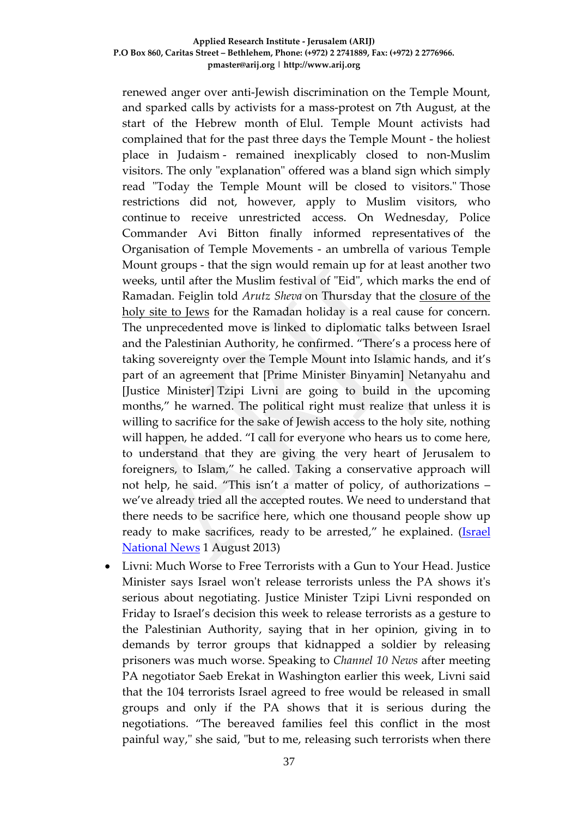renewed anger over anti-Jewish discrimination on the Temple Mount, and sparked calls by activists for a mass-protest on 7th August, at the start of the Hebrew month of Elul. Temple Mount activists had complained that for the past three days the Temple Mount - the holiest place in Judaism - remained inexplicably closed to non-Muslim visitors. The only "explanation" offered was a bland sign which simply read "Today the Temple Mount will be closed to visitors." Those restrictions did not, however, apply to Muslim visitors, who continue to receive unrestricted access. On Wednesday, Police Commander Avi Bitton finally informed representatives of the Organisation of Temple Movements - an umbrella of various Temple Mount groups - that the sign would remain up for at least another two weeks, until after the Muslim festival of "Eid", which marks the end of Ramadan. Feiglin told *Arutz Sheva* on Thursday that the [closure of the](http://www.israelnationalnews.com/News/News.aspx/170452)  [holy site to Jews](http://www.israelnationalnews.com/News/News.aspx/170452) for the Ramadan holiday is a real cause for concern. The unprecedented move is linked to diplomatic talks between Israel and the Palestinian Authority, he confirmed. "There's a process here of taking sovereignty over the Temple Mount into Islamic hands, and it's part of an agreement that [Prime Minister Binyamin] Netanyahu and [Justice Minister] Tzipi Livni are going to build in the upcoming months," he warned. The political right must realize that unless it is willing to sacrifice for the sake of Jewish access to the holy site, nothing will happen, he added. "I call for everyone who hears us to come here, to understand that they are giving the very heart of Jerusalem to foreigners, to Islam," he called. Taking a conservative approach will not help, he said. "This isn't a matter of policy, of authorizations – we've already tried all the accepted routes. We need to understand that there needs to be sacrifice here, which one thousand people show up ready to make sacrifices, ready to be arrested," he explained. (*Israel* [National News](http://www.israelnationalnews.com/News/News.aspx/170486) 1 August 2013)

• Livni: Much Worse to Free Terrorists with a Gun to Your Head. Justice Minister says Israel won't release terrorists unless the PA shows it's serious about negotiating. Justice Minister Tzipi Livni responded on Friday to Israel's decision this week [to release terrorists](http://www.israelnationalnews.com/News/News.aspx/170348) as a gesture to the Palestinian Authority, saying that in her opinion, giving in to demands by terror groups that kidnapped a soldier by releasing prisoners was much worse. Speaking to *Channel 10 News* after meeting PA negotiator Saeb Erekat in Washington earlier this week, Livni said that the 104 terrorists Israel agreed to free would be released in small groups and only if the PA shows that it is serious during the negotiations. "The bereaved families feel this conflict in the most painful way," she said, "but to me, releasing such terrorists when there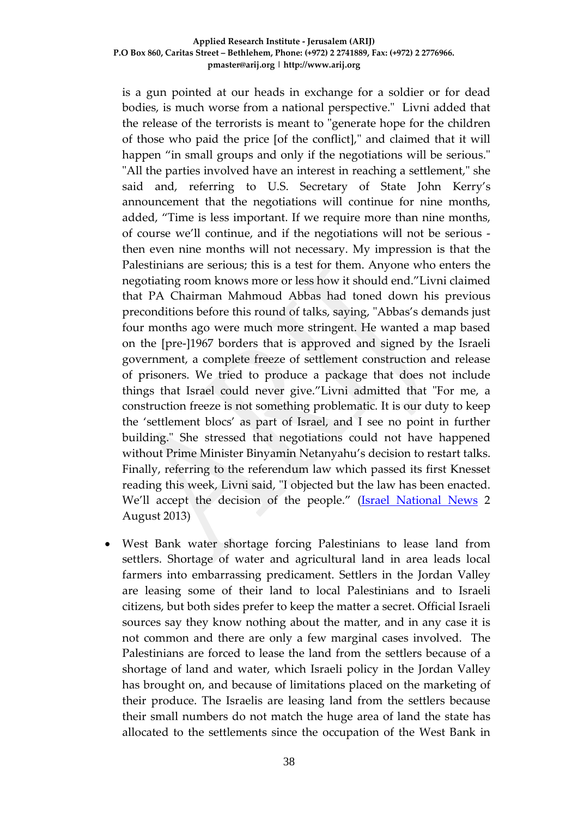is a gun pointed at our heads in exchange for a soldier or for dead bodies, is much worse from a national perspective." Livni added that the release of the terrorists is meant to "generate hope for the children of those who paid the price [of the conflict]," and claimed that it will happen "in small groups and only if the negotiations will be serious." "All the parties involved have an interest in reaching a settlement," she said and, referring to U.S. Secretary of State [John Kerry's](http://www.israelnationalnews.com/News/News.aspx/170428)  [announcement](http://www.israelnationalnews.com/News/News.aspx/170428) that the negotiations will continue for nine months, added, "Time is less important. If we require more than nine months, of course we'll continue, and if the negotiations will not be serious then even nine months will not necessary. My impression is that the Palestinians are serious; this is a test for them. Anyone who enters the negotiating room knows more or less how it should end."Livni claimed that PA Chairman Mahmoud Abbas had toned down his previous preconditions before this round of talks, saying, "Abbas's demands just four months ago were much more stringent. He wanted a map based on the [pre-]1967 borders that is approved and signed by the Israeli government, a complete freeze of settlement construction and release of prisoners. We tried to produce a package that does not include things that Israel could never give."Livni admitted that "For me, a construction freeze is not something problematic. It is our duty to keep the 'settlement blocs' as part of Israel, and I see no point in further building." She stressed that negotiations could not have happened without Prime Minister Binyamin Netanyahu's decision to restart talks. Finally, referring to the referendum law [which passed its first Knesset](http://www.israelnationalnews.com/News/News.aspx/170482)  [reading](http://www.israelnationalnews.com/News/News.aspx/170482) this week, Livni said, "I objected but the law has been enacted. We'll accept the decision of the people." [\(Israel National News](http://www.israelnationalnews.com/News/News.aspx/170534) 2 August 2013)

• West Bank water shortage forcing Palestinians to lease land from settlers. Shortage of water and agricultural land in area leads local farmers into embarrassing predicament. Settlers in the Jordan Valley are leasing some of their land to local Palestinians and to Israeli citizens, but both sides prefer to keep the matter a secret. Official Israeli sources say they know nothing about the matter, and in any case it is not common and there are only a few marginal cases involved. The Palestinians are forced to lease the land from the settlers because of a shortage of land and water, which Israeli policy in the Jordan Valley has brought on, and because of limitations placed on the marketing of their produce. The Israelis are leasing land from the settlers because their small numbers do not match the huge area of land the state has allocated to the settlements since the occupation of the West Bank in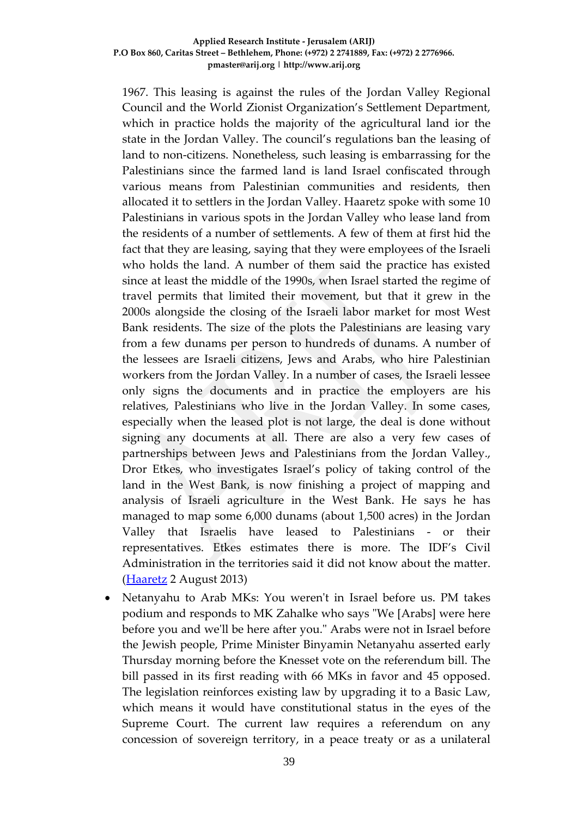1967. This leasing is against the rules of the Jordan Valley Regional Council and the World Zionist Organization's Settlement Department, which in practice holds the majority of the agricultural land ior the state in the Jordan Valley. The council's regulations ban the leasing of land to non-citizens. Nonetheless, such leasing is embarrassing for the Palestinians since the farmed land is land Israel confiscated through various means from Palestinian communities and residents, then allocated it to settlers in the Jordan Valley. Haaretz spoke with some 10 Palestinians in various spots in the Jordan Valley who lease land from the residents of a number of settlements. A few of them at first hid the fact that they are leasing, saying that they were employees of the Israeli who holds the land. A number of them said the practice has existed since at least the middle of the 1990s, when Israel started the regime of travel permits that limited their movement, but that it grew in the 2000s alongside the closing of the Israeli labor market for most West Bank residents. The size of the plots the Palestinians are leasing vary from a few dunams per person to hundreds of dunams. A number of the lessees are Israeli citizens, Jews and Arabs, who hire Palestinian workers from the Jordan Valley. In a number of cases, the Israeli lessee only signs the documents and in practice the employers are his relatives, Palestinians who live in the Jordan Valley. In some cases, especially when the leased plot is not large, the deal is done without signing any documents at all. There are also a very few cases of partnerships between Jews and Palestinians from the Jordan Valley., Dror Etkes, who investigates Israel's policy of taking control of the land in the West Bank, is now finishing a project of mapping and analysis of Israeli agriculture in the West Bank. He says he has managed to map some 6,000 dunams (about 1,500 acres) in the Jordan Valley that Israelis have leased to Palestinians - or their representatives. Etkes estimates there is more. The IDF's Civil Administration in the territories said it did not know about the matter. [\(Haaretz](http://www.haaretz.com/news/diplomacy-defense/1.539325) 2 August 2013)

• Netanyahu to Arab MKs: You weren't in Israel before us. PM takes podium and responds to MK Zahalke who says "We [Arabs] were here before you and we'll be here after you." Arabs were not in Israel before the Jewish people, Prime Minister Binyamin Netanyahu asserted early Thursday morning before the Knesset vote on the referendum bill. The bill passed in its first reading with 66 MKs in favor and 45 opposed. The legislation reinforces existing law by upgrading it to a Basic Law, which means it would have constitutional status in the eyes of the Supreme Court. The current law requires a referendum on any concession of sovereign territory, in a peace treaty or as a unilateral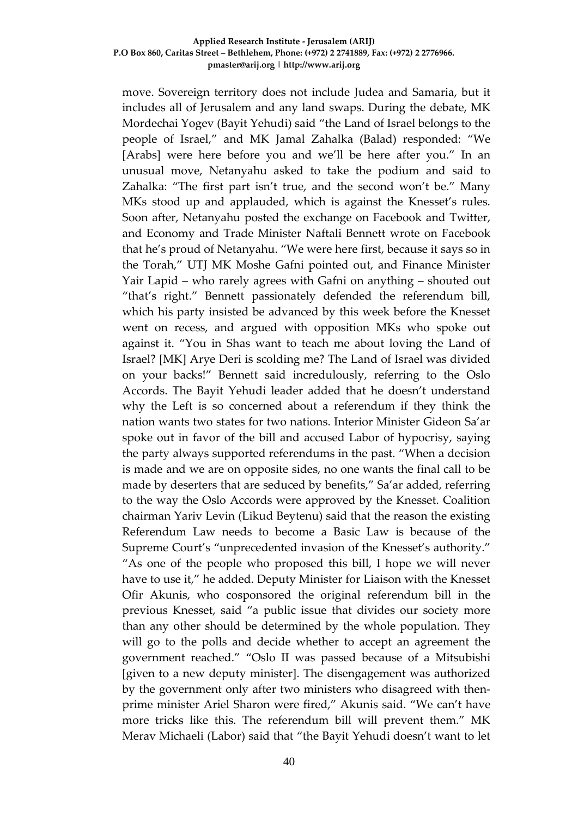move. Sovereign territory does not include Judea and Samaria, but it includes all of Jerusalem and any land swaps. During the debate, MK Mordechai Yogev (Bayit Yehudi) said "the Land of Israel belongs to the people of Israel," and MK Jamal Zahalka (Balad) responded: "We [Arabs] were here before you and we'll be here after you." In an unusual move, Netanyahu asked to take the podium and said to Zahalka: "The first part isn't true, and the second won't be." Many MKs stood up and applauded, which is against the Knesset's rules. Soon after, Netanyahu posted the exchange on Facebook and Twitter, and Economy and Trade Minister Naftali Bennett wrote on Facebook that he's proud of Netanyahu. "We were here first, because it says so in the Torah," UTJ MK Moshe Gafni pointed out, and Finance Minister Yair Lapid – who rarely agrees with Gafni on anything – shouted out "that's right." Bennett passionately defended the referendum bill, which his party insisted be advanced by this week before the Knesset went on recess, and argued with opposition MKs who spoke out against it. "You in Shas want to teach me about loving the Land of Israel? [MK] Arye Deri is scolding me? The Land of Israel was divided on your backs!" Bennett said incredulously, referring to the Oslo Accords. The Bayit Yehudi leader added that he doesn't understand why the Left is so concerned about a referendum if they think the nation wants two states for two nations. Interior Minister Gideon Sa'ar spoke out in favor of the bill and accused Labor of hypocrisy, saying the party always supported referendums in the past. "When a decision is made and we are on opposite sides, no one wants the final call to be made by deserters that are seduced by benefits," Sa'ar added, referring to the way the Oslo Accords were approved by the Knesset. Coalition chairman Yariv Levin (Likud Beytenu) said that the reason the existing Referendum Law needs to become a Basic Law is because of the Supreme Court's "unprecedented invasion of the Knesset's authority." "As one of the people who proposed this bill, I hope we will never have to use it," he added. Deputy Minister for Liaison with the Knesset Ofir Akunis, who cosponsored the original referendum bill in the previous Knesset, said "a public issue that divides our society more than any other should be determined by the whole population. They will go to the polls and decide whether to accept an agreement the government reached." "Oslo II was passed because of a Mitsubishi [given to a new deputy minister]. The disengagement was authorized by the government only after two ministers who disagreed with thenprime minister Ariel Sharon were fired," Akunis said. "We can't have more tricks like this. The referendum bill will prevent them." MK Merav Michaeli (Labor) said that "the Bayit Yehudi doesn't want to let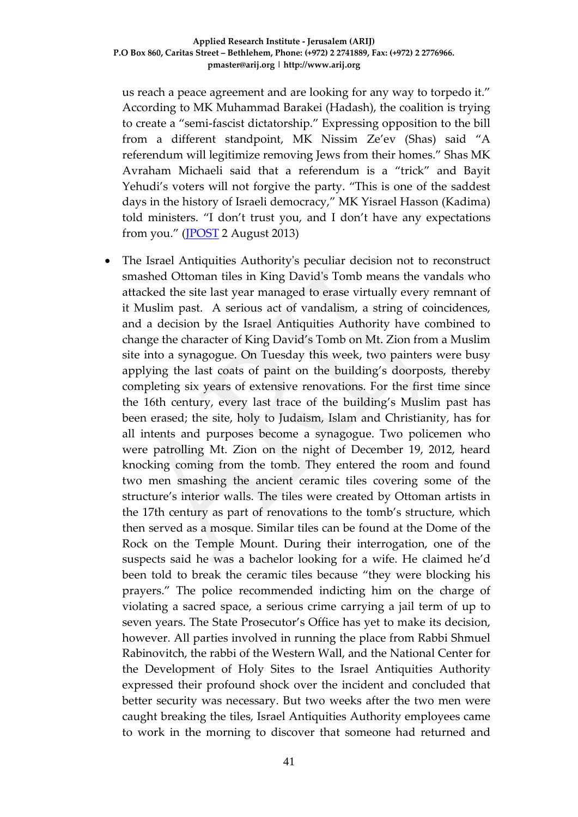us reach a peace agreement and are looking for any way to torpedo it." According to MK Muhammad Barakei (Hadash), the coalition is trying to create a "semi-fascist dictatorship." Expressing opposition to the bill from a different standpoint, MK Nissim Ze'ev (Shas) said "A referendum will legitimize removing Jews from their homes." Shas MK Avraham Michaeli said that a referendum is a "trick" and Bayit Yehudi's voters will not forgive the party. "This is one of the saddest days in the history of Israeli democracy," MK Yisrael Hasson (Kadima) told ministers. "I don't trust you, and I don't have any expectations from you." [\(JPOST](http://www.jpost.com/Diplomacy-and-Politics/Netanyahu-to-Arab-MKs-You-werent-in-Israel-before-us-321798) 2 August 2013)

• The Israel Antiquities Authority's peculiar decision not to reconstruct smashed Ottoman tiles in King David's Tomb means the vandals who attacked the site last year managed to erase virtually every remnant of it Muslim past. A serious act of vandalism, a string of coincidences, and a decision by the Israel Antiquities Authority have combined to change the character of King David's Tomb on Mt. Zion from a Muslim site into a synagogue. On Tuesday this week, two painters were busy applying the last coats of paint on the building's doorposts, thereby completing six years of extensive renovations. For the first time since the 16th century, every last trace of the building's Muslim past has been erased; the site, holy to Judaism, Islam and Christianity, has for all intents and purposes become a synagogue. Two policemen who were patrolling Mt. Zion on the night of December 19, 2012, heard knocking coming from the tomb. They entered the room and found two men smashing the ancient ceramic tiles covering some of the structure's interior walls. The tiles were created by Ottoman artists in the 17th century as part of renovations to the tomb's structure, which then served as a mosque. Similar tiles can be found at the Dome of the Rock on the Temple Mount. During their interrogation, one of the suspects said he was a bachelor looking for a wife. He claimed he'd been told to break the ceramic tiles because "they were blocking his prayers." The police recommended indicting him on the charge of violating a sacred space, a serious crime carrying a jail term of up to seven years. The State Prosecutor's Office has yet to make its decision, however. All parties involved in running the place from Rabbi Shmuel Rabinovitch, the rabbi of the Western Wall, and the National Center for the Development of Holy Sites to the Israel Antiquities Authority expressed their profound shock over the incident and concluded that better security was necessary. But two weeks after the two men were caught breaking the tiles, Israel Antiquities Authority employees came to work in the morning to discover that someone had returned and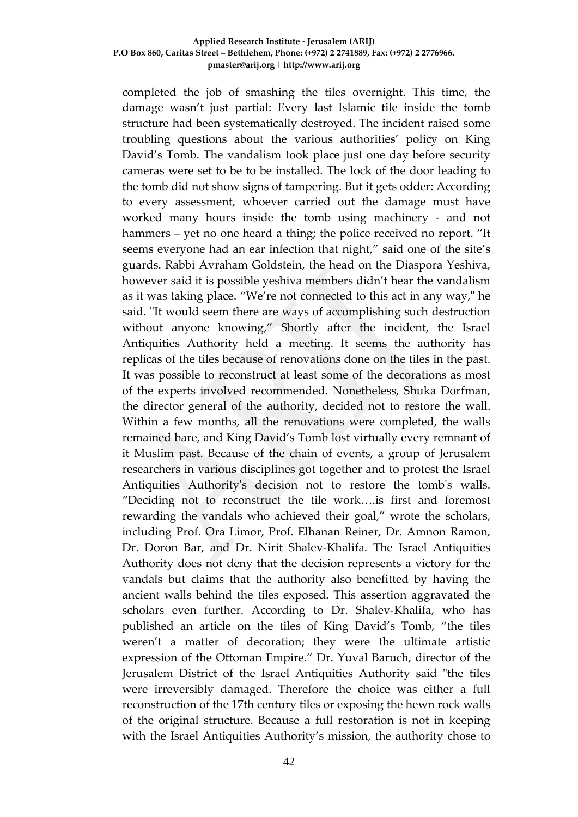completed the job of smashing the tiles overnight. This time, the damage wasn't just partial: Every last Islamic tile inside the tomb structure had been systematically destroyed. The incident raised some troubling questions about the various authorities' policy on King David's Tomb. The vandalism took place just one day before security cameras were set to be to be installed. The lock of the door leading to the tomb did not show signs of tampering. But it gets odder: According to every assessment, whoever carried out the damage must have worked many hours inside the tomb using machinery - and not hammers – yet no one heard a thing; the police received no report. "It seems everyone had an ear infection that night," said one of the site's guards. Rabbi Avraham Goldstein, the head on the Diaspora Yeshiva, however said it is possible yeshiva members didn't hear the vandalism as it was taking place. "We're not connected to this act in any way," he said. "It would seem there are ways of accomplishing such destruction without anyone knowing," Shortly after the incident, the Israel Antiquities Authority held a meeting. It seems the authority has replicas of the tiles because of renovations done on the tiles in the past. It was possible to reconstruct at least some of the decorations as most of the experts involved recommended. Nonetheless, Shuka Dorfman, the director general of the authority, decided not to restore the wall. Within a few months, all the renovations were completed, the walls remained bare, and King David's Tomb lost virtually every remnant of it Muslim past. Because of the chain of events, a group of Jerusalem researchers in various disciplines got together and to protest the Israel Antiquities Authority's decision not to restore the tomb's walls. "Deciding not to reconstruct the tile work….is first and foremost rewarding the vandals who achieved their goal," wrote the scholars, including Prof. Ora Limor, Prof. Elhanan Reiner, Dr. Amnon Ramon, Dr. Doron Bar, and Dr. Nirit Shalev-Khalifa. The Israel Antiquities Authority does not deny that the decision represents a victory for the vandals but claims that the authority also benefitted by having the ancient walls behind the tiles exposed. This assertion aggravated the scholars even further. According to Dr. Shalev-Khalifa, who has published an article on the tiles of King David's Tomb, "the tiles weren't a matter of decoration; they were the ultimate artistic expression of the Ottoman Empire." Dr. Yuval Baruch, director of the Jerusalem District of the Israel Antiquities Authority said "the tiles were irreversibly damaged. Therefore the choice was either a full reconstruction of the 17th century tiles or exposing the hewn rock walls of the original structure. Because a full restoration is not in keeping with the Israel Antiquities Authority's mission, the authority chose to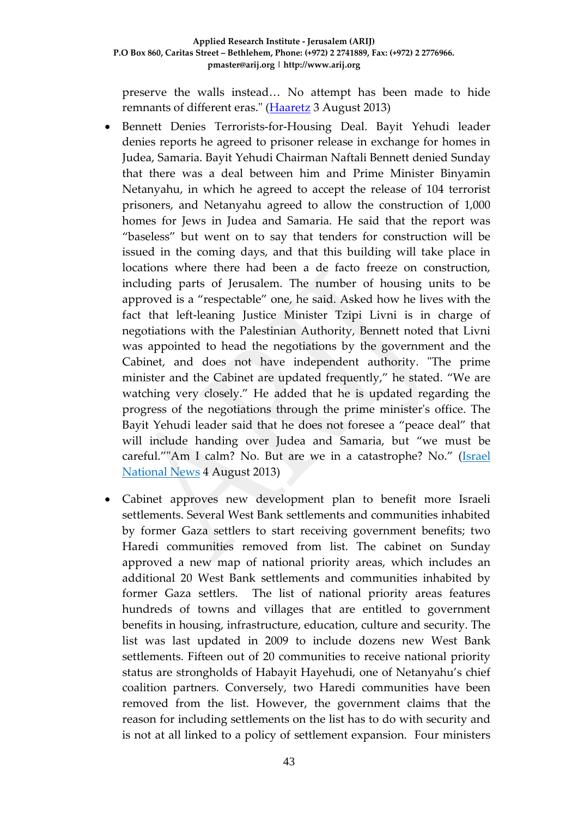preserve the walls instead… No attempt has been made to hide remnants of different eras." [\(Haaretz](http://www.haaretz.com/news/national/.premium-1.539522) 3 August 2013)

- Bennett Denies Terrorists-for-Housing Deal. Bayit Yehudi leader denies reports he agreed to prisoner release in exchange for homes in Judea, Samaria. Bayit Yehudi Chairman Naftali Bennett denied Sunday that there was a deal between him and Prime Minister Binyamin Netanyahu, in which he agreed to accept the release of 104 terrorist prisoners, and Netanyahu agreed to allow the construction of 1,000 homes for Jews in Judea and Samaria. He said that the report was "baseless" but went on to say that tenders for construction will be issued in the coming days, and that this building will take place in locations where there had been a de facto freeze on construction, including parts of Jerusalem. The number of housing units to be approved is a "respectable" one, he said. Asked how he lives with the fact that left-leaning Justice Minister Tzipi Livni is in charge of negotiations with the Palestinian Authority, Bennett noted that Livni was appointed to head the negotiations by the government and the Cabinet, and does not have independent authority. "The prime minister and the Cabinet are updated frequently," he stated. "We are watching very closely." He added that he is updated regarding the progress of the negotiations through the prime minister's office. The Bayit Yehudi leader said that he does not foresee a "peace deal" that will include handing over Judea and Samaria, but "we must be careful.""Am I calm? No. But are we in a catastrophe? No." [\(Israel](http://www.bezecom.com/bezecomlp/LongDistanceEn.aspx?af=ynet$5august)  [National News](http://www.bezecom.com/bezecomlp/LongDistanceEn.aspx?af=ynet$5august) 4 August 2013)
- Cabinet approves new development plan to benefit more Israeli settlements. Several West Bank settlements and communities inhabited by former Gaza settlers to start receiving government benefits; two Haredi communities removed from list. The cabinet on Sunday approved a new map of national priority areas, which includes an additional 20 [West Bank](http://www.haaretz.com/misc/tags/West%20Bank-1.477132) settlements and communities inhabited by former Gaza settlers. The list of national priority areas features hundreds of towns and villages that are entitled to government benefits in housing, infrastructure, education, culture and security. The list was [last updated](http://www.haaretz.com/print-edition/news/pm-s-plan-would-put-some-settlements-on-map-of-national-priority-communities-1.2448) in 2009 to include dozens new West Bank settlements. Fifteen out of 20 communities to receive national priority status are strongholds of [Habayit Hayehudi,](http://www.haaretz.com/misc/tags/Naftali%20Bennett-1.494120) one of Netanyahu's chief coalition partners. Conversely, two Haredi communities have been removed from the list. However, the government claims that the reason for including settlements on the list has to do with security and is not at all linked to a policy of settlement expansion. Four ministers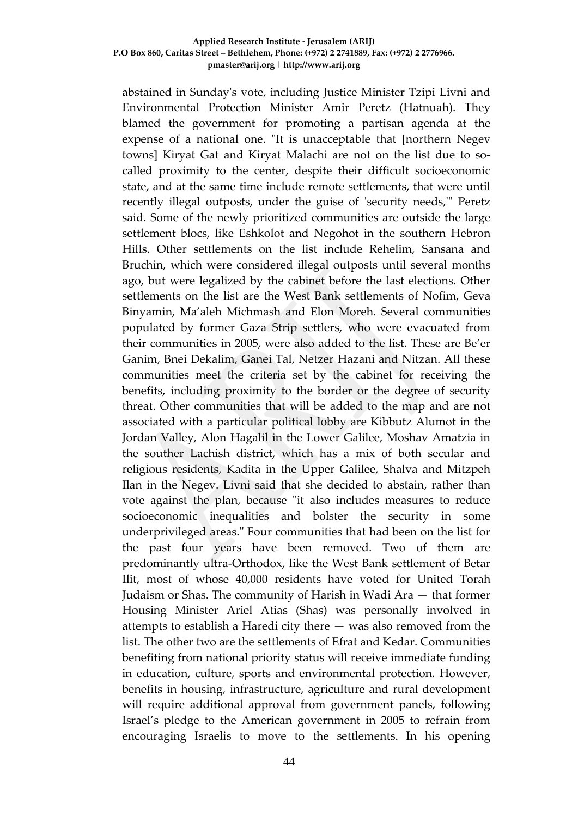abstained in Sunday's vote, including Justice Minister [Tzipi Livni](http://www.haaretz.com/misc/tags/Tzipi%20Livni-1.476796) and Environmental Protection Minister Amir Peretz (Hatnuah). They blamed the government for promoting a partisan agenda at the expense of a national one. "It is unacceptable that [northern Negev towns] Kiryat Gat and Kiryat Malachi are not on the list due to socalled proximity to the center, despite their difficult socioeconomic state, and at the same time include remote settlements, that were until recently illegal outposts, under the guise of 'security needs,'" Peretz said. Some of the newly prioritized communities are outside the large settlement blocs, like Eshkolot and Negohot in the southern Hebron Hills. Other settlements on the list include Rehelim, Sansana and Bruchin, which were considered illegal outposts until several months ago, but were legalized by the cabinet before the last elections. Other settlements on the list are the West Bank settlements of Nofim, Geva Binyamin, Ma'aleh Michmash and Elon Moreh. Several communities populated by former [Gaza Strip](http://www.haaretz.com/misc/tags/Gaza-1.476709) settlers, who were evacuated from their communities in 2005, were also added to the list. These are Be'er Ganim, Bnei Dekalim, Ganei Tal, Netzer Hazani and Nitzan. All these communities meet the criteria set by the cabinet for receiving the benefits, including proximity to the border or the degree of security threat. Other communities that will be added to the map and are not associated with a particular political lobby are Kibbutz Alumot in the Jordan Valley, Alon Hagalil in the Lower Galilee, Moshav Amatzia in the souther Lachish district, which has a mix of both secular and religious residents, Kadita in the Upper Galilee, Shalva and Mitzpeh Ilan in the Negev. Livni said that she decided to abstain, rather than vote against the plan, because "it also includes measures to reduce socioeconomic inequalities and bolster the security in some underprivileged areas." Four communities that had been on the list for the past four years have been removed. Two of them are predominantly ultra-Orthodox, like the West Bank settlement of Betar Ilit, most of whose 40,000 residents have voted for United Torah Judaism or Shas. The community of Harish in Wadi Ara — that former Housing Minister Ariel Atias (Shas) was personally involved in attempts to [establish a Haredi city](http://www.haaretz.com/print-edition/news/knesset-committee-advances-plans-to-transform-harish-into-ultra-orthodox-city-1.398831) there — was also removed from the list. The other two are the settlements of Efrat and Kedar. Communities benefiting from national priority status will receive immediate funding in education, culture, sports and environmental protection. However, benefits in housing, infrastructure, agriculture and rural development will require additional approval from government panels, following Israel's pledge to the American government in 2005 to refrain from encouraging Israelis to move to the settlements. In his opening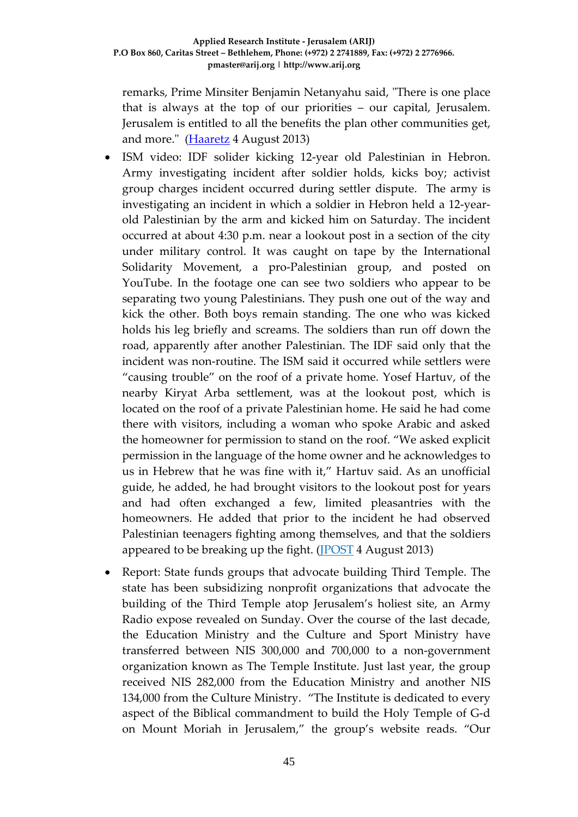remarks, Prime Minsiter Benjamin Netanyahu said, "There is one place that is always at the top of our priorities – our capital, Jerusalem. Jerusalem is entitled to all the benefits the plan other communities get, and more." (**Haaretz** 4 August 2013)

- ISM video: IDF solider kicking 12-year old Palestinian in Hebron. Army investigating incident after soldier holds, kicks boy; activist group charges incident occurred during settler dispute. The army is investigating an incident in which a soldier in Hebron held a 12-yearold Palestinian by the arm and kicked him on Saturday. The incident occurred at about 4:30 p.m. near a lookout post in a section of the city under military control. It was caught on tape by the International Solidarity Movement, a pro-Palestinian group, and posted on YouTube. In the footage one can see two soldiers who appear to be separating two young Palestinians. They push one out of the way and kick the other. Both boys remain standing. The one who was kicked holds his leg briefly and screams. The soldiers than run off down the road, apparently after another Palestinian. The IDF said only that the incident was non-routine. The ISM said it occurred while settlers were "causing trouble" on the roof of a private home. Yosef Hartuv, of the nearby Kiryat Arba settlement, was at the lookout post, which is located on the roof of a private Palestinian home. He said he had come there with visitors, including a woman who spoke Arabic and asked the homeowner for permission to stand on the roof. "We asked explicit permission in the language of the home owner and he acknowledges to us in Hebrew that he was fine with it," Hartuv said. As an unofficial guide, he added, he had brought visitors to the lookout post for years and had often exchanged a few, limited pleasantries with the homeowners. He added that prior to the incident he had observed Palestinian teenagers fighting among themselves, and that the soldiers appeared to be breaking up the fight. [\(JPOST](http://www.jpost.com/Diplomacy-and-Politics/ISM-video-IDF-solider-kicking-12-year-old-Palestinian-in-Hebron-322052) 4 August 2013)
- Report: State funds groups that advocate building Third Temple. The state has been subsidizing nonprofit organizations that advocate the building of the Third Temple atop Jerusalem's holiest site, an Army Radio expose revealed on Sunday. Over the course of the last decade, the Education Ministry and the Culture and Sport Ministry have transferred between NIS 300,000 and 700,000 to a non-government organization known as The Temple Institute. Just last year, the group received NIS 282,000 from the Education Ministry and another NIS 134,000 from the Culture Ministry. "The Institute is dedicated to every aspect of the Biblical commandment to build the Holy Temple of G-d on Mount Moriah in Jerusalem," the group's website reads. "Our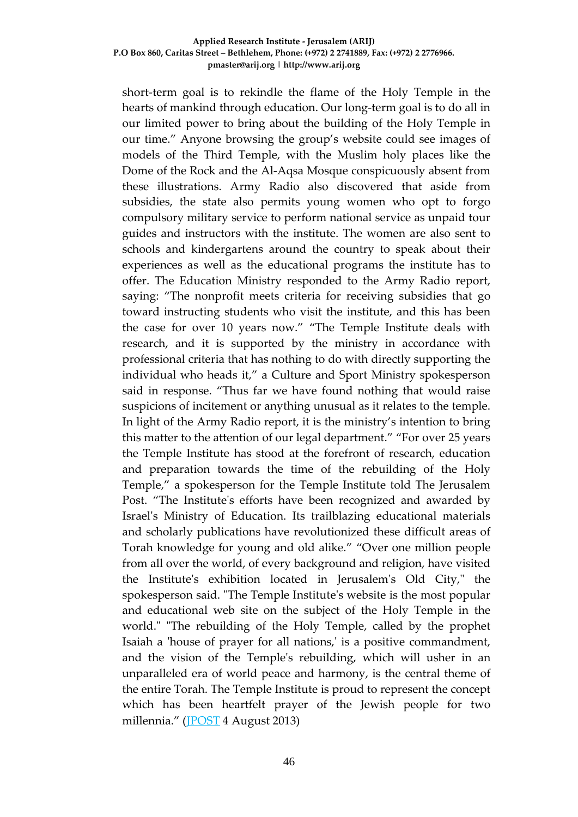short-term goal is to rekindle the flame of the Holy Temple in the hearts of mankind through education. Our long-term goal is to do all in our limited power to bring about the building of the Holy Temple in our time." Anyone browsing the group's website could see images of models of the Third Temple, with the Muslim holy places like the Dome of the Rock and the Al-Aqsa Mosque conspicuously absent from these illustrations. Army Radio also discovered that aside from subsidies, the state also permits young women who opt to forgo compulsory military service to perform national service as unpaid tour guides and instructors with the institute. The women are also sent to schools and kindergartens around the country to speak about their experiences as well as the educational programs the institute has to offer. The Education Ministry responded to the Army Radio report, saying: "The nonprofit meets criteria for receiving subsidies that go toward instructing students who visit the institute, and this has been the case for over 10 years now." "The Temple Institute deals with research, and it is supported by the ministry in accordance with professional criteria that has nothing to do with directly supporting the individual who heads it," a Culture and Sport Ministry spokesperson said in response. "Thus far we have found nothing that would raise suspicions of incitement or anything unusual as it relates to the temple. In light of the Army Radio report, it is the ministry's intention to bring this matter to the attention of our legal department." "For over 25 years the Temple Institute has stood at the forefront of research, education and preparation towards the time of the rebuilding of the Holy Temple," a spokesperson for the Temple Institute told The Jerusalem Post. "The Institute's efforts have been recognized and awarded by Israel's Ministry of Education. Its trailblazing educational materials and scholarly publications have revolutionized these difficult areas of Torah knowledge for young and old alike." "Over one million people from all over the world, of every background and religion, have visited the Institute's exhibition located in Jerusalem's Old City," the spokesperson said. "The Temple Institute's website is the most popular and educational web site on the subject of the Holy Temple in the world." "The rebuilding of the Holy Temple, called by the prophet Isaiah a 'house of prayer for all nations,' is a positive commandment, and the vision of the Temple's rebuilding, which will usher in an unparalleled era of world peace and harmony, is the central theme of the entire Torah. The Temple Institute is proud to represent the concept which has been heartfelt prayer of the Jewish people for two millennia." [\(JPOST](http://www.jpost.com/Diplomacy-and-Politics/Report-State-funds-groups-that-advocate-building-Third-Temple-321990) 4 August 2013)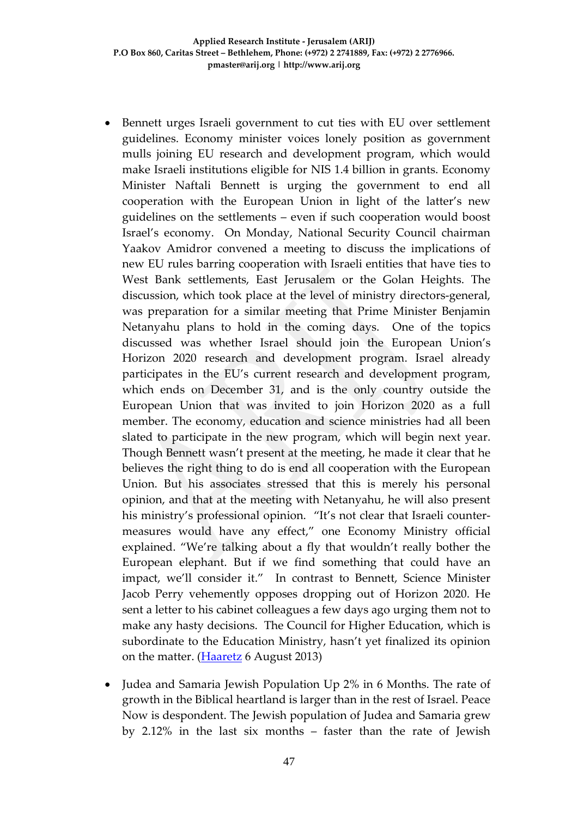- Bennett urges Israeli government to cut ties with EU over settlement guidelines. Economy minister voices lonely position as government mulls joining EU research and development program, which would make Israeli institutions eligible for NIS 1.4 billion in grants. Economy Minister [Naftali Bennett](http://www.haaretz.com/misc/tags/Naftali%20Bennett-1.494120) is urging the government to end all cooperation with the [European Union](http://www.haaretz.com/misc/tags/EU-1.476766) in light of the latter's new [guidelines](http://www.haaretz.com/news/diplomacy-defense/.premium-1.539246) on the [settlements](http://www.haaretz.com/misc/tags/Israel%20settlements-1.477056) – even if such cooperation would boost Israel's economy. On Monday, National Security Council chairman Yaakov Amidror convened a meeting to discuss the implications of new EU rules barring cooperation with Israeli entities that have ties to [West Bank](http://www.haaretz.com/misc/tags/West%20Bank-1.477132) settlements, [East Jerusalem](http://www.haaretz.com/news/national/.premium-1.538480) or the [Golan Heights.](http://www.haaretz.com/misc/tags/Golan%20Heights-1.477790) The discussion, which took place at the level of ministry directors-general, was preparation for a similar meeting that Prime Minister [Benjamin](http://www.haaretz.com/misc/tags/Benjamin%20Netanyahu-1.476753)  [Netanyahu](http://www.haaretz.com/misc/tags/Benjamin%20Netanyahu-1.476753) plans to hold in the coming days. One of the topics discussed was whether Israel should join the European Union's Horizon 2020 research and development program. Israel already participates in the EU's current research and development program, which ends on December 31, and is the only country outside the European Union that was invited to join Horizon 2020 as a full member. The economy, education and science ministries had all been slated to participate in the new program, which will begin next year. Though Bennett wasn't present at the meeting, he made it clear that he believes the right thing to do is end all cooperation with the European Union. But his associates stressed that this is merely his personal opinion, and that at the meeting with Netanyahu, he will also present his ministry's professional opinion. "It's not clear that Israeli countermeasures would have any effect," one Economy Ministry official explained. "We're talking about a fly that wouldn't really bother the European elephant. But if we find something that could have an impact, we'll consider it." In contrast to Bennett, Science Minister Jacob Perry vehemently opposes dropping out of Horizon 2020. He sent a letter to his cabinet colleagues a few days ago urging them not to make any hasty decisions. The Council for Higher Education, which is subordinate to the Education Ministry, hasn't yet finalized its opinion on the matter. [\(Haaretz](http://www.haaretz.com/news/diplomacy-defense/.premium-1.539959) 6 August 2013)
- Judea and Samaria Jewish Population Up 2% in 6 Months. The rate of growth in the Biblical heartland is larger than in the rest of Israel. Peace Now is despondent. The Jewish population of Judea and Samaria grew by 2.12% in the last six months – faster than the rate of Jewish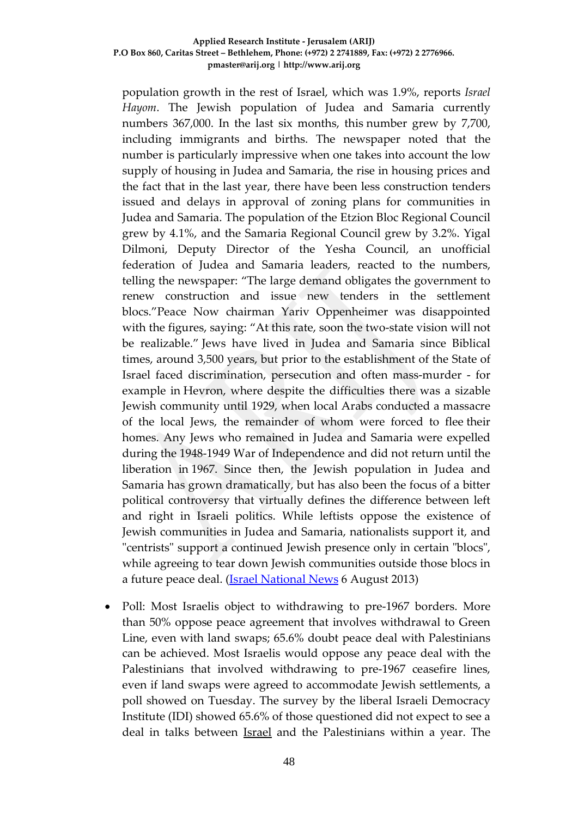population growth in the rest of Israel, which was 1.9%, reports *Israel Hayom*. The Jewish population of Judea and Samaria currently numbers 367,000. In the last six months, this number grew by 7,700, including immigrants and births. The newspaper noted that the number is particularly impressive when one takes into account the low supply of housing in Judea and Samaria, the rise in housing prices and the fact that in the last year, there have been less construction tenders issued and delays in approval of zoning plans for communities in Judea and Samaria. The population of the Etzion Bloc Regional Council grew by 4.1%, and the Samaria Regional Council grew by 3.2%. Yigal Dilmoni, Deputy Director of the Yesha Council, an unofficial federation of Judea and Samaria leaders, reacted to the numbers, telling the newspaper: "The large demand obligates the government to renew construction and issue new tenders in the settlement blocs."Peace Now chairman Yariv Oppenheimer was disappointed with the figures, saying: "At this rate, soon the two-state vision will not be realizable." Jews have lived in Judea and Samaria since Biblical times, around 3,500 years, but prior to the establishment of the State of Israel faced discrimination, persecution and often mass-murder - for example in Hevron, where despite the difficulties there was a sizable Jewish community until 1929, when local Arabs conducted a massacre of the local Jews, the remainder of whom were forced to flee their homes. Any Jews who remained in Judea and Samaria were expelled during the 1948-1949 War of Independence and did not return until the liberation in 1967. Since then, the Jewish population in Judea and Samaria has grown dramatically, but has also been the focus of a bitter political controversy that virtually defines the difference between left and right in Israeli politics. While leftists oppose the existence of Jewish communities in Judea and Samaria, nationalists support it, and "centrists" support a continued Jewish presence only in certain "blocs", while agreeing to tear down Jewish communities outside those blocs in a future peace deal. [\(Israel National News](http://www.israelnationalnews.com/News/News.aspx/170635) 6 August 2013)

• Poll: Most Israelis object to withdrawing to pre-1967 borders. More than 50% oppose peace agreement that involves withdrawal to Green Line, even with land swaps; 65.6% doubt peace deal with Palestinians can be achieved. Most Israelis would oppose any peace deal with the [Palestinians](http://www.ynetnews.com/articles/0,7340,L-4414079,00.html) that involved withdrawing to pre-1967 ceasefire lines, even if land swaps were agreed to accommodate [Jewish](http://www.ynetnews.com/home/0,7340,L-3443,00.html) settlements, a poll showed on Tuesday. The survey by the liberal Israeli Democracy Institute (IDI) showed 65.6% of those questioned did not expect to see a deal in talks between *Israel* and the Palestinians within a year. The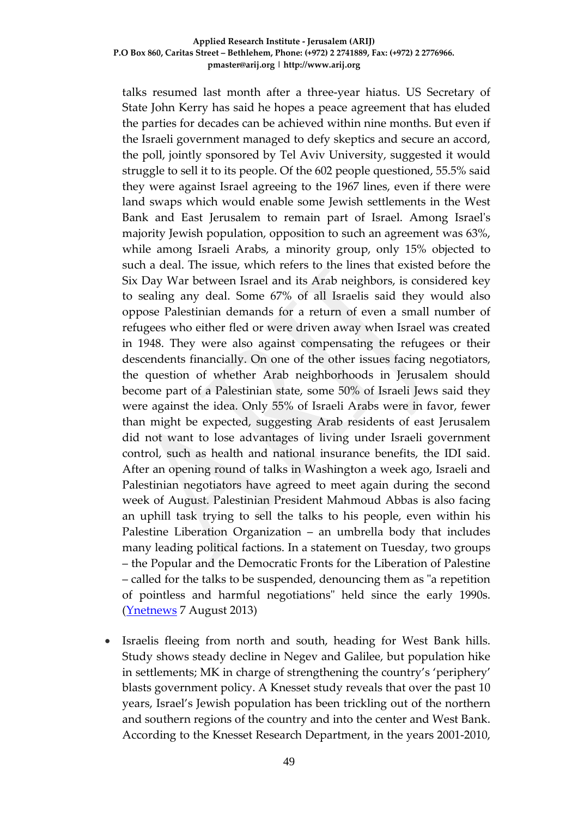talks resumed last month after a three-year hiatus. US Secretary of State [John Kerry](http://www.ynetnews.com/articles/0,7340,L-4412493,00.html) has said he hopes a peace agreement that has eluded the parties for decades can be achieved within nine months. But even if the Israeli government managed to defy skeptics and secure an accord, the poll, jointly sponsored by Tel Aviv University, suggested it would struggle to sell it to its people. Of the 602 people questioned, 55.5% said they were against Israel agreeing to the 1967 lines, even if there were land swaps which would enable some Jewish settlements in the [West](http://www.ynetnews.com/articles/0,7340,L-4414228,00.html)  [Bank](http://www.ynetnews.com/articles/0,7340,L-4414228,00.html) and East Jerusalem to remain part of Israel. Among Israel's majority Jewish population, opposition to such an agreement was 63%, while among Israeli Arabs, a minority group, only 15% objected to such a deal. The issue, which refers to the lines that existed before the [Six Day War](http://www.ynetnews.com/articles/0,7340,L-3611488,00.html) between Israel and its Arab neighbors, is considered key to sealing any deal. Some 67% of all Israelis said they would also oppose Palestinian demands for a return of even a small number of refugees who either fled or were driven away when Israel was created in 1948. They were also against compensating the refugees or their descendents financially. On one of the other issues facing negotiators, the question of whether Arab neighborhoods in [Jerusalem](http://www.ynetnews.com/articles/0,7340,L-4413161,00.html) should become part of a Palestinian state, some 50% of Israeli Jews said they were against the idea. Only 55% of Israeli Arabs were in favor, fewer than might be expected, suggesting Arab residents of east Jerusalem did not want to lose advantages of living under Israeli government control, such as health and national insurance benefits, the IDI said. After an opening round of talks in Washington a week ago, Israeli and Palestinian negotiators have agreed to meet again during the second week of August. Palestinian President [Mahmoud Abbas](http://www.ynetnews.com/articles/0,7340,L-3479383,00.html) is also facing an uphill task trying to sell the talks to his people, even within his Palestine Liberation Organization – an umbrella body that includes many leading political factions. In a statement on Tuesday, two groups – the Popular and the Democratic Fronts for the Liberation of Palestine – called for the talks to be suspended, denouncing them as "a repetition of pointless and harmful negotiations" held since the early 1990s. [\(Ynetnews](http://www.ynetnews.com/articles/0,7340,L-4414452,00.html) 7 August 2013)

• Israelis fleeing from north and south, heading for West Bank hills. Study shows steady decline in Negev and Galilee, but population hike in settlements; MK in charge of strengthening the country's 'periphery' blasts government policy. A Knesset study reveals that over the past 10 years, Israel's Jewish population has been trickling out of the northern and southern regions of the country and into the center and West Bank. According to the Knesset Research Department, in the years 2001-2010,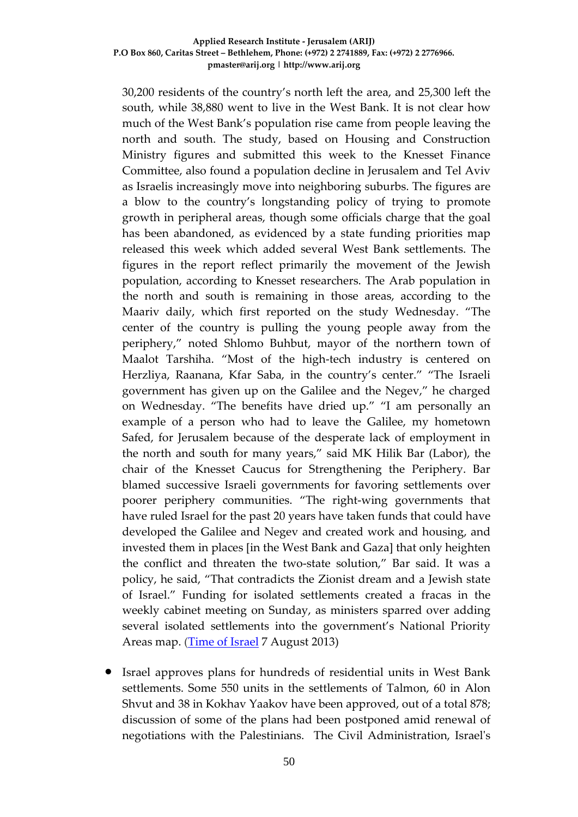30,200 residents of the country's north left the area, and 25,300 left the south, while 38,880 went to live in the West Bank. It is not clear how much of the West Bank's population rise came from people leaving the north and south. The study, based on Housing and Construction Ministry figures and submitted this week to the Knesset Finance Committee, also found a population decline in Jerusalem and Tel Aviv as Israelis increasingly move into neighboring suburbs. The figures are a blow to the country's longstanding policy of trying to promote growth in peripheral areas, though some officials charge that the goal has been abandoned, as evidenced by a state funding priorities map released this week which added several West Bank settlements. The figures in the report reflect primarily the movement of the Jewish population, according to Knesset researchers. The Arab population in the north and south is remaining in those areas, according to the Maariv daily, which first reported on the study Wednesday. "The center of the country is pulling the young people away from the periphery," noted Shlomo Buhbut, mayor of the northern town of Maalot Tarshiha. "Most of the high-tech industry is centered on Herzliya, Raanana, Kfar Saba, in the country's center." "The Israeli government has given up on the Galilee and the Negev," he charged on Wednesday. "The benefits have dried up." "I am personally an example of a person who had to leave the Galilee, my hometown Safed, for Jerusalem because of the desperate lack of employment in the north and south for many years," said MK Hilik Bar (Labor), the chair of the Knesset Caucus for Strengthening the Periphery. Bar blamed successive Israeli governments for favoring settlements over poorer periphery communities. "The right-wing governments that have ruled Israel for the past 20 years have taken funds that could have developed the Galilee and Negev and created work and housing, and invested them in places [in the West Bank and Gaza] that only heighten the conflict and threaten the two-state solution," Bar said. It was a policy, he said, "That contradicts the Zionist dream and a Jewish state of Israel." Funding for isolated settlements created a fracas in the weekly cabinet meeting on Sunday, as ministers sparred over adding several isolated settlements into the government's National Priority Areas map. [\(Time of Israel](http://www.timesofisrael.com/israelis-fleeing-from-north-and-south-heading-for-west-bank-hills/) 7 August 2013)

• Israel approves plans for hundreds of residential units in West Bank settlements. Some 550 units in the settlements of Talmon, 60 in Alon Shvut and 38 in Kokhav Yaakov have been approved, out of a total 878; discussion of some of the plans had been postponed amid renewal of negotiations with the Palestinians. The Civil Administration, Israel's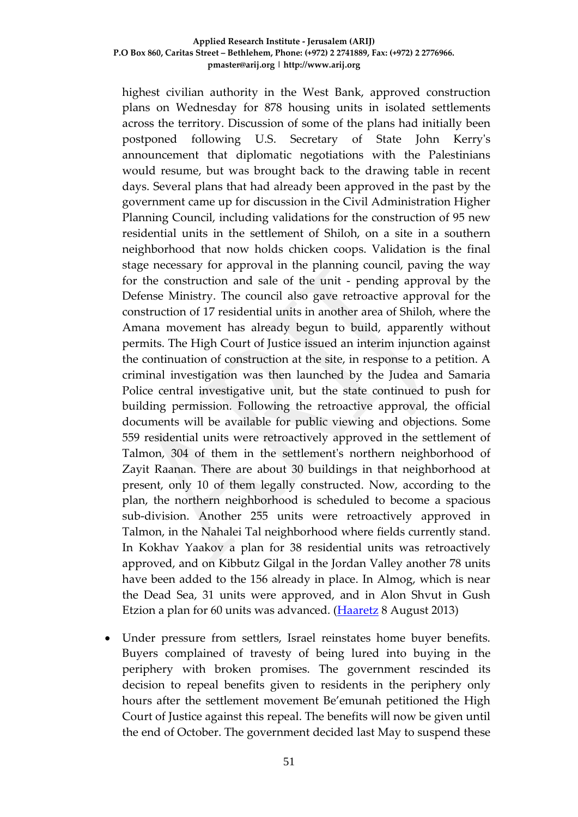highest civilian authority in the West Bank, approved construction plans on Wednesday for 878 housing units in isolated settlements across the territory. Discussion of some of the plans had initially been postponed following U.S. Secretary of State John Kerry's announcement that diplomatic negotiations with the Palestinians would resume, but was brought back to the drawing table in recent days. Several plans that had already been approved in the past by the government came up for discussion in the Civil Administration Higher Planning Council, including validations for the construction of 95 new residential units in the settlement of Shiloh, on a site in a southern neighborhood that now holds chicken coops. Validation is the final stage necessary for approval in the planning council, paving the way for the construction and sale of the unit - pending approval by the Defense Ministry. The council also gave retroactive approval for the construction of 17 residential units in another area of Shiloh, where the Amana movement has already begun to build, apparently without permits. The High Court of Justice issued an interim injunction against the continuation of construction at the site, in response to a petition. A criminal investigation was then launched by the Judea and Samaria Police central investigative unit, but the state continued to push for building permission. Following the retroactive approval, the official documents will be available for public viewing and objections. Some 559 residential units were retroactively approved in the settlement of Talmon, 304 of them in the settlement's northern neighborhood of Zayit Raanan. There are about 30 buildings in that neighborhood at present, only 10 of them legally constructed. Now, according to the plan, the northern neighborhood is scheduled to become a spacious sub-division. Another 255 units were retroactively approved in Talmon, in the Nahalei Tal neighborhood where fields currently stand. In Kokhav Yaakov a plan for 38 residential units was retroactively approved, and on Kibbutz Gilgal in the Jordan Valley another 78 units have been added to the 156 already in place. In Almog, which is near the Dead Sea, 31 units were approved, and in Alon Shvut in Gush Etzion a plan for 60 units was advanced. [\(Haaretz](http://www.haaretz.com/news/diplomacy-defense/.premium-1.540481) 8 August 2013)

• Under pressure from settlers, Israel reinstates home buyer benefits. Buyers complained of travesty of being lured into buying in the periphery with broken promises. The government rescinded its decision to repeal benefits given to residents in the periphery only hours after the settlement movement Be'emunah petitioned the High Court of Justice against this repeal. The benefits will now be given until the end of October. The government decided last May to suspend these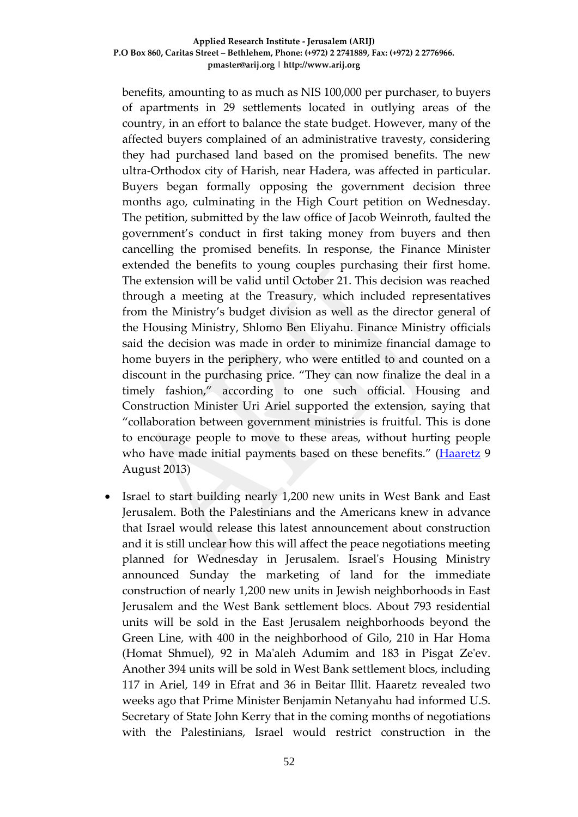benefits, amounting to as much as NIS 100,000 per purchaser, to buyers of apartments in 29 settlements located in outlying areas of the country, in an effort to balance the state budget. However, many of the affected buyers complained of an administrative travesty, considering they had purchased land based on the promised benefits. The new ultra-Orthodox city of Harish, near Hadera, was affected in particular. Buyers began formally opposing the government decision three months ago, culminating in the High Court petition on Wednesday. The petition, submitted by the law office of Jacob Weinroth, faulted the government's conduct in first taking money from buyers and then cancelling the promised benefits. In response, the Finance Minister extended the benefits to young couples purchasing their first home. The extension will be valid until October 21. This decision was reached through a meeting at the Treasury, which included representatives from the Ministry's budget division as well as the director general of the Housing Ministry, Shlomo Ben Eliyahu. Finance Ministry officials said the decision was made in order to minimize financial damage to home buyers in the periphery, who were entitled to and counted on a discount in the purchasing price. "They can now finalize the deal in a timely fashion," according to one such official. Housing and Construction Minister Uri Ariel supported the extension, saying that "collaboration between government ministries is fruitful. This is done to encourage people to move to these areas, without hurting people who have made initial payments based on these benefits." [\(Haaretz](http://www.haaretz.com/news/national/.premium-1.540539) 9 August 2013)

• Israel to start building nearly 1,200 new units in West Bank and East Jerusalem. Both the Palestinians and the Americans knew in advance that Israel would release this latest announcement about construction and it is still unclear how this will affect the peace negotiations meeting planned for Wednesday in Jerusalem. Israel's Housing Ministry announced Sunday the marketing of land for the immediate construction of nearly 1,200 new units in Jewish neighborhoods in [East](http://www.haaretz.com/misc/tags/East%20Jerusalem-1.476991)  [Jerusalem](http://www.haaretz.com/misc/tags/East%20Jerusalem-1.476991) and the [West Bank](http://www.haaretz.com/misc/tags/West%20Bank-1.477132) settlement blocs. About 793 residential units will be sold in the East Jerusalem neighborhoods beyond the Green Line, with 400 in the neighborhood of Gilo, 210 in Har Homa (Homat Shmuel), 92 in Ma'aleh Adumim and 183 in Pisgat Ze'ev. Another 394 units will be sold in West Bank settlement blocs, including 117 in Ariel, 149 in Efrat and 36 in Beitar Illit. Haaretz revealed two weeks ago that Prime Minister [Benjamin Netanyahu](http://www.haaretz.com/misc/tags/Benjamin%20Netanyahu-1.476753) had informed U.S. Secretary of State [John Kerry](http://www.haaretz.com/misc/tags/Tag/tags/John%20Kerry%20-1.507474) that in the coming months of negotiations with the Palestinians, Israel would restrict construction in the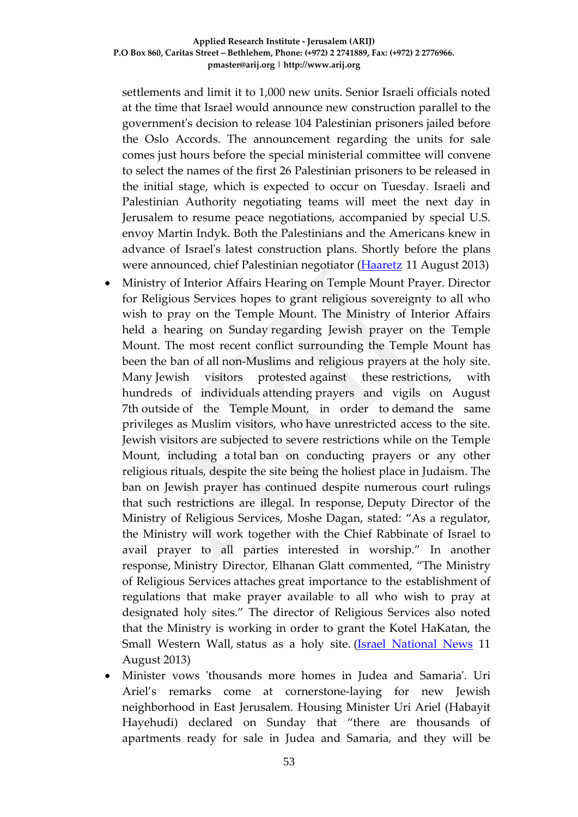settlements and limit it to 1,000 new units. Senior Israeli officials noted at the time that Israel would announce new construction parallel to the government's decision to release 104 Palestinian prisoners jailed before the Oslo Accords. The announcement regarding the units for sale comes just hours before the special ministerial committee will convene to select the names of [the first 26 Palestinian prisoners](http://www.haaretz.com/news/diplomacy-defense/.premium-1.540828) to be released in the initial stage, which is expected to occur on Tuesday. Israeli and Palestinian Authority negotiating teams will meet the next day in Jerusalem to resume peace negotiations, accompanied by special U.S. envoy Martin Indyk. Both the Palestinians and the Americans knew in advance of Israel's latest construction plans. Shortly before the plans were announced, chief Palestinian negotiator [\(Haaretz](http://www.haaretz.com/news/diplomacy-defense/.premium-1.540858) 11 August 2013)

- Ministry of Interior Affairs Hearing on Temple Mount Prayer. Director for Religious Services hopes to grant religious sovereignty to all who wish to pray on the Temple Mount. The Ministry of Interior Affairs held a hearing on Sunday regarding Jewish prayer on the Temple Mount. The most recent conflict surrounding the Temple Mount has been the ban of all non-Muslims and religious prayers at the holy site. Many Jewish [visitors protested](http://www.israelnationalnews.com/News/News.aspx/170679) against these restrictions, with hundreds of individuals attending prayers and vigils on August 7th outside of the Temple Mount, in order to demand the same privileges as Muslim visitors, who have unrestricted access to the site. Jewish visitors are subjected to severe restrictions while on the Temple Mount, including a total ban on conducting prayers or any other religious rituals, despite the site being the holiest place in Judaism. The ban on Jewish prayer has continued despite numerous court rulings that such restrictions are illegal. In response, Deputy Director of the Ministry of Religious Services, Moshe Dagan, stated: "As a regulator, the Ministry will work together with the Chief Rabbinate of Israel to avail prayer to all parties interested in worship." In another response, Ministry Director, Elhanan Glatt commented, "The Ministry of Religious Services attaches great importance to the establishment of regulations that make prayer available to all who wish to pray at designated holy sites." The director of Religious Services also noted that the Ministry is working in order to grant the Kotel HaKatan, the Small Western Wall, status as a holy site. (*Israel National News* 11 August 2013)
- Minister vows 'thousands more homes in Judea and Samaria'. Uri Ariel's remarks come at cornerstone-laying for new Jewish neighborhood in East Jerusalem. Housing Minister Uri Ariel (Habayit Hayehudi) declared on Sunday that "there are thousands of apartments ready for sale in Judea and Samaria, and they will be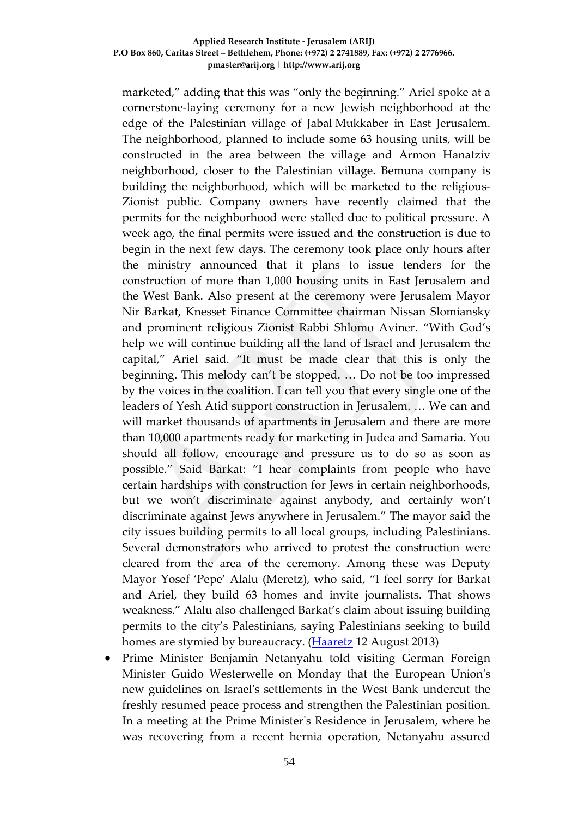marketed," adding that this was "only the beginning." Ariel spoke at a cornerstone-laying ceremony for a new Jewish neighborhood at the edge of the Palestinian village of Jabal Mukkaber in [East Jerusalem.](http://www.haaretz.com/misc/tags/Tag/Second%2525252525252525252525252525252525252525252525252525252525252525252525252525252525252525252525252525252525252525252525252520Lebanon%2525252525252525252525252525252525252525252525252525252525252525252525252525252/East%20Jerusalem-1.476991) The neighborhood, planned to include some 63 housing units, will be constructed in the area between the village and Armon Hanatziv neighborhood, closer to the Palestinian village. Bemuna company is building the neighborhood, which will be marketed to the religious-Zionist public. Company owners have recently claimed that the permits for the neighborhood were stalled due to political pressure. A week ago, the final permits were issued and the [construction is due to](http://www.haaretz.com/news/national/.premium-1.540080)  [begin](http://www.haaretz.com/news/national/.premium-1.540080) in the next few days. The ceremony took place only hours after the ministry announced that it plans to issue tenders for the construction of more than [1,000 housing units](http://www.haaretz.com/news/diplomacy-defense/.premium-1.540858) in East Jerusalem and the [West Bank.](http://www.haaretz.com/misc/tags/West%20Bank-1.477132) Also present at the ceremony were Jerusalem Mayor Nir Barkat, Knesset Finance Committee chairman Nissan Slomiansky and prominent religious Zionist Rabbi Shlomo Aviner. "With God's help we will continue building all the land of Israel and Jerusalem the capital," Ariel said. "It must be made clear that this is only the beginning. This melody can't be stopped. … Do not be too impressed by the voices in the coalition. I can tell you that every single one of the leaders of Yesh Atid support construction in Jerusalem. … We can and will market thousands of apartments in Jerusalem and there are more than 10,000 apartments ready for marketing in Judea and Samaria. You should all follow, encourage and pressure us to do so as soon as possible." Said Barkat: "I hear complaints from people who have certain hardships with construction for Jews in certain neighborhoods, but we won't discriminate against anybody, and certainly won't discriminate against Jews anywhere in Jerusalem." The mayor said the city issues building permits to all local groups, including Palestinians. Several demonstrators who arrived to protest the construction were cleared from the area of the ceremony. Among these was Deputy Mayor Yosef 'Pepe' Alalu (Meretz), who said, "I feel sorry for Barkat and Ariel, they build 63 homes and invite journalists. That shows weakness." Alalu also challenged Barkat's claim about issuing building permits to the city's Palestinians, saying Palestinians seeking to build homes are stymied by bureaucracy. [\(Haaretz](http://www.haaretz.com/news/diplomacy-defense/1.540936) 12 August 2013)

• Prime Minister Benjamin Netanyahu told visiting German Foreign Minister Guido Westerwelle on Monday that the European Union's new guidelines on Israel's settlements in the West Bank undercut the freshly resumed peace process and strengthen the Palestinian position. In a meeting at the Prime Minister's Residence in Jerusalem, where he was recovering from a recent hernia operation, Netanyahu assured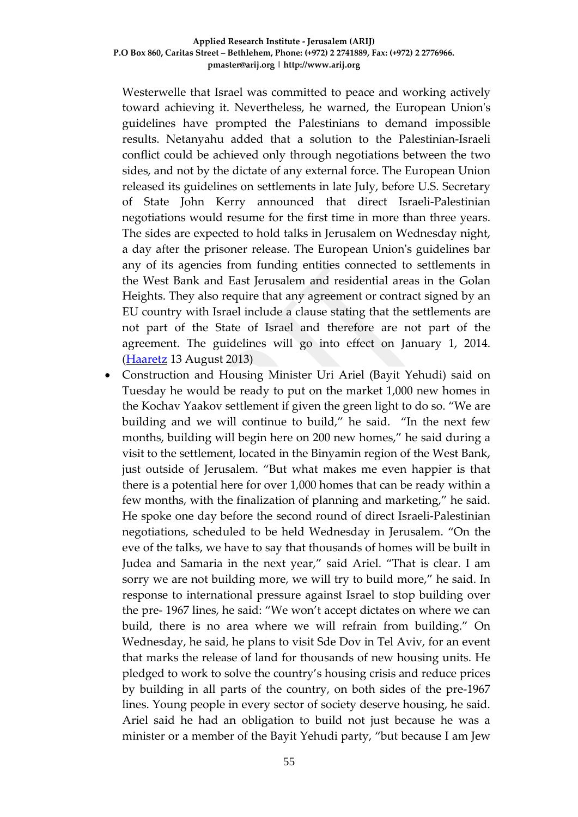Westerwelle that Israel was committed to peace and working actively toward achieving it. Nevertheless, he warned, the European Union's guidelines have prompted the Palestinians to demand impossible results. Netanyahu added that a solution to the Palestinian-Israeli conflict could be achieved only through negotiations between the two sides, and not by the dictate of any external force. The European Union released its guidelines on settlements in late July, before U.S. Secretary of State John Kerry announced that direct Israeli-Palestinian negotiations would resume for the first time in more than three years. The sides are expected to hold talks in Jerusalem on Wednesday night, a day after the prisoner release. The European Union's guidelines bar any of its agencies from funding entities connected to settlements in the West Bank and East Jerusalem and residential areas in the Golan Heights. They also require that any agreement or contract signed by an EU country with Israel include a clause stating that the settlements are not part of the State of Israel and therefore are not part of the agreement. The guidelines will go into effect on January 1, 2014. [\(Haaretz](http://www.haaretz.com/news/diplomacy-defense/.premium-1.541083) 13 August 2013)

• Construction and Housing Minister Uri Ariel (Bayit Yehudi) said on Tuesday he would be ready to put on the market 1,000 new homes in the Kochav Yaakov settlement if given the green light to do so. "We are building and we will continue to build," he said. "In the next few months, building will begin here on 200 new homes," he said during a visit to the settlement, located in the Binyamin region of the West Bank, just outside of Jerusalem. "But what makes me even happier is that there is a potential here for over 1,000 homes that can be ready within a few months, with the finalization of planning and marketing," he said. He spoke one day before the second round of direct Israeli-Palestinian negotiations, scheduled to be held Wednesday in Jerusalem. "On the eve of the talks, we have to say that thousands of homes will be built in Judea and Samaria in the next year," said Ariel. "That is clear. I am sorry we are not building more, we will try to build more," he said. In response to international pressure against Israel to stop building over the pre- 1967 lines, he said: "We won't accept dictates on where we can build, there is no area where we will refrain from building." On Wednesday, he said, he plans to visit Sde Dov in Tel Aviv, for an event that marks the release of land for thousands of new housing units. He pledged to work to solve the country's housing crisis and reduce prices by building in all parts of the country, on both sides of the pre-1967 lines. Young people in every sector of society deserve housing, he said. Ariel said he had an obligation to build not just because he was a minister or a member of the Bayit Yehudi party, "but because I am Jew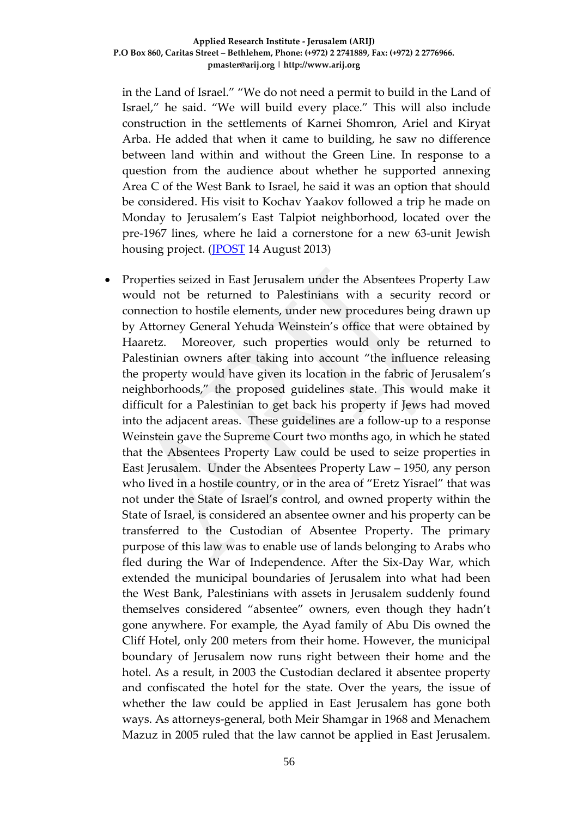in the Land of Israel." "We do not need a permit to build in the Land of Israel," he said. "We will build every place." This will also include construction in the settlements of Karnei Shomron, Ariel and Kiryat Arba. He added that when it came to building, he saw no difference between land within and without the Green Line. In response to a question from the audience about whether he supported annexing Area C of the West Bank to Israel, he said it was an option that should be considered. His visit to Kochav Yaakov followed a trip he made on Monday to Jerusalem's East Talpiot neighborhood, located over the pre-1967 lines, where he laid a cornerstone for a new 63-unit Jewish housing project. [\(JPOST](http://www.jpost.com/Diplomacy-and-Politics/Ariel-visits-Kochav-Yaakov-settlement-pledges-more-building-322935) 14 August 2013)

• Properties seized in East Jerusalem under the Absentees Property Law would not be returned to Palestinians with a security record or connection to hostile elements, under new procedures being drawn up by Attorney General Yehuda Weinstein's office that were obtained by Haaretz. Moreover, such properties would only be returned to Palestinian owners after taking into account "the influence releasing the property would have given its location in the fabric of Jerusalem's neighborhoods," the proposed guidelines state. This would make it difficult for a Palestinian to get back his property if Jews had moved into the adjacent areas. These guidelines are a follow-up to a response Weinstein gave the Supreme Court two months ago, in which he stated that the Absentees Property Law could be used to seize properties in East Jerusalem. Under the Absentees Property Law – 1950, any person who lived in a hostile country, or in the area of "Eretz Yisrael" that was not under the State of Israel's control, and owned property within the State of Israel, is considered an absentee owner and his property can be transferred to the Custodian of Absentee Property. The primary purpose of this law was to enable use of lands belonging to Arabs who fled during the War of Independence. After the Six-Day War, which extended the municipal boundaries of Jerusalem into what had been the West Bank, Palestinians with assets in Jerusalem suddenly found themselves considered "absentee" owners, even though they hadn't gone anywhere. For example, the Ayad family of Abu Dis owned the Cliff Hotel, only 200 meters from their home. However, the municipal boundary of Jerusalem now runs right between their home and the hotel. As a result, in 2003 the Custodian declared it absentee property and confiscated the hotel for the state. Over the years, the issue of whether the law could be applied in East Jerusalem has gone both ways. As attorneys-general, both Meir Shamgar in 1968 and Menachem Mazuz in 2005 ruled that the law cannot be applied in East Jerusalem.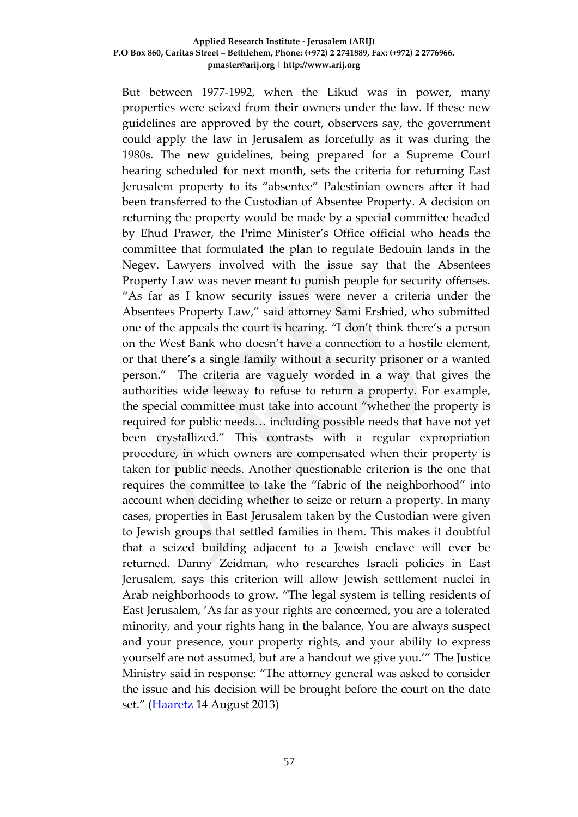But between 1977-1992, when the Likud was in power, many properties were seized from their owners under the law. If these new guidelines are approved by the court, observers say, the government could apply the law in Jerusalem as forcefully as it was during the 1980s. The new guidelines, being prepared for a Supreme Court hearing scheduled for next month, sets the criteria for returning East Jerusalem property to its "absentee" Palestinian owners after it had been transferred to the Custodian of Absentee Property. A decision on returning the property would be made by a special committee headed by Ehud Prawer, the Prime Minister's Office official who heads the committee that formulated the plan to regulate Bedouin lands in the Negev. Lawyers involved with the issue say that the Absentees Property Law was never meant to punish people for security offenses. "As far as I know security issues were never a criteria under the Absentees Property Law," said attorney Sami Ershied, who submitted one of the appeals the court is hearing. "I don't think there's a person on the West Bank who doesn't have a connection to a hostile element, or that there's a single family without a security prisoner or a wanted person." The criteria are vaguely worded in a way that gives the authorities wide leeway to refuse to return a property. For example, the special committee must take into account "whether the property is required for public needs… including possible needs that have not yet been crystallized." This contrasts with a regular expropriation procedure, in which owners are compensated when their property is taken for public needs. Another questionable criterion is the one that requires the committee to take the "fabric of the neighborhood" into account when deciding whether to seize or return a property. In many cases, properties in East Jerusalem taken by the Custodian were given to Jewish groups that settled families in them. This makes it doubtful that a seized building adjacent to a Jewish enclave will ever be returned. Danny Zeidman, who researches Israeli policies in East Jerusalem, says this criterion will allow Jewish settlement nuclei in Arab neighborhoods to grow. "The legal system is telling residents of East Jerusalem, 'As far as your rights are concerned, you are a tolerated minority, and your rights hang in the balance. You are always suspect and your presence, your property rights, and your ability to express yourself are not assumed, but are a handout we give you.'" The Justice Ministry said in response: "The attorney general was asked to consider the issue and his decision will be brought before the court on the date set." [\(Haaretz](http://www.haaretz.com/news/national/.premium-1.541336) 14 August 2013)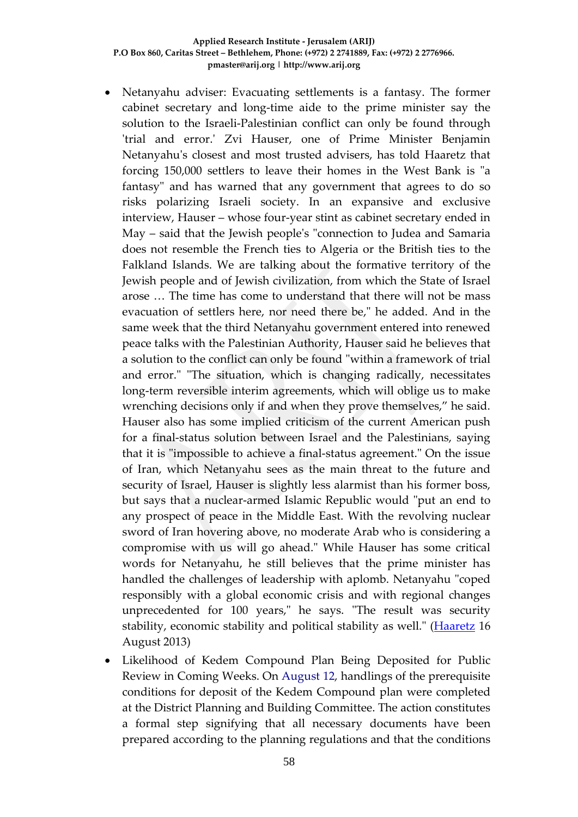- Netanyahu adviser: Evacuating settlements is a fantasy. The former cabinet secretary and long-time aide to the prime minister say the solution to the Israeli-Palestinian conflict can only be found through 'trial and error.' Zvi Hauser, one of Prime Minister Benjamin Netanyahu's closest and most trusted advisers, has told Haaretz that forcing 150,000 settlers to leave their homes in the West Bank is "a fantasy" and has warned that any government that agrees to do so risks polarizing Israeli society. In an expansive and exclusive interview, Hauser – whose four-year stint as cabinet secretary ended in May – said that the Jewish people's "connection to Judea and Samaria does not resemble the French ties to Algeria or the British ties to the Falkland Islands. We are talking about the formative territory of the Jewish people and of Jewish civilization, from which the State of Israel arose … The time has come to understand that there will not be mass evacuation of settlers here, nor need there be," he added. And in the same week that the third Netanyahu government entered into renewed peace talks with the Palestinian Authority, Hauser said he believes that a solution to the conflict can only be found "within a framework of trial and error." "The situation, which is changing radically, necessitates long-term reversible interim agreements, which will oblige us to make wrenching decisions only if and when they prove themselves," he said. Hauser also has some implied criticism of the current American push for a final-status solution between Israel and the Palestinians, saying that it is "impossible to achieve a final-status agreement." On the issue of Iran, which Netanyahu sees as the main threat to the future and security of Israel, Hauser is slightly less alarmist than his former boss, but says that a nuclear-armed Islamic Republic would "put an end to any prospect of peace in the Middle East. With the revolving nuclear sword of Iran hovering above, no moderate Arab who is considering a compromise with us will go ahead." While Hauser has some critical words for Netanyahu, he still believes that the prime minister has handled the challenges of leadership with aplomb. Netanyahu "coped responsibly with a global economic crisis and with regional changes unprecedented for 100 years," he says. "The result was security stability, economic stability and political stability as well." [\(Haaretz](http://www.haaretz.com/news/national/.premium-1.541830) 16 August 2013)
- Likelihood of Kedem Compound Plan Being Deposited for Public Review in Coming Weeks. On August 12, handlings of the prerequisite conditions for deposit of the Kedem Compound plan were completed at the District Planning and Building Committee. The action constitutes a formal step signifying that all necessary documents have been prepared according to the planning regulations and that the conditions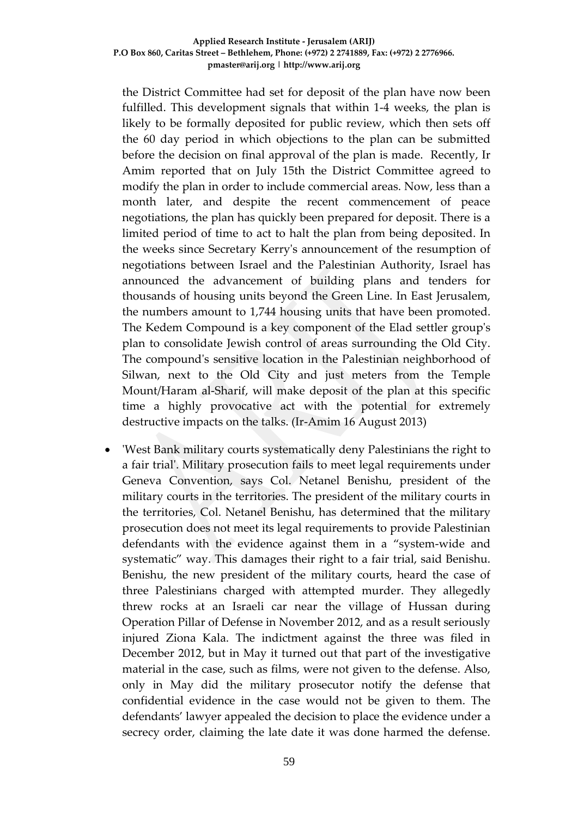the District Committee had set for deposit of the plan have now been fulfilled. This development signals that within 1-4 weeks, the plan is likely to be formally deposited for public review, which then sets off the 60 day period in which objections to the plan can be submitted before the decision on final approval of the plan is made. Recently, Ir Amim reported that on July 15th the District Committee agreed to modify the plan in order to include commercial areas. Now, less than a month later, and despite the recent commencement of peace negotiations, the plan has quickly been prepared for deposit. There is a limited period of time to act to halt the plan from being deposited. In the weeks since Secretary Kerry's announcement of the resumption of negotiations between Israel and the Palestinian Authority, Israel has announced the advancement of building plans and tenders for thousands of housing units beyond the Green Line. In East Jerusalem, the numbers amount to 1,744 housing units that have been promoted. The Kedem Compound is a key component of the Elad settler group's plan to consolidate Jewish control of areas surrounding the Old City. The compound's sensitive location in the Palestinian neighborhood of Silwan, next to the Old City and just meters from the Temple Mount/Haram al-Sharif, will make deposit of the plan at this specific time a highly provocative act with the potential for extremely destructive impacts on the talks. (Ir-Amim 16 August 2013)

• 'West Bank military courts systematically deny Palestinians the right to a fair trial'. Military prosecution fails to meet legal requirements under Geneva Convention, says Col. Netanel Benishu, president of the military courts in the territories. The president of the military courts in the territories, Col. Netanel Benishu, has determined that the military prosecution does not meet its legal requirements to provide Palestinian defendants with the evidence against them in a "system-wide and systematic" way. This damages their right to a fair trial, said Benishu. Benishu, the new president of the military courts, heard the case of three Palestinians charged with attempted murder. They allegedly threw rocks at an Israeli car near the village of Hussan during Operation Pillar of Defense in November 2012, and as a result seriously injured Ziona Kala. The indictment against the three was filed in December 2012, but in May it turned out that part of the investigative material in the case, such as films, were not given to the defense. Also, only in May did the military prosecutor notify the defense that confidential evidence in the case would not be given to them. The defendants' lawyer appealed the decision to place the evidence under a secrecy order, claiming the late date it was done harmed the defense.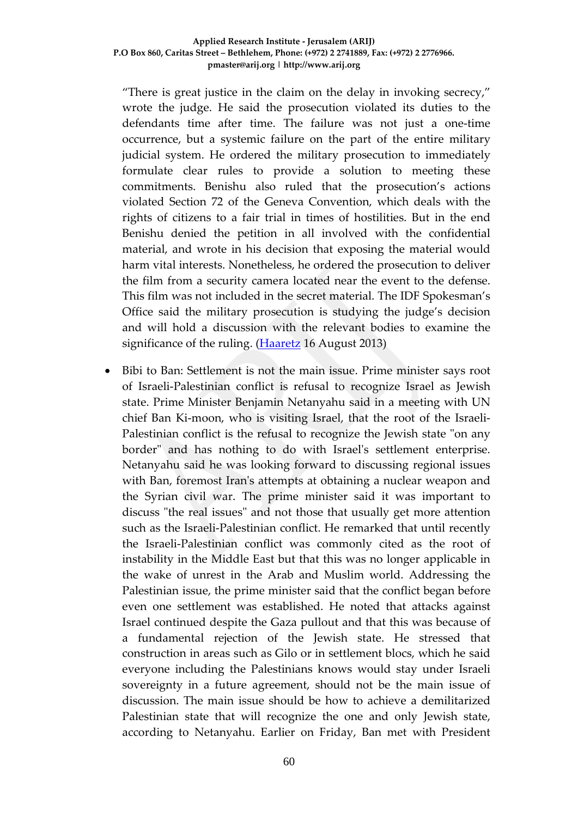"There is great justice in the claim on the delay in invoking secrecy," wrote the judge. He said the prosecution violated its duties to the defendants time after time. The failure was not just a one-time occurrence, but a systemic failure on the part of the entire military judicial system. He ordered the military prosecution to immediately formulate clear rules to provide a solution to meeting these commitments. Benishu also ruled that the prosecution's actions violated Section 72 of the Geneva Convention, which deals with the rights of citizens to a fair trial in times of hostilities. But in the end Benishu denied the petition in all involved with the confidential material, and wrote in his decision that exposing the material would harm vital interests. Nonetheless, he ordered the prosecution to deliver the film from a security camera located near the event to the defense. This film was not included in the secret material. The IDF Spokesman's Office said the military prosecution is studying the judge's decision and will hold a discussion with the relevant bodies to examine the significance of the ruling. [\(Haaretz](http://www.haaretz.com/news/diplomacy-defense/.premium-1.541727) 16 August 2013)

• Bibi to Ban: Settlement is not the main issue. Prime minister says root of Israeli-Palestinian conflict is refusal to recognize Israel as Jewish state. Prime Minister [Benjamin Netanyahu](http://www.ynetnews.com/articles/0,7340,L-4187902,00.html) said in a meeting with UN chief [Ban Ki-moon,](http://www.ynetnews.com/articles/0,7340,L-4351107,00.html) who is visiting Israel, that the root of the Israeli-Palestinian conflict is the refusal to recognize the Jewish state "on any border" and has nothing to do with Israel's settlement enterprise. [Netanyahu](http://www.ynetnews.com/articles/0,7340,L-4417872,00.html) said he was looking forward to discussing regional issues with Ban, foremost [Iran'](http://www.ynetnews.com/articles/0,7340,L-3284752,00.html)s attempts at obtaining a nuclear weapon and the [Syrian](http://www.ynetnews.com/articles/0,7340,L-3284752,00.html) civil war. The prime minister said it was important to discuss "the real issues" and not those that usually get more attention such as the Israeli-Palestinian conflict. He remarked that until recently the Israeli[-Palestinian](http://www.ynetnews.com/articles/0,7340,L-4418593,00.html) conflict was commonly cited as the root of instability in the Middle East but that this was no longer applicable in the wake of unrest in the Arab and Muslim world. Addressing the Palestinian issue, the prime minister said that the conflict began before even one settlement was established. He noted that attacks against [Israel](http://www.ynetnews.com/articles/0,7340,L-3284752,00.html) continued despite the [Gaza pullout](http://www.ynetnews.com/home/0,7340,L-3491,00.html) and that this was because of a fundamental rejection of the Jewish state. He stressed that construction in areas such as [Gilo](http://www.ynetnews.com/articles/0,7340,L-4416280,00.html) or in settlement blocs, which he said everyone including the Palestinians knows would stay under Israeli sovereignty in a future agreement, should not be the main issue of discussion. The main issue should be how to achieve a demilitarized Palestinian state that will recognize the one and only Jewish state, according to Netanyahu. Earlier on Friday, [Ban met](http://www.ynetnews.com/articles/0,7340,L-4418628,00.html) with President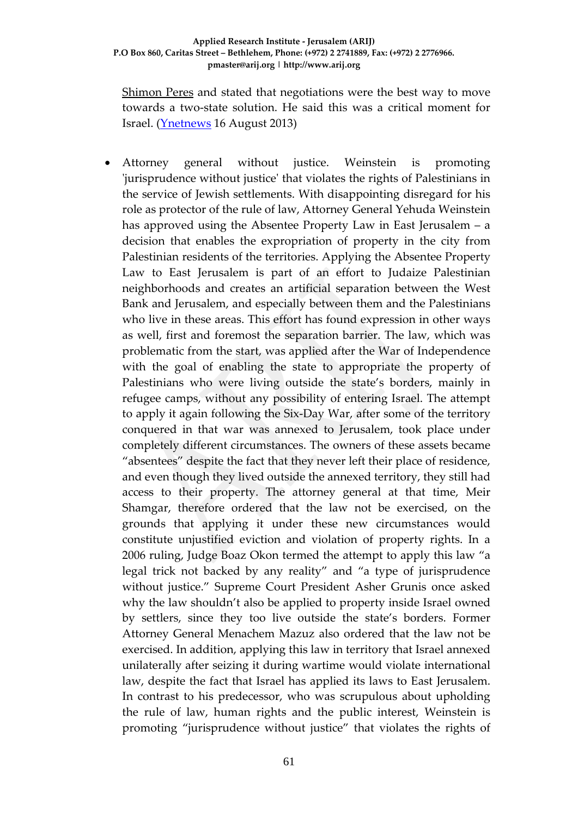[Shimon Peres](http://www.ynetnews.com/articles/0,7340,L-3479700,00.html) and stated that negotiations were the best way to move towards a two-state solution. He said this was a critical moment for Israel. [\(Ynetnews](http://www.ynetnews.com/articles/0,7340,L-4418684,00.html) 16 August 2013)

• Attorney general without justice. Weinstein is promoting 'jurisprudence without justice' that violates the rights of Palestinians in the service of Jewish settlements. With disappointing disregard for his role as protector of the rule of law, Attorney General Yehuda Weinstein has approved using the Absentee Property Law in East Jerusalem – a decision that enables the expropriation of property in the city from Palestinian residents of the territories. Applying the Absentee Property Law to East Jerusalem is part of an effort to Judaize Palestinian neighborhoods and creates an artificial separation between the West Bank and Jerusalem, and especially between them and the Palestinians who live in these areas. This effort has found expression in other ways as well, first and foremost the separation barrier. The law, which was problematic from the start, was applied after the War of Independence with the goal of enabling the state to appropriate the property of Palestinians who were living outside the state's borders, mainly in refugee camps, without any possibility of entering Israel. The attempt to apply it again following the Six-Day War, after some of the territory conquered in that war was annexed to Jerusalem, took place under completely different circumstances. The owners of these assets became "absentees" despite the fact that they never left their place of residence, and even though they lived outside the annexed territory, they still had access to their property. The attorney general at that time, Meir Shamgar, therefore ordered that the law not be exercised, on the grounds that applying it under these new circumstances would constitute unjustified eviction and violation of property rights. In a 2006 ruling, Judge Boaz Okon termed the attempt to apply this law "a legal trick not backed by any reality" and "a type of jurisprudence without justice." Supreme Court President Asher Grunis once asked why the law shouldn't also be applied to property inside Israel owned by settlers, since they too live outside the state's borders. Former Attorney General Menachem Mazuz also ordered that the law not be exercised. In addition, applying this law in territory that Israel annexed unilaterally after seizing it during wartime would violate international law, despite the fact that Israel has applied its laws to East Jerusalem. In contrast to his predecessor, who was scrupulous about upholding the rule of law, human rights and the public interest, Weinstein is promoting "jurisprudence without justice" that violates the rights of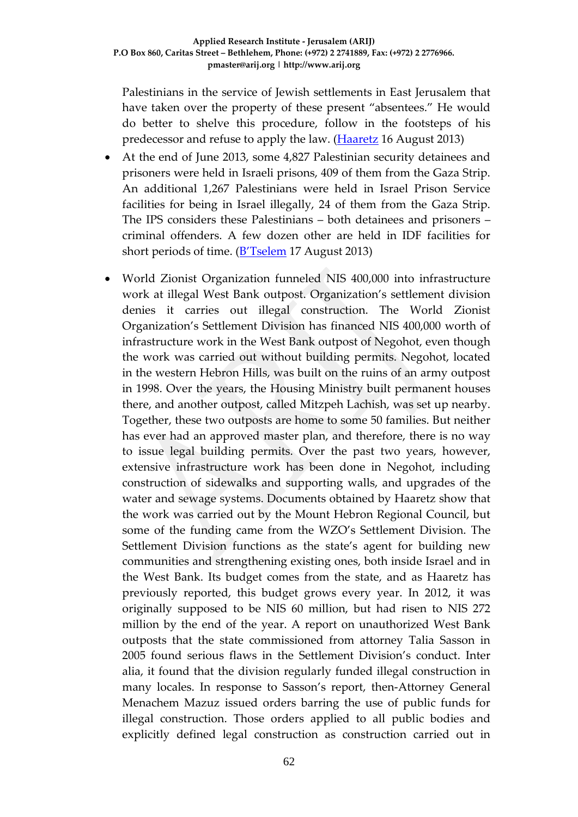Palestinians in the service of Jewish settlements in East Jerusalem that have taken over the property of these present "absentees." He would do better to shelve this procedure, follow in the footsteps of his predecessor and refuse to apply the law. (**Haaretz** 16 August 2013)

- At the end of June 2013, some 4,827 Palestinian security detainees and prisoners were held in Israeli prisons, 409 of them from the Gaza Strip. An additional 1,267 Palestinians were held in Israel Prison Service facilities for being in Israel illegally, 24 of them from the Gaza Strip. The IPS considers these Palestinians – both detainees and prisoners – criminal offenders. A few dozen other are held in IDF facilities for short periods of time. [\(B'Tselem](http://www.btselem.org/printpdf/42967) 17 August 2013)
- World Zionist Organization funneled NIS 400,000 into infrastructure work at illegal West Bank outpost. Organization's settlement division denies it carries out illegal construction. The World Zionist Organization's Settlement Division has financed NIS 400,000 worth of infrastructure work in the West Bank outpost of Negohot, even though the work was carried out without building permits. Negohot, located in the western Hebron Hills, was built on the ruins of an army outpost in 1998. Over the years, the Housing Ministry built permanent houses there, and another outpost, called Mitzpeh Lachish, was set up nearby. Together, these two outposts are home to some 50 families. But neither has ever had an approved master plan, and therefore, there is no way to issue legal building permits. Over the past two years, however, extensive infrastructure work has been done in Negohot, including construction of sidewalks and supporting walls, and upgrades of the water and sewage systems. Documents obtained by Haaretz show that the work was carried out by the Mount Hebron Regional Council, but some of the funding came from the WZO's Settlement Division. The Settlement Division functions as the state's agent for building new communities and strengthening existing ones, both inside Israel and in the West Bank. Its budget comes from the state, and as Haaretz has previously reported, this budget grows every year. In 2012, it was originally supposed to be NIS 60 million, but had risen to NIS 272 million by the end of the year. A report on unauthorized West Bank outposts that the state commissioned from attorney Talia Sasson in 2005 found serious flaws in the Settlement Division's conduct. Inter alia, it found that the division regularly funded illegal construction in many locales. In response to Sasson's report, then-Attorney General Menachem Mazuz issued orders barring the use of public funds for illegal construction. Those orders applied to all public bodies and explicitly defined legal construction as construction carried out in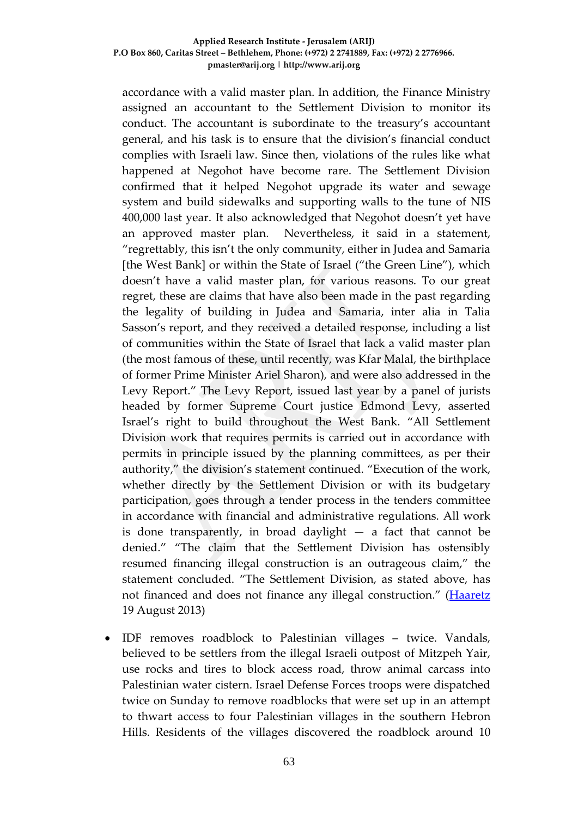accordance with a valid master plan. In addition, the Finance Ministry assigned an accountant to the Settlement Division to monitor its conduct. The accountant is subordinate to the treasury's accountant general, and his task is to ensure that the division's financial conduct complies with Israeli law. Since then, violations of the rules like what happened at Negohot have become rare. The Settlement Division confirmed that it helped Negohot upgrade its water and sewage system and build sidewalks and supporting walls to the tune of NIS 400,000 last year. It also acknowledged that Negohot doesn't yet have an approved master plan. Nevertheless, it said in a statement, "regrettably, this isn't the only community, either in Judea and Samaria [the West Bank] or within the State of Israel ("the Green Line"), which doesn't have a valid master plan, for various reasons. To our great regret, these are claims that have also been made in the past regarding the legality of building in Judea and Samaria, inter alia in Talia Sasson's report, and they received a detailed response, including a list of communities within the State of Israel that lack a valid master plan (the most famous of these, until recently, was Kfar Malal, the birthplace of former Prime Minister Ariel Sharon), and were also addressed in the Levy Report." The Levy Report, issued last year by a panel of jurists headed by former Supreme Court justice Edmond Levy, asserted Israel's right to build throughout the West Bank. "All Settlement Division work that requires permits is carried out in accordance with permits in principle issued by the planning committees, as per their authority," the division's statement continued. "Execution of the work, whether directly by the Settlement Division or with its budgetary participation, goes through a tender process in the tenders committee in accordance with financial and administrative regulations. All work is done transparently, in broad daylight  $-$  a fact that cannot be denied." "The claim that the Settlement Division has ostensibly resumed financing illegal construction is an outrageous claim," the statement concluded. "The Settlement Division, as stated above, has not financed and does not finance any illegal construction." [\(Haaretz](http://www.haaretz.com/news/national/.premium-1.542226) 19 August 2013)

• IDF removes roadblock to Palestinian villages – twice. Vandals, believed to be settlers from the illegal Israeli outpost of Mitzpeh Yair, use rocks and tires to block access road, throw animal carcass into Palestinian water cistern. Israel Defense Forces troops were dispatched twice on Sunday to remove roadblocks that were set up in an attempt to thwart access to four Palestinian villages in the southern Hebron Hills. Residents of the villages discovered the roadblock around 10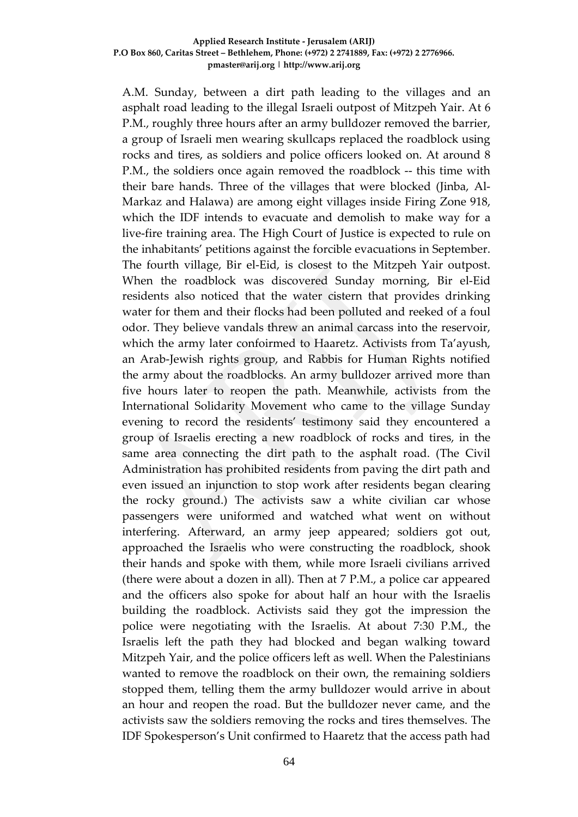A.M. Sunday, between a dirt path leading to the villages and an asphalt road leading to the illegal Israeli outpost of Mitzpeh Yair. At 6 P.M., roughly three hours after an army bulldozer removed the barrier, a group of Israeli men wearing skullcaps replaced the roadblock using rocks and tires, as soldiers and police officers looked on. At around 8 P.M., the soldiers once again removed the roadblock -- this time with their bare hands. Three of the villages that were blocked (Jinba, Al-Markaz and Halawa) are among eight villages inside Firing Zone 918, which the IDF intends to evacuate and demolish to make way for a live-fire training area. The High Court of Justice is expected to rule on the inhabitants' petitions against the forcible evacuations in September. The fourth village, Bir el-Eid, is closest to the Mitzpeh Yair outpost. When the roadblock was discovered Sunday morning, Bir el-Eid residents also noticed that the water cistern that provides drinking water for them and their flocks had been polluted and reeked of a foul odor. They believe vandals threw an animal carcass into the reservoir, which the army later confoirmed to Haaretz. Activists from Ta'ayush, an Arab-Jewish rights group, and Rabbis for Human Rights notified the army about the roadblocks. An army bulldozer arrived more than five hours later to reopen the path. Meanwhile, activists from the International Solidarity Movement who came to the village Sunday evening to record the residents' testimony said they encountered a group of Israelis erecting a new roadblock of rocks and tires, in the same area connecting the dirt path to the asphalt road. (The Civil Administration has prohibited residents from paving the dirt path and even issued an injunction to stop work after residents began clearing the rocky ground.) The activists saw a white civilian car whose passengers were uniformed and watched what went on without interfering. Afterward, an army jeep appeared; soldiers got out, approached the Israelis who were constructing the roadblock, shook their hands and spoke with them, while more Israeli civilians arrived (there were about a dozen in all). Then at 7 P.M., a police car appeared and the officers also spoke for about half an hour with the Israelis building the roadblock. Activists said they got the impression the police were negotiating with the Israelis. At about 7:30 P.M., the Israelis left the path they had blocked and began walking toward Mitzpeh Yair, and the police officers left as well. When the Palestinians wanted to remove the roadblock on their own, the remaining soldiers stopped them, telling them the army bulldozer would arrive in about an hour and reopen the road. But the bulldozer never came, and the activists saw the soldiers removing the rocks and tires themselves. The IDF Spokesperson's Unit confirmed to Haaretz that the access path had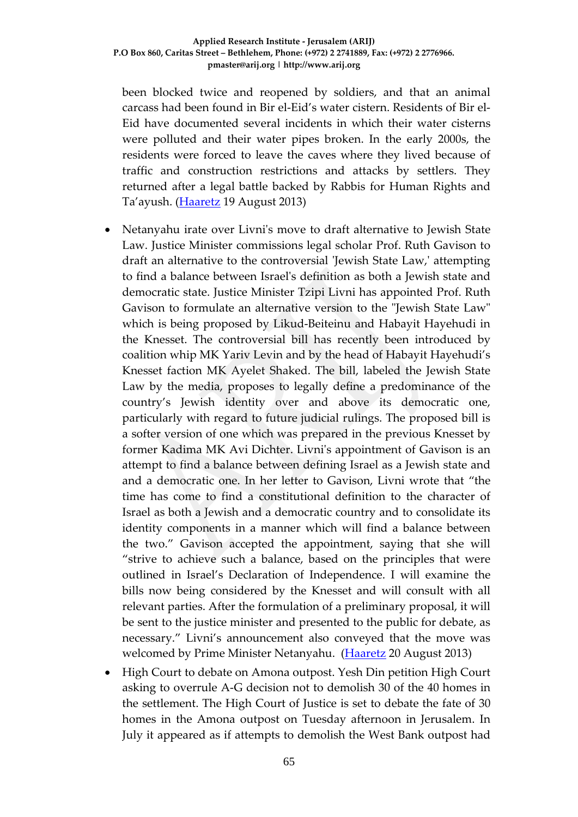been blocked twice and reopened by soldiers, and that an animal carcass had been found in Bir el-Eid's water cistern. Residents of Bir el-Eid have documented several incidents in which their water cisterns were polluted and their water pipes broken. In the early 2000s, the residents were forced to leave the caves where they lived because of traffic and construction restrictions and attacks by settlers. They returned after a legal battle backed by Rabbis for Human Rights and Ta'ayush. [\(Haaretz](http://www.haaretz.com/news/diplomacy-defense/1.542300) 19 August 2013)

- Netanyahu irate over Livni's move to draft alternative to Jewish State Law. Justice Minister commissions legal scholar Prof. Ruth Gavison to draft an alternative to the controversial 'Jewish State Law,' attempting to find a balance between Israel's definition as both a Jewish state and democratic state. Justice Minister Tzipi Livni has appointed Prof. Ruth Gavison to formulate an alternative version to the "Jewish State Law" which is being proposed by Likud-Beiteinu and Habayit Hayehudi in the Knesset. The controversial bill has recently been introduced by coalition whip MK Yariv Levin and by the head of Habayit Hayehudi's Knesset faction MK Ayelet Shaked. The bill, labeled the Jewish State Law by the media, proposes to legally define a predominance of the country's Jewish identity over and above its democratic one, particularly with regard to future judicial rulings. The proposed bill is a softer version of one which was prepared in the previous Knesset by former Kadima MK Avi Dichter. Livni's appointment of Gavison is an attempt to find a balance between defining Israel as a Jewish state and and a democratic one. In her letter to Gavison, Livni wrote that "the time has come to find a constitutional definition to the character of Israel as both a Jewish and a democratic country and to consolidate its identity components in a manner which will find a balance between the two." Gavison accepted the appointment, saying that she will "strive to achieve such a balance, based on the principles that were outlined in Israel's Declaration of Independence. I will examine the bills now being considered by the Knesset and will consult with all relevant parties. After the formulation of a preliminary proposal, it will be sent to the justice minister and presented to the public for debate, as necessary." Livni's announcement also conveyed that the move was welcomed by Prime Minister Netanyahu. [\(Haaretz](http://www.haaretz.com/news/national/.premium-1.542411) 20 August 2013)
- High Court to debate on Amona outpost. Yesh Din petition High Court asking to overrule A-G decision not to demolish 30 of the 40 homes in the settlement. The High Court of Justice is set to debate the fate of 30 homes in the Amona outpost on Tuesday afternoon in Jerusalem. In July it appeared as if attempts to demolish the West Bank outpost had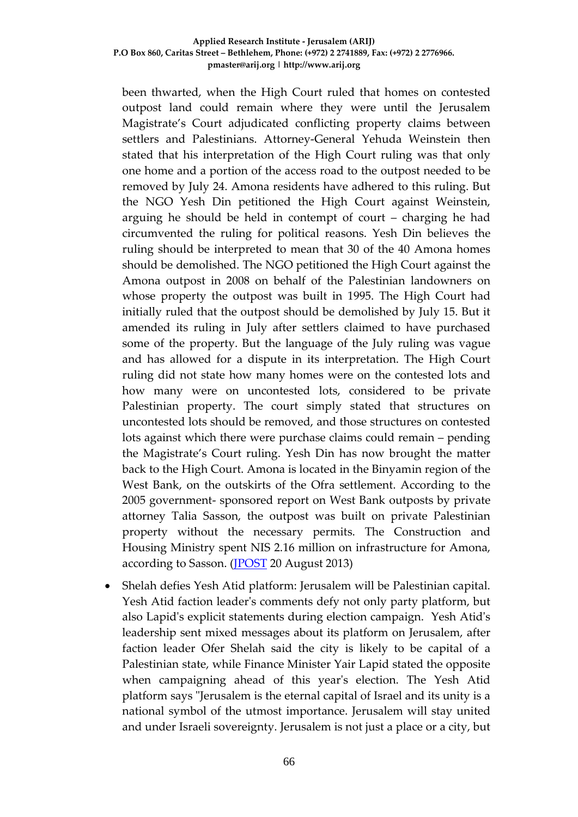been thwarted, when the High Court ruled that homes on contested outpost land could remain where they were until the Jerusalem Magistrate's Court adjudicated conflicting property claims between settlers and Palestinians. Attorney-General Yehuda Weinstein then stated that his interpretation of the High Court ruling was that only one home and a portion of the access road to the outpost needed to be removed by July 24. Amona residents have adhered to this ruling. But the NGO Yesh Din petitioned the High Court against Weinstein, arguing he should be held in contempt of court – charging he had circumvented the ruling for political reasons. Yesh Din believes the ruling should be interpreted to mean that 30 of the 40 Amona homes should be demolished. The NGO petitioned the High Court against the Amona outpost in 2008 on behalf of the Palestinian landowners on whose property the outpost was built in 1995. The High Court had initially ruled that the outpost should be demolished by July 15. But it amended its ruling in July after settlers claimed to have purchased some of the property. But the language of the July ruling was vague and has allowed for a dispute in its interpretation. The High Court ruling did not state how many homes were on the contested lots and how many were on uncontested lots, considered to be private Palestinian property. The court simply stated that structures on uncontested lots should be removed, and those structures on contested lots against which there were purchase claims could remain – pending the Magistrate's Court ruling. Yesh Din has now brought the matter back to the High Court. Amona is located in the Binyamin region of the West Bank, on the outskirts of the Ofra settlement. According to the 2005 government- sponsored report on West Bank outposts by private attorney Talia Sasson, the outpost was built on private Palestinian property without the necessary permits. The Construction and Housing Ministry spent NIS 2.16 million on infrastructure for Amona, according to Sasson. [\(JPOST](http://www.jpost.com/Diplomacy-and-Politics/High-Court-to-debate-on-Amona-outpost-323646) 20 August 2013)

• Shelah defies Yesh Atid platform: Jerusalem will be Palestinian capital. Yesh Atid faction leader's comments defy not only party platform, but also Lapid's explicit statements during election campaign. Yesh Atid's leadership sent mixed messages about its platform on Jerusalem, after faction leader Ofer Shelah said the city is likely to be capital of a Palestinian state, while Finance Minister Yair Lapid stated the opposite when campaigning ahead of this year's election. The Yesh Atid platform says "Jerusalem is the eternal capital of Israel and its unity is a national symbol of the utmost importance. Jerusalem will stay united and under Israeli sovereignty. Jerusalem is not just a place or a city, but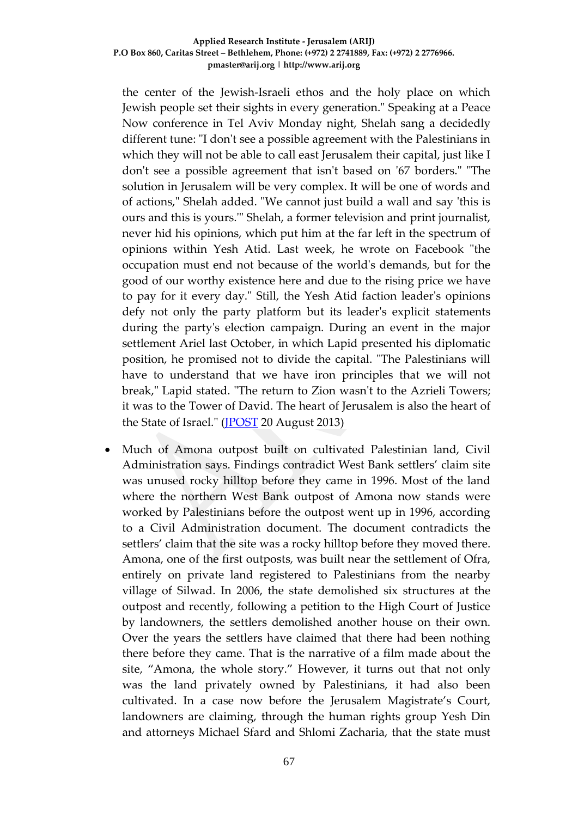the center of the Jewish-Israeli ethos and the holy place on which Jewish people set their sights in every generation." Speaking at a Peace Now conference in Tel Aviv Monday night, Shelah sang a decidedly different tune: "I don't see a possible agreement with the Palestinians in which they will not be able to call east Jerusalem their capital, just like I don't see a possible agreement that isn't based on '67 borders." "The solution in Jerusalem will be very complex. It will be one of words and of actions," Shelah added. "We cannot just build a wall and say 'this is ours and this is yours.'" Shelah, a former television and print journalist, never hid his opinions, which put him at the far left in the spectrum of opinions within Yesh Atid. Last week, he wrote on Facebook "the occupation must end not because of the world's demands, but for the good of our worthy existence here and due to the rising price we have to pay for it every day." Still, the Yesh Atid faction leader's opinions defy not only the party platform but its leader's explicit statements during the party's election campaign. During an event in the major settlement Ariel last October, in which Lapid presented his diplomatic position, he promised not to divide the capital. "The Palestinians will have to understand that we have iron principles that we will not break," Lapid stated. "The return to Zion wasn't to the Azrieli Towers; it was to the Tower of David. The heart of Jerusalem is also the heart of the State of Israel." [\(JPOST](http://www.jpost.com/Diplomacy-and-Politics/Shelah-defies-Yesh-Atid-platform-Jerusalem-will-be-Palestinian-capital-323680) 20 August 2013)

• Much of Amona outpost built on cultivated Palestinian land, Civil Administration says. Findings contradict West Bank settlers' claim site was unused rocky hilltop before they came in 1996. Most of the land where the northern West Bank outpost of Amona now stands were worked by Palestinians before the outpost went up in 1996, according to a Civil Administration document. The document contradicts the settlers' claim that the site was a rocky hilltop before they moved there. Amona, one of the first outposts, was built near the settlement of Ofra, entirely on private land registered to Palestinians from the nearby village of Silwad. In 2006, the state demolished six structures at the outpost and recently, following a petition to the High Court of Justice by landowners, the settlers demolished another house on their own. Over the years the settlers have claimed that there had been nothing there before they came. That is the narrative of a film made about the site, "Amona, the whole story." However, it turns out that not only was the land privately owned by Palestinians, it had also been cultivated. In a case now before the Jerusalem Magistrate's Court, landowners are claiming, through the human rights group Yesh Din and attorneys Michael Sfard and Shlomi Zacharia, that the state must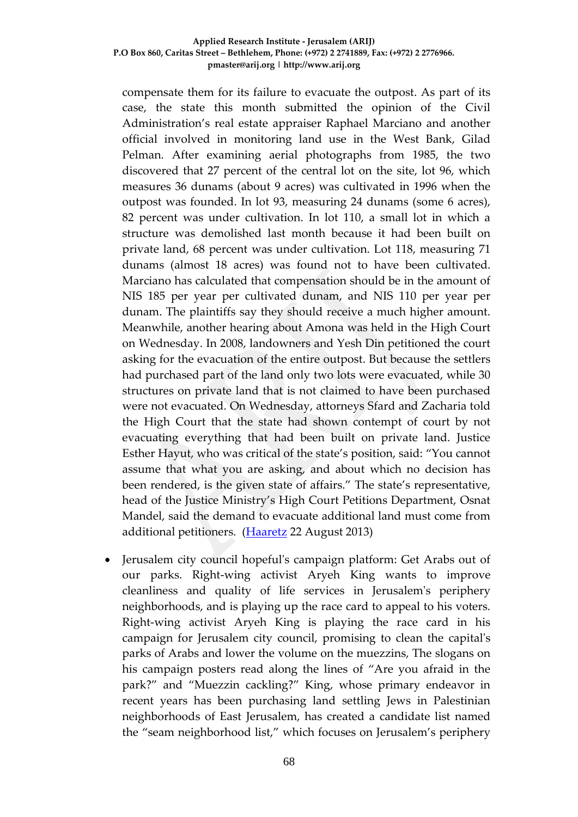compensate them for its failure to evacuate the outpost. As part of its case, the state this month submitted the opinion of the Civil Administration's real estate appraiser Raphael Marciano and another official involved in monitoring land use in the West Bank, Gilad Pelman. After examining aerial photographs from 1985, the two discovered that 27 percent of the central lot on the site, lot 96, which measures 36 dunams (about 9 acres) was cultivated in 1996 when the outpost was founded. In lot 93, measuring 24 dunams (some 6 acres), 82 percent was under cultivation. In lot 110, a small lot in which a structure was demolished last month because it had been built on private land, 68 percent was under cultivation. Lot 118, measuring 71 dunams (almost 18 acres) was found not to have been cultivated. Marciano has calculated that compensation should be in the amount of NIS 185 per year per cultivated dunam, and NIS 110 per year per dunam. The plaintiffs say they should receive a much higher amount. Meanwhile, another hearing about Amona was held in the High Court on Wednesday. In 2008, landowners and Yesh Din petitioned the court asking for the evacuation of the entire outpost. But because the settlers had purchased part of the land only two lots were evacuated, while 30 structures on private land that is not claimed to have been purchased were not evacuated. On Wednesday, attorneys Sfard and Zacharia told the High Court that the state had shown contempt of court by not evacuating everything that had been built on private land. Justice Esther Hayut, who was critical of the state's position, said: "You cannot assume that what you are asking, and about which no decision has been rendered, is the given state of affairs." The state's representative, head of the Justice Ministry's High Court Petitions Department, Osnat Mandel, said the demand to evacuate additional land must come from additional petitioners. [\(Haaretz](http://www.haaretz.com/news/national/1.542771) 22 August 2013)

• Jerusalem city council hopeful's campaign platform: Get Arabs out of our parks. Right-wing activist Aryeh King wants to improve cleanliness and quality of life services in Jerusalem's periphery neighborhoods, and is playing up the race card to appeal to his voters. Right-wing activist Aryeh King is playing the race card in his campaign for Jerusalem city council, promising to clean the capital's parks of Arabs and lower the volume on the muezzins, The slogans on his campaign posters read along the lines of "Are you afraid in the park?" and "Muezzin cackling?" King, whose primary endeavor in recent years has been purchasing land settling Jews in Palestinian neighborhoods of East Jerusalem, has created a candidate list named the "seam neighborhood list," which focuses on Jerusalem's periphery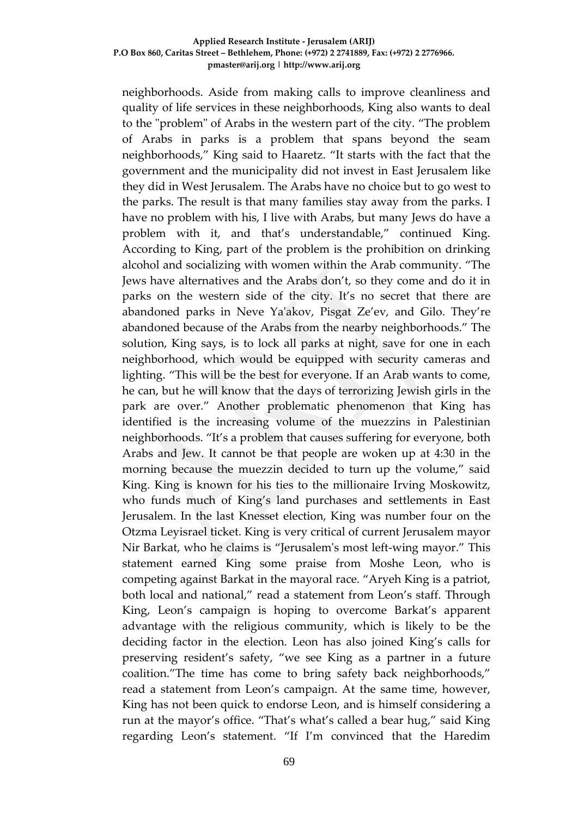neighborhoods. Aside from making calls to improve cleanliness and quality of life services in these neighborhoods, King also wants to deal to the "problem" of Arabs in the western part of the city. "The problem of Arabs in parks is a problem that spans beyond the seam neighborhoods," King said to Haaretz. "It starts with the fact that the government and the municipality did not invest in East Jerusalem like they did in West Jerusalem. The Arabs have no choice but to go west to the parks. The result is that many families stay away from the parks. I have no problem with his, I live with Arabs, but many Jews do have a problem with it, and that's understandable," continued King. According to King, part of the problem is the prohibition on drinking alcohol and socializing with women within the Arab community. "The Jews have alternatives and the Arabs don't, so they come and do it in parks on the western side of the city. It's no secret that there are abandoned parks in Neve Ya'akov, Pisgat Ze'ev, and Gilo. They're abandoned because of the Arabs from the nearby neighborhoods." The solution, King says, is to lock all parks at night, save for one in each neighborhood, which would be equipped with security cameras and lighting. "This will be the best for everyone. If an Arab wants to come, he can, but he will know that the days of terrorizing Jewish girls in the park are over." Another problematic phenomenon that King has identified is the increasing volume of the muezzins in Palestinian neighborhoods. "It's a problem that causes suffering for everyone, both Arabs and Jew. It cannot be that people are woken up at 4:30 in the morning because the muezzin decided to turn up the volume," said King. King is known for his ties to the millionaire Irving Moskowitz, who funds much of King's land purchases and settlements in East Jerusalem. In the last Knesset election, King was number four on the Otzma Leyisrael ticket. King is very critical of current Jerusalem mayor Nir Barkat, who he claims is "Jerusalem's most left-wing mayor." This statement earned King some praise from Moshe Leon, who is competing against Barkat in the mayoral race. "Aryeh King is a patriot, both local and national," read a statement from Leon's staff. Through King, Leon's campaign is hoping to overcome Barkat's apparent advantage with the religious community, which is likely to be the deciding factor in the election. Leon has also joined King's calls for preserving resident's safety, "we see King as a partner in a future coalition."The time has come to bring safety back neighborhoods," read a statement from Leon's campaign. At the same time, however, King has not been quick to endorse Leon, and is himself considering a run at the mayor's office. "That's what's called a bear hug," said King regarding Leon's statement. "If I'm convinced that the Haredim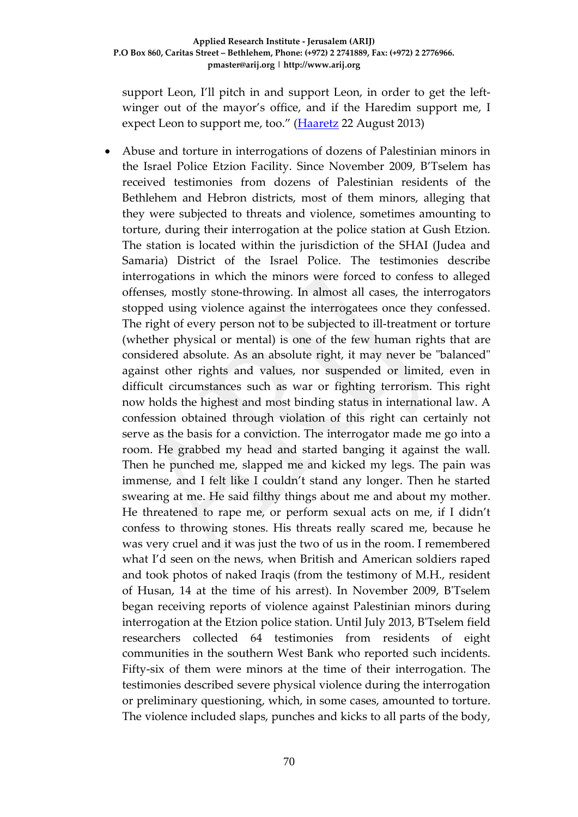support Leon, I'll pitch in and support Leon, in order to get the leftwinger out of the mayor's office, and if the Haredim support me, I expect Leon to support me, too." [\(Haaretz](http://www.haaretz.com/news/national/.premium-1.542978) 22 August 2013)

• Abuse and torture in interrogations of dozens of Palestinian minors in the Israel Police Etzion Facility. Since November 2009, B'Tselem has received testimonies from dozens of Palestinian residents of the Bethlehem and Hebron districts, most of them minors, alleging that they were subjected to threats and violence, sometimes amounting to torture, during their interrogation at the police station at Gush Etzion. The station is located within the jurisdiction of the SHAI (Judea and Samaria) District of the Israel Police. The testimonies describe interrogations in which the minors were forced to confess to alleged offenses, mostly stone-throwing. In almost all cases, the interrogators stopped using violence against the interrogatees once they confessed. The right of every person not to be subjected to ill-treatment or torture (whether physical or mental) is one of the few human rights that are considered absolute. As an absolute right, it may never be "balanced" against other rights and values, nor suspended or limited, even in difficult circumstances such as war or fighting terrorism. This right now holds the highest and most binding status in international law. A confession obtained through violation of this right can certainly not serve as the basis for a conviction. The interrogator made me go into a room. He grabbed my head and started banging it against the wall. Then he punched me, slapped me and kicked my legs. The pain was immense, and I felt like I couldn't stand any longer. Then he started swearing at me. He said filthy things about me and about my mother. He threatened to rape me, or perform sexual acts on me, if I didn't confess to throwing stones. His threats really scared me, because he was very cruel and it was just the two of us in the room. I remembered what I'd seen on the news, when British and American soldiers raped and took photos of naked Iraqis (from the testimony of M.H., resident of Husan, 14 at the time of his arrest). In November 2009, B'Tselem began receiving reports of violence against Palestinian minors during interrogation at the Etzion police station. Until July 2013, B'Tselem field researchers collected 64 testimonies from residents of eight communities in the southern West Bank who reported such incidents. Fifty-six of them were minors at the time of their interrogation. The testimonies described severe physical violence during the interrogation or preliminary questioning, which, in some cases, amounted to torture. The violence included slaps, punches and kicks to all parts of the body,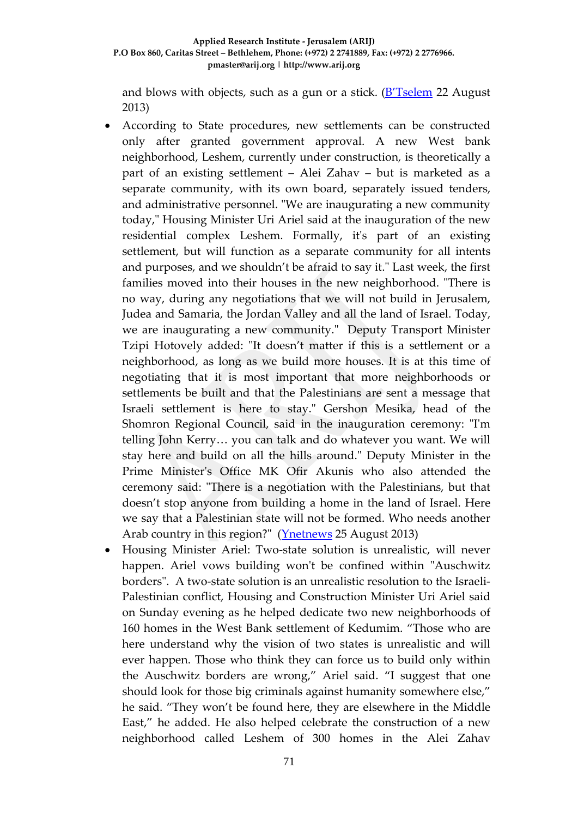and blows with objects, such as a gun or a stick. [\(B'Tselem](http://www.btselem.org/torture/201308_etzion) 22 August 2013)

- According to State procedures, new settlements can be constructed only after granted government approval. A new West bank neighborhood, Leshem, currently under construction, is theoretically a part of an existing settlement – Alei Zahav – but is marketed as a separate community, with its own board, separately issued tenders, and administrative personnel. "We are inaugurating a new community today," Housing Minister Uri Ariel said at the inauguration of the new residential complex Leshem. Formally, it's part of an existing settlement, but will function as a separate community for all intents and purposes, and we shouldn't be afraid to say it." Last week, the first families moved into their houses in the new neighborhood. "There is no way, during any negotiations that we will not build in Jerusalem, Judea and Samaria, the Jordan Valley and all the land of Israel. Today, we are inaugurating a new community." Deputy Transport Minister Tzipi Hotovely added: "It doesn't matter if this is a settlement or a neighborhood, as long as we build more houses. It is at this time of negotiating that it is most important that more neighborhoods or settlements be built and that the Palestinians are sent a message that Israeli settlement is here to stay." Gershon Mesika, head of the Shomron Regional Council, said in the inauguration ceremony: "I'm telling John Kerry… you can talk and do whatever you want. We will stay here and build on all the hills around." Deputy Minister in the Prime Minister's Office MK Ofir Akunis who also attended the ceremony said: "There is a negotiation with the Palestinians, but that doesn't stop anyone from building a home in the land of Israel. Here we say that a Palestinian state will not be formed. Who needs another Arab country in this region?" [\(Ynetnews](http://www.bezecom.com/BezecomLp/CallLocal500minEn.aspx?af=ynetwork500min) 25 August 2013)
- Housing Minister Ariel: Two-state solution is unrealistic, will never happen. Ariel vows building won't be confined within "Auschwitz borders". A two-state solution is an unrealistic resolution to the Israeli-Palestinian conflict, Housing and Construction Minister Uri Ariel said on Sunday evening as he helped dedicate two new neighborhoods of 160 homes in the West Bank settlement of Kedumim. "Those who are here understand why the vision of two states is unrealistic and will ever happen. Those who think they can force us to build only within the Auschwitz borders are wrong," Ariel said. "I suggest that one should look for those big criminals against humanity somewhere else," he said. "They won't be found here, they are elsewhere in the Middle East," he added. He also helped celebrate the construction of a new neighborhood called Leshem of 300 homes in the Alei Zahav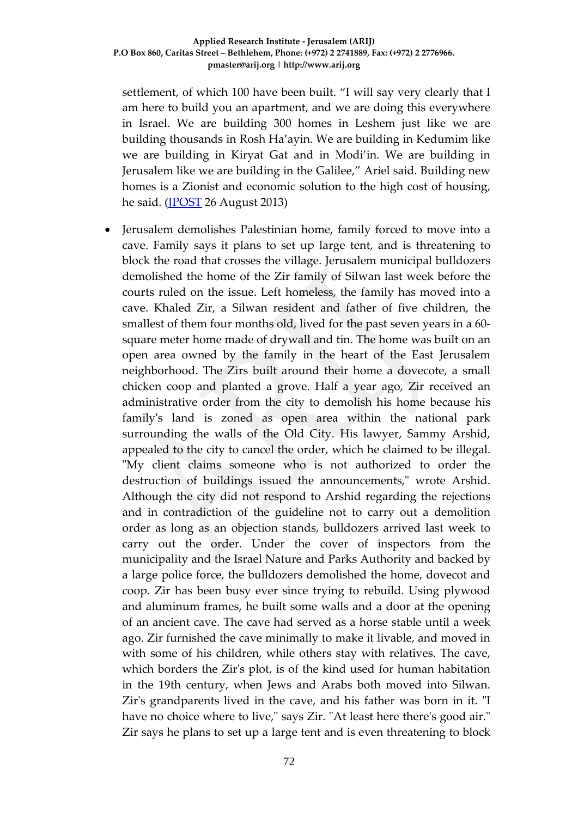settlement, of which 100 have been built. "I will say very clearly that I am here to build you an apartment, and we are doing this everywhere in Israel. We are building 300 homes in Leshem just like we are building thousands in Rosh Ha'ayin. We are building in Kedumim like we are building in Kiryat Gat and in Modi'in. We are building in Jerusalem like we are building in the Galilee," Ariel said. Building new homes is a Zionist and economic solution to the high cost of housing, he said. (**JPOST** 26 August 2013)

• Jerusalem demolishes Palestinian home, family forced to move into a cave. Family says it plans to set up large tent, and is threatening to block the road that crosses the village. Jerusalem municipal bulldozers demolished the home of the Zir family of Silwan last week before the courts ruled on the issue. Left homeless, the family has moved into a cave. Khaled Zir, a Silwan resident and father of five children, the smallest of them four months old, lived for the past seven years in a 60 square meter home made of drywall and tin. The home was built on an open area owned by the family in the heart of the East Jerusalem neighborhood. The Zirs built around their home a dovecote, a small chicken coop and planted a grove. Half a year ago, Zir received an administrative order from the city to demolish his home because his family's land is zoned as open area within the national park surrounding the walls of the Old City. His lawyer, Sammy Arshid, appealed to the city to cancel the order, which he claimed to be illegal. "My client claims someone who is not authorized to order the destruction of buildings issued the announcements," wrote Arshid. Although the city did not respond to Arshid regarding the rejections and in contradiction of the guideline not to carry out a demolition order as long as an objection stands, bulldozers arrived last week to carry out the order. Under the cover of inspectors from the municipality and the Israel Nature and Parks Authority and backed by a large police force, the bulldozers demolished the home, dovecot and coop. Zir has been busy ever since trying to rebuild. Using plywood and aluminum frames, he built some walls and a door at the opening of an ancient cave. The cave had served as a horse stable until a week ago. Zir furnished the cave minimally to make it livable, and moved in with some of his children, while others stay with relatives. The cave, which borders the Zir's plot, is of the kind used for human habitation in the 19th century, when Jews and Arabs both moved into Silwan. Zir's grandparents lived in the cave, and his father was born in it. "I have no choice where to live," says Zir. "At least here there's good air." Zir says he plans to set up a large tent and is even threatening to block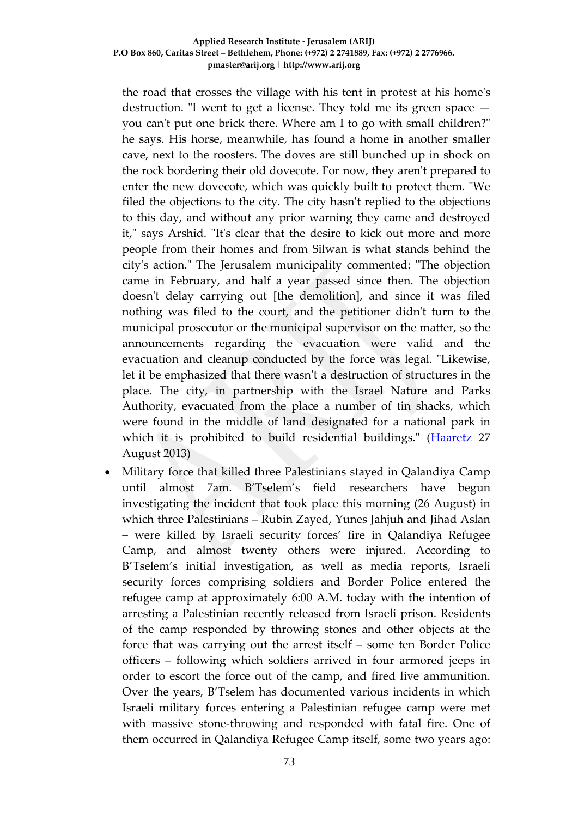the road that crosses the village with his tent in protest at his home's destruction. "I went to get a license. They told me its green space you can't put one brick there. Where am I to go with small children?" he says. His horse, meanwhile, has found a home in another smaller cave, next to the roosters. The doves are still bunched up in shock on the rock bordering their old dovecote. For now, they aren't prepared to enter the new dovecote, which was quickly built to protect them. "We filed the objections to the city. The city hasn't replied to the objections to this day, and without any prior warning they came and destroyed it," says Arshid. "It's clear that the desire to kick out more and more people from their homes and from Silwan is what stands behind the city's action." The Jerusalem municipality commented: "The objection came in February, and half a year passed since then. The objection doesn't delay carrying out [the demolition], and since it was filed nothing was filed to the court, and the petitioner didn't turn to the municipal prosecutor or the municipal supervisor on the matter, so the announcements regarding the evacuation were valid and the evacuation and cleanup conducted by the force was legal. "Likewise, let it be emphasized that there wasn't a destruction of structures in the place. The city, in partnership with the Israel Nature and Parks Authority, evacuated from the place a number of tin shacks, which were found in the middle of land designated for a national park in which it is prohibited to build residential buildings." [\(Haaretz](http://www.haaretz.com/news/1.543665) 27 August 2013)

• Military force that killed three Palestinians stayed in Qalandiya Camp until almost 7am. B'Tselem's field researchers have begun investigating the incident that took place this morning (26 August) in which three Palestinians – Rubin Zayed, Yunes Jahjuh and Jihad Aslan – were killed by Israeli security forces' fire in Qalandiya Refugee Camp, and almost twenty others were injured. According to B'Tselem's initial investigation, as well as media reports, Israeli security forces comprising soldiers and Border Police entered the refugee camp at approximately 6:00 A.M. today with the intention of arresting a Palestinian recently released from Israeli prison. Residents of the camp responded by throwing stones and other objects at the force that was carrying out the arrest itself – some ten Border Police officers – following which soldiers arrived in four armored jeeps in order to escort the force out of the camp, and fired live ammunition. Over the years, B'Tselem has documented various incidents in which Israeli military forces entering a Palestinian refugee camp were met with massive stone-throwing and responded with fatal fire. One of them occurred in Qalandiya Refugee Camp itself, some two years ago: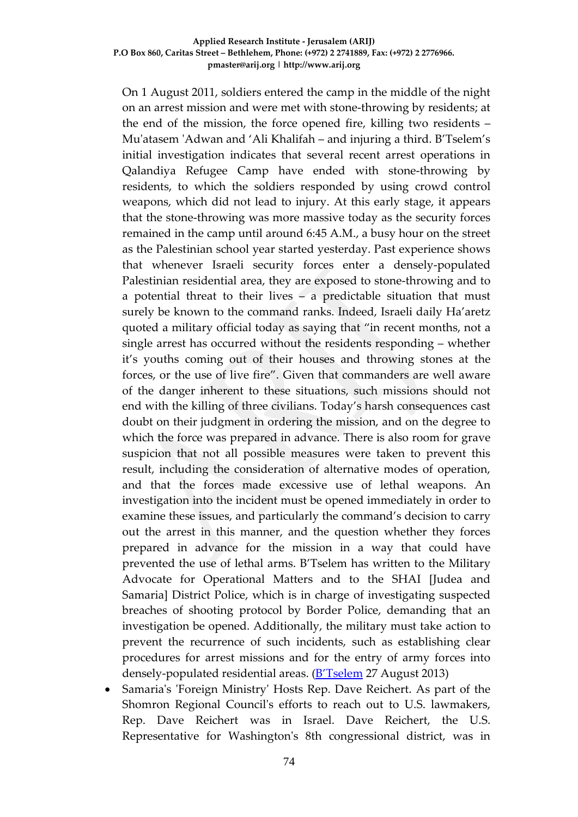On 1 August 2011, soldiers entered the camp in the middle of the night on an arrest mission and were met with stone-throwing by residents; at the end of the mission, the force opened fire, killing two residents – Mu'atasem 'Adwan and 'Ali Khalifah – and injuring a third. B'Tselem's initial investigation indicates that several recent arrest operations in Qalandiya Refugee Camp have ended with stone-throwing by residents, to which the soldiers responded by using crowd control weapons, which did not lead to injury. At this early stage, it appears that the stone-throwing was more massive today as the security forces remained in the camp until around 6:45 A.M., a busy hour on the street as the Palestinian school year started yesterday. Past experience shows that whenever Israeli security forces enter a densely-populated Palestinian residential area, they are exposed to stone-throwing and to a potential threat to their lives – a predictable situation that must surely be known to the command ranks. Indeed, Israeli daily Ha'aretz quoted a military official today as saying that "in recent months, not a single arrest has occurred without the residents responding – whether it's youths coming out of their houses and throwing stones at the forces, or the use of live fire". Given that commanders are well aware of the danger inherent to these situations, such missions should not end with the killing of three civilians. Today's harsh consequences cast doubt on their judgment in ordering the mission, and on the degree to which the force was prepared in advance. There is also room for grave suspicion that not all possible measures were taken to prevent this result, including the consideration of alternative modes of operation, and that the forces made excessive use of lethal weapons. An investigation into the incident must be opened immediately in order to examine these issues, and particularly the command's decision to carry out the arrest in this manner, and the question whether they forces prepared in advance for the mission in a way that could have prevented the use of lethal arms. B'Tselem has written to the Military Advocate for Operational Matters and to the SHAI [Judea and Samaria] District Police, which is in charge of investigating suspected breaches of shooting protocol by Border Police, demanding that an investigation be opened. Additionally, the military must take action to prevent the recurrence of such incidents, such as establishing clear procedures for arrest missions and for the entry of army forces into densely-populated residential areas. [\(B'Tselem](http://www.btselem.org/printpdf/138767) 27 August 2013)

• Samaria's 'Foreign Ministry' Hosts Rep. Dave Reichert. As part of the Shomron Regional Council's efforts to reach out to U.S. lawmakers, Rep. Dave Reichert was in Israel. Dave Reichert, the U.S. Representative for Washington's 8th congressional district, was in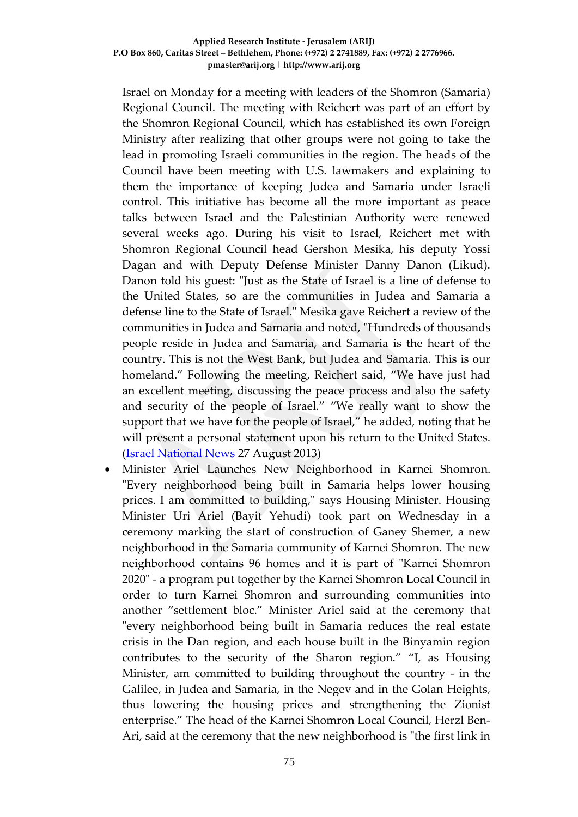Israel on Monday for a meeting with leaders of the Shomron (Samaria) Regional Council. The meeting with Reichert was part of an effort by the Shomron Regional Council, which has [established its own Foreign](http://www.israelnationalnews.com/News/News.aspx/167856)  [Ministry](http://www.israelnationalnews.com/News/News.aspx/167856) after realizing that other groups were not going to take the lead in promoting Israeli communities in the region. The heads of the Council [have been meeting with U.S. lawmakers](http://www.israelnationalnews.com/News/News.aspx/170266) and explaining to them the importance of keeping Judea and Samaria under Israeli control. This initiative has become all the more important as peace talks between Israel and the Palestinian Authority were renewed several weeks ago. During his visit to Israel, Reichert met with Shomron Regional Council head Gershon Mesika, his deputy Yossi Dagan and with Deputy Defense Minister Danny Danon (Likud). Danon told his guest: "Just as the State of Israel is a line of defense to the United States, so are the communities in Judea and Samaria a defense line to the State of Israel." Mesika gave Reichert a review of the communities in Judea and Samaria and noted, "Hundreds of thousands people reside in Judea and Samaria, and Samaria is the heart of the country. This is not the West Bank, but Judea and Samaria. This is our homeland." Following the meeting, Reichert said, "We have just had an excellent meeting, discussing the peace process and also the safety and security of the people of Israel." "We really want to show the support that we have for the people of Israel," he added, noting that he will present a personal statement upon his return to the United States. [\(Israel National News](http://www.israelnationalnews.com/News/News.aspx/171316) 27 August 2013)

• Minister Ariel Launches New Neighborhood in Karnei Shomron. "Every neighborhood being built in Samaria helps lower housing prices. I am committed to building," says Housing Minister. Housing Minister Uri Ariel (Bayit Yehudi) took part on Wednesday in a ceremony marking the start of construction of Ganey Shemer, a new neighborhood in the Samaria community of Karnei Shomron. The new neighborhood contains 96 homes and it is part of "Karnei Shomron 2020" - a program put together by the Karnei Shomron Local Council in order to turn Karnei Shomron and surrounding communities into another "settlement bloc." Minister Ariel said at the ceremony that "every neighborhood being built in Samaria reduces the real estate crisis in the Dan region, and each house built in the Binyamin region contributes to the security of the Sharon region." "I, as Housing Minister, am committed to building throughout the country - in the Galilee, in Judea and Samaria, in the Negev and in the Golan Heights, thus lowering the housing prices and strengthening the Zionist enterprise." The head of the Karnei Shomron Local Council, Herzl Ben-Ari, said at the ceremony that the new neighborhood is "the first link in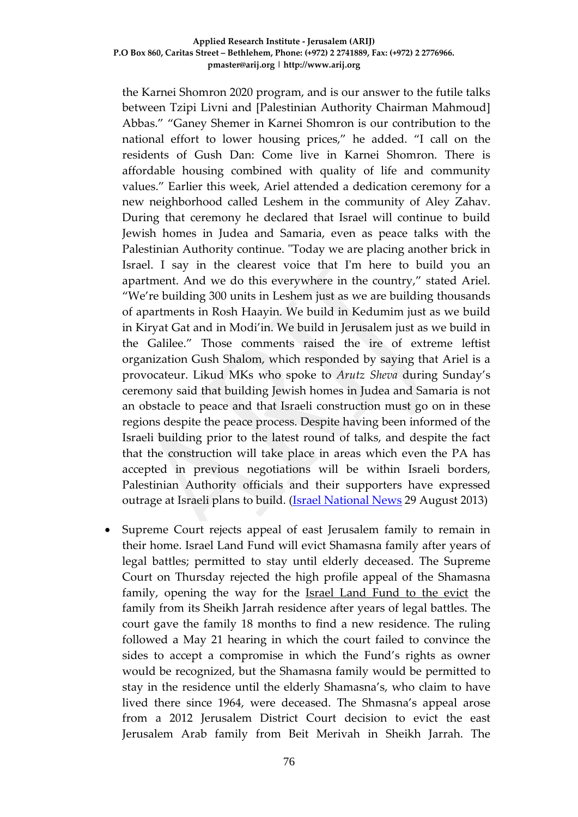the Karnei Shomron 2020 program, and is our answer to the futile talks between Tzipi Livni and [Palestinian Authority Chairman Mahmoud] Abbas." "Ganey Shemer in Karnei Shomron is our contribution to the national effort to lower housing prices," he added. "I call on the residents of Gush Dan: Come live in Karnei Shomron. There is affordable housing combined with quality of life and community values." Earlier this week, [Ariel attended a dedication ceremony](http://www.israelnationalnews.com/News/News.aspx/171281) for a new neighborhood called Leshem in the community of Aley Zahav. During that ceremony he declared that Israel will continue to build Jewish homes in Judea and Samaria, even as peace talks with the Palestinian Authority continue. "Today we are placing another brick in Israel. I say in the clearest voice that I'm here to build you an apartment. And we do this everywhere in the country," stated Ariel. "We're building 300 units in Leshem just as we are building thousands of apartments in Rosh Haayin. We build in Kedumim just as we build in Kiryat Gat and in Modi'in. We build in Jerusalem just as we build in the Galilee." Those comments [raised the ire](http://www.israelnationalnews.com/News/News.aspx/171318) of extreme leftist organization Gush Shalom, which responded by saying that Ariel is a provocateur. [Likud MKs who spoke to](http://www.israelnationalnews.com/News/News.aspx/171284) *Arutz Sheva* during Sunday's ceremony said that building Jewish homes in Judea and Samaria is not an obstacle to peace and that Israeli construction must go on in these regions despite the peace process. Despite having been [informed of the](http://www.israelnationalnews.com/News/News.aspx/170890)  [Israeli building](http://www.israelnationalnews.com/News/News.aspx/170890) prior to the latest round of talks, and despite the fact that the construction will take place in areas which even the PA has accepted in previous negotiations will be within Israeli borders, Palestinian Authority officials and their supporters have expressed outrage at Israeli plans to build. [\(Israel National News](http://www.israelnationalnews.com/News/News.aspx/171391) 29 August 2013)

• Supreme Court rejects appeal of east Jerusalem family to remain in their home. Israel Land Fund will evict Shamasna family after years of legal battles; permitted to stay until elderly deceased. The Supreme Court on Thursday rejected the high profile appeal of the Shamasna family, opening the way for the [Israel Land Fund to the evict](http://www.jpost.com/National-News/Israel-Land-Fund-rejects-compromise-over-land-dispute-313787) the family from its Sheikh Jarrah residence after years of legal battles. The court gave the family 18 months to find a new residence. The ruling followed a May 21 hearing in which the court failed to convince the sides to accept a compromise in which the Fund's rights as owner would be recognized, but the Shamasna family would be permitted to stay in the residence until the elderly Shamasna's, who claim to have lived there since 1964, were deceased. The Shmasna's appeal arose from a 2012 Jerusalem District Court decision to evict the east Jerusalem Arab family from Beit Merivah in Sheikh Jarrah. The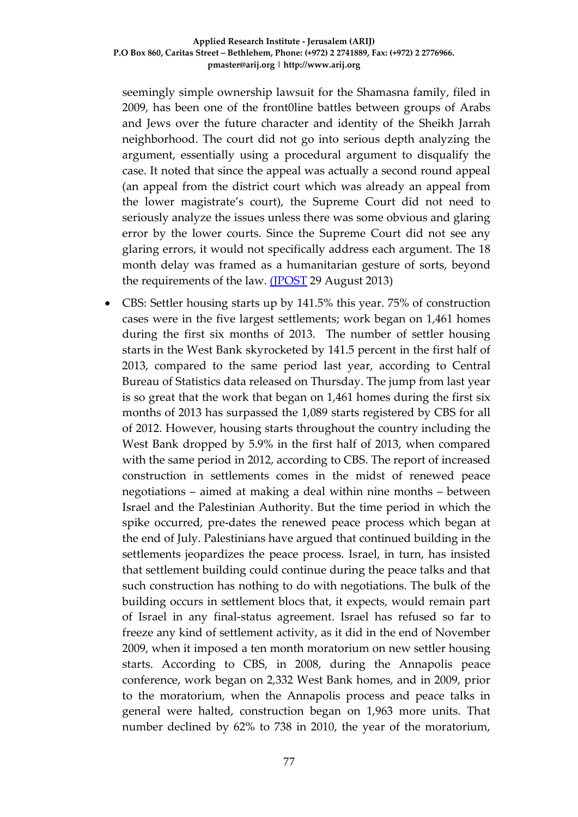seemingly simple ownership lawsuit for the Shamasna family, filed in 2009, has been one of the front0line battles between groups of Arabs and Jews over the future character and identity of the Sheikh Jarrah neighborhood. The court did not go into serious depth analyzing the argument, essentially using a procedural argument to disqualify the case. It noted that since the appeal was actually a second round appeal (an appeal from the district court which was already an appeal from the lower magistrate's court), the Supreme Court did not need to seriously analyze the issues unless there was some obvious and glaring error by the lower courts. Since the Supreme Court did not see any glaring errors, it would not specifically address each argument. The 18 month delay was framed as a humanitarian gesture of sorts, beyond the requirements of the law. [\(JPOST](http://www.jpost.com/Middle-East/Supreme-Court-rejects-appeal-of-east-Jerusalem-family-to-remain-in-home-324663) 29 August 2013)

• CBS: Settler housing starts up by 141.5% this year. 75% of construction cases were in the five largest settlements; work began on 1,461 homes during the first six months of 2013. The number of settler housing starts in the West Bank skyrocketed by 141.5 percent in the first half of 2013, compared to the same period last year, according to Central Bureau of Statistics data released on Thursday. The jump from last year is so great that the work that began on 1,461 homes during the first six months of 2013 has surpassed the 1,089 starts registered by CBS for all of 2012. However, housing starts throughout the country including the West Bank dropped by 5.9% in the first half of 2013, when compared with the same period in 2012, according to CBS. The report of increased construction in settlements comes in the midst of renewed peace negotiations – aimed at making a deal within nine months – between Israel and the Palestinian Authority. But the time period in which the spike occurred, pre-dates the renewed peace process which began at the end of July. Palestinians have argued that continued building in the settlements jeopardizes the peace process. Israel, in turn, has insisted that settlement building could continue during the peace talks and that such construction has nothing to do with negotiations. The bulk of the building occurs in settlement blocs that, it expects, would remain part of Israel in any final-status agreement. Israel has refused so far to freeze any kind of settlement activity, as it did in the end of November 2009, when it imposed a ten month moratorium on new settler housing starts. According to CBS, in 2008, during the Annapolis peace conference, work began on 2,332 West Bank homes, and in 2009, prior to the moratorium, when the Annapolis process and peace talks in general were halted, construction began on 1,963 more units. That number declined by 62% to 738 in 2010, the year of the moratorium,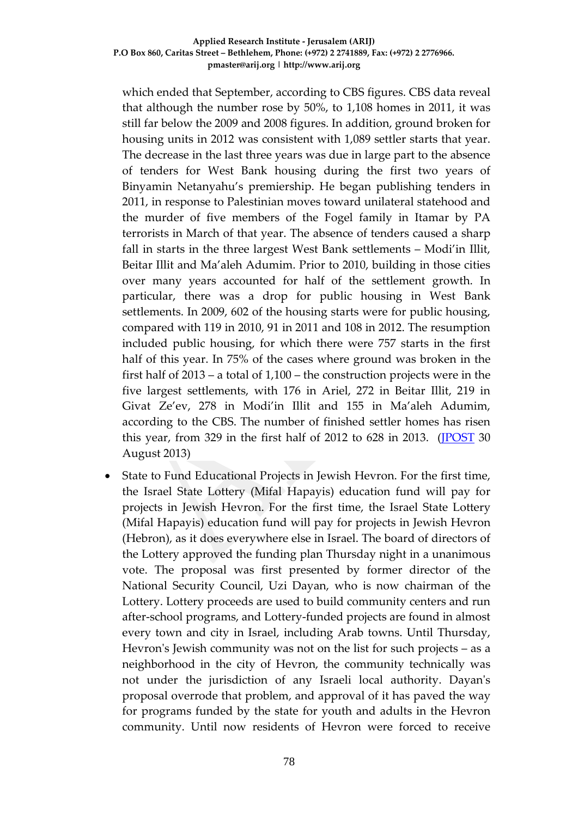which ended that September, according to CBS figures. CBS data reveal that although the number rose by 50%, to 1,108 homes in 2011, it was still far below the 2009 and 2008 figures. In addition, ground broken for housing units in 2012 was consistent with 1,089 settler starts that year. The decrease in the last three years was due in large part to the absence of tenders for West Bank housing during the first two years of Binyamin Netanyahu's premiership. He began publishing tenders in 2011, in response to Palestinian moves toward unilateral statehood and the murder of five members of the Fogel family in Itamar by PA terrorists in March of that year. The absence of tenders caused a sharp fall in starts in the three largest West Bank settlements – Modi'in Illit, Beitar Illit and Ma'aleh Adumim. Prior to 2010, building in those cities over many years accounted for half of the settlement growth. In particular, there was a drop for public housing in West Bank settlements. In 2009, 602 of the housing starts were for public housing, compared with 119 in 2010, 91 in 2011 and 108 in 2012. The resumption included public housing, for which there were 757 starts in the first half of this year. In 75% of the cases where ground was broken in the first half of 2013 – a total of 1,100 – the construction projects were in the five largest settlements, with 176 in Ariel, 272 in Beitar Illit, 219 in Givat Ze'ev, 278 in Modi'in Illit and 155 in Ma'aleh Adumim, according to the CBS. The number of finished settler homes has risen this year, from 329 in the first half of 2012 to  $628$  in 2013. [\(JPOST](http://www.jpost.com/National-News/CBS-Settler-housing-starts-up-by-1415-percent-this-year-324757) 30 August 2013)

• State to Fund Educational Projects in Jewish Hevron. For the first time, the Israel State Lottery (Mifal Hapayis) education fund will pay for projects in Jewish Hevron. For the first time, the Israel State Lottery (Mifal Hapayis) education fund will pay for projects in Jewish Hevron (Hebron), as it does everywhere else in Israel. The board of directors of the Lottery approved the funding plan Thursday night in a unanimous vote. The proposal was first presented by former director of the National Security Council, Uzi Dayan, who is now chairman of the Lottery. Lottery proceeds are used to build community centers and run after-school programs, and Lottery-funded projects are found in almost every town and city in Israel, including Arab towns. Until Thursday, Hevron's Jewish community was not on the list for such projects – as a neighborhood in the city of Hevron, the community technically was not under the jurisdiction of any Israeli local authority. Dayan's proposal overrode that problem, and approval of it has paved the way for programs funded by the state for youth and adults in the Hevron community. Until now residents of Hevron were forced to receive